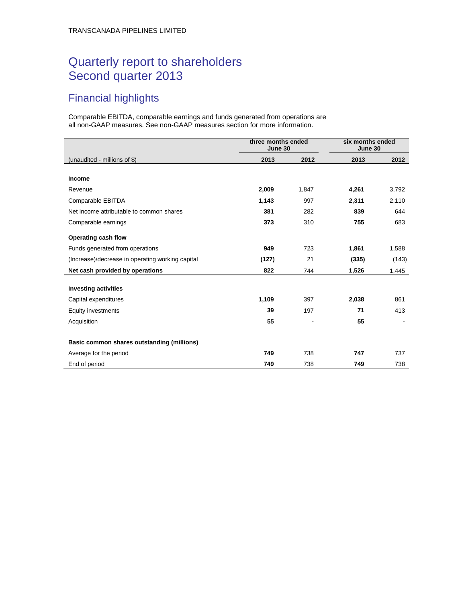# Quarterly report to shareholders Second quarter 2013

# Financial highlights

Comparable EBITDA, comparable earnings and funds generated from operations are all non-GAAP measures. See non-GAAP measures section for more information.

|                                                  | three months ended<br>June 30 |       | six months ended<br>June 30 |       |
|--------------------------------------------------|-------------------------------|-------|-----------------------------|-------|
| (unaudited - millions of \$)                     | 2013                          | 2012  | 2013                        | 2012  |
|                                                  |                               |       |                             |       |
| <b>Income</b>                                    |                               |       |                             |       |
| Revenue                                          | 2,009                         | 1,847 | 4,261                       | 3,792 |
| Comparable EBITDA                                | 1,143                         | 997   | 2,311                       | 2,110 |
| Net income attributable to common shares         | 381                           | 282   | 839                         | 644   |
| Comparable earnings                              | 373                           | 310   | 755                         | 683   |
| <b>Operating cash flow</b>                       |                               |       |                             |       |
| Funds generated from operations                  | 949                           | 723   | 1,861                       | 1,588 |
| (Increase)/decrease in operating working capital | (127)                         | 21    | (335)                       | (143) |
| Net cash provided by operations                  | 822                           | 744   | 1,526                       | 1,445 |
| <b>Investing activities</b>                      |                               |       |                             |       |
| Capital expenditures                             | 1,109                         | 397   | 2,038                       | 861   |
| <b>Equity investments</b>                        | 39                            | 197   | 71                          | 413   |
| Acquisition                                      | 55                            |       | 55                          |       |
| Basic common shares outstanding (millions)       |                               |       |                             |       |
| Average for the period                           | 749                           | 738   | 747                         | 737   |
| End of period                                    | 749                           | 738   | 749                         | 738   |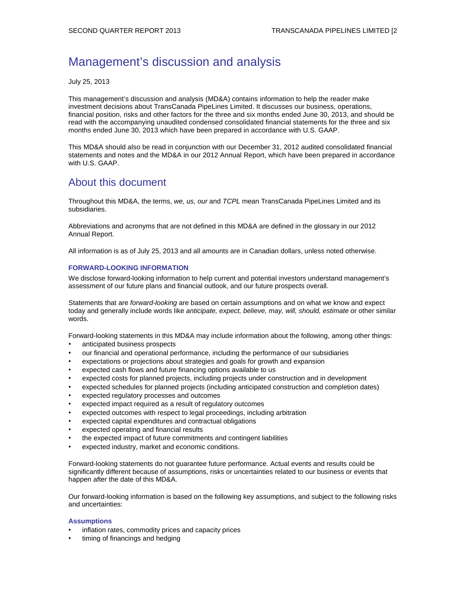# Management's discussion and analysis

July 25, 2013

This management's discussion and analysis (MD&A) contains information to help the reader make investment decisions about TransCanada PipeLines Limited. It discusses our business, operations, financial position, risks and other factors for the three and six months ended June 30, 2013, and should be read with the accompanying unaudited condensed consolidated financial statements for the three and six months ended June 30, 2013 which have been prepared in accordance with U.S. GAAP.

This MD&A should also be read in conjunction with our December 31, 2012 audited consolidated financial statements and notes and the MD&A in our 2012 Annual Report, which have been prepared in accordance with U.S. GAAP.

# About this document

Throughout this MD&A, the terms, *we, us, our* and *TCPL* mean TransCanada PipeLines Limited and its subsidiaries.

Abbreviations and acronyms that are not defined in this MD&A are defined in the glossary in our 2012 Annual Report.

All information is as of July 25, 2013 and all amounts are in Canadian dollars, unless noted otherwise.

### **FORWARD-LOOKING INFORMATION**

We disclose forward-looking information to help current and potential investors understand management's assessment of our future plans and financial outlook, and our future prospects overall.

Statements that are *forward-looking* are based on certain assumptions and on what we know and expect today and generally include words like *anticipate, expect, believe, may, will, should, estimate* or other similar words.

Forward-looking statements in this MD&A may include information about the following, among other things:

- anticipated business prospects
- our financial and operational performance, including the performance of our subsidiaries
- expectations or projections about strategies and goals for growth and expansion
- expected cash flows and future financing options available to us
- expected costs for planned projects, including projects under construction and in development
- expected schedules for planned projects (including anticipated construction and completion dates)
- expected regulatory processes and outcomes
- expected impact required as a result of regulatory outcomes
- expected outcomes with respect to legal proceedings, including arbitration
- expected capital expenditures and contractual obligations
- expected operating and financial results
- the expected impact of future commitments and contingent liabilities
- expected industry, market and economic conditions.

Forward-looking statements do not guarantee future performance. Actual events and results could be significantly different because of assumptions, risks or uncertainties related to our business or events that happen after the date of this MD&A.

Our forward-looking information is based on the following key assumptions, and subject to the following risks and uncertainties:

#### **Assumptions**

- inflation rates, commodity prices and capacity prices
- timing of financings and hedging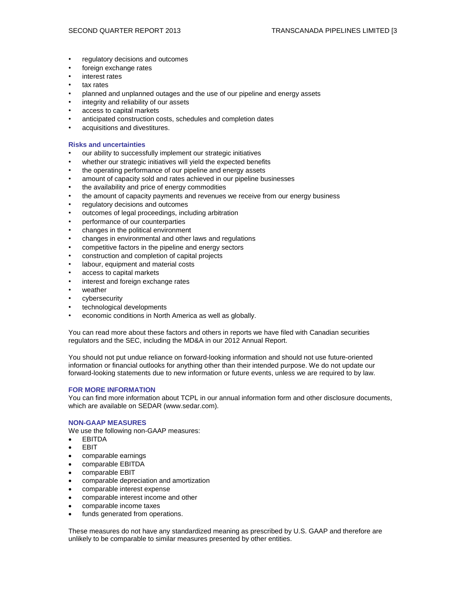- regulatory decisions and outcomes
- foreign exchange rates
- interest rates
- tax rates
- planned and unplanned outages and the use of our pipeline and energy assets
- integrity and reliability of our assets
- access to capital markets
- anticipated construction costs, schedules and completion dates
- acquisitions and divestitures.

## **Risks and uncertainties**

- our ability to successfully implement our strategic initiatives
- whether our strategic initiatives will yield the expected benefits
- the operating performance of our pipeline and energy assets
- amount of capacity sold and rates achieved in our pipeline businesses
- the availability and price of energy commodities
- the amount of capacity payments and revenues we receive from our energy business
- regulatory decisions and outcomes
- outcomes of legal proceedings, including arbitration
- performance of our counterparties
- changes in the political environment
- changes in environmental and other laws and regulations
- competitive factors in the pipeline and energy sectors
- construction and completion of capital projects
- labour, equipment and material costs
- access to capital markets
- interest and foreign exchange rates
- weather
- cybersecurity
- technological developments
- economic conditions in North America as well as globally.

You can read more about these factors and others in reports we have filed with Canadian securities regulators and the SEC, including the MD&A in our 2012 Annual Report.

You should not put undue reliance on forward-looking information and should not use future-oriented information or financial outlooks for anything other than their intended purpose. We do not update our forward-looking statements due to new information or future events, unless we are required to by law.

### **FOR MORE INFORMATION**

You can find more information about TCPL in our annual information form and other disclosure documents, which are available on SEDAR [\(www.sedar.com\)](http://www.sedar.com/).

## **NON-GAAP MEASURES**

We use the following non-GAAP measures:

- EBITDA
- EBIT
- comparable earnings
- comparable EBITDA
- comparable EBIT
- comparable depreciation and amortization
- comparable interest expense
- comparable interest income and other
- comparable income taxes
- funds generated from operations.

These measures do not have any standardized meaning as prescribed by U.S. GAAP and therefore are unlikely to be comparable to similar measures presented by other entities.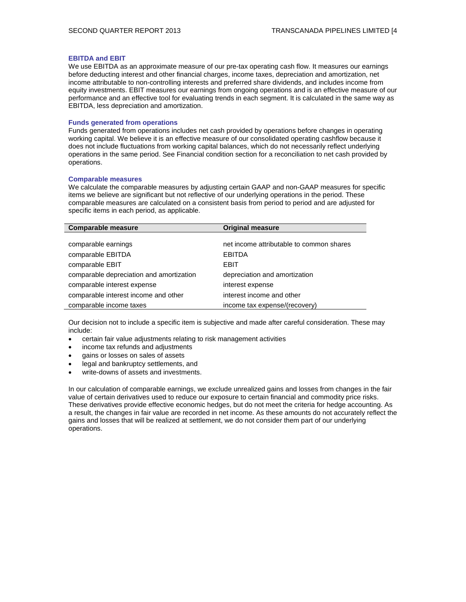## **EBITDA and EBIT**

We use EBITDA as an approximate measure of our pre-tax operating cash flow. It measures our earnings before deducting interest and other financial charges, income taxes, depreciation and amortization, net income attributable to non-controlling interests and preferred share dividends, and includes income from equity investments. EBIT measures our earnings from ongoing operations and is an effective measure of our performance and an effective tool for evaluating trends in each segment. It is calculated in the same way as EBITDA, less depreciation and amortization.

#### **Funds generated from operations**

Funds generated from operations includes net cash provided by operations before changes in operating working capital. We believe it is an effective measure of our consolidated operating cashflow because it does not include fluctuations from working capital balances, which do not necessarily reflect underlying operations in the same period. See Financial condition section for a reconciliation to net cash provided by operations.

#### **Comparable measures**

We calculate the comparable measures by adjusting certain GAAP and non-GAAP measures for specific items we believe are significant but not reflective of our underlying operations in the period. These comparable measures are calculated on a consistent basis from period to period and are adjusted for specific items in each period, as applicable.

| <b>Comparable measure</b>                | <b>Original measure</b>                  |
|------------------------------------------|------------------------------------------|
|                                          |                                          |
| comparable earnings                      | net income attributable to common shares |
| comparable EBITDA                        | <b>EBITDA</b>                            |
| comparable EBIT                          | EBIT                                     |
| comparable depreciation and amortization | depreciation and amortization            |
| comparable interest expense              | interest expense                         |
| comparable interest income and other     | interest income and other                |
| comparable income taxes                  | income tax expense/(recovery)            |

Our decision not to include a specific item is subjective and made after careful consideration. These may include:

- certain fair value adjustments relating to risk management activities
- income tax refunds and adjustments
- gains or losses on sales of assets
- legal and bankruptcy settlements, and
- write-downs of assets and investments.

In our calculation of comparable earnings, we exclude unrealized gains and losses from changes in the fair value of certain derivatives used to reduce our exposure to certain financial and commodity price risks. These derivatives provide effective economic hedges, but do not meet the criteria for hedge accounting. As a result, the changes in fair value are recorded in net income. As these amounts do not accurately reflect the gains and losses that will be realized at settlement, we do not consider them part of our underlying operations.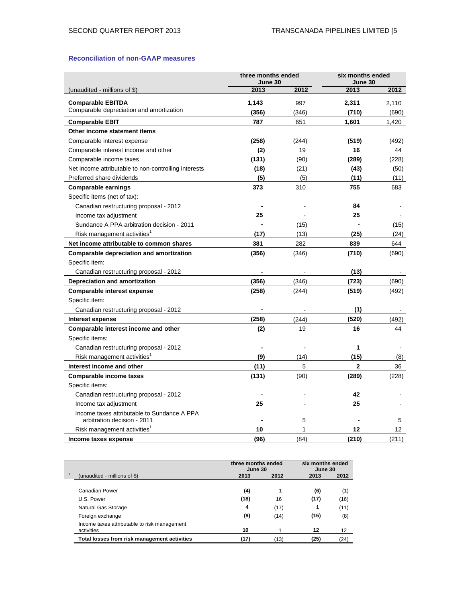## **Reconciliation of non-GAAP measures**

|                                                      | three months ended |                          | six months ended |       |
|------------------------------------------------------|--------------------|--------------------------|------------------|-------|
|                                                      | June 30            | 2012                     | June 30<br>2013  |       |
| (unaudited - millions of \$)                         | 2013               |                          |                  | 2012  |
| <b>Comparable EBITDA</b>                             | 1,143              | 997                      | 2,311            | 2.110 |
| Comparable depreciation and amortization             | (356)              | (346)                    | (710)            | (690) |
| <b>Comparable EBIT</b>                               | 787                | 651                      | 1,601            | 1,420 |
| Other income statement items                         |                    |                          |                  |       |
| Comparable interest expense                          | (258)              | (244)                    | (519)            | (492) |
| Comparable interest income and other                 | (2)                | 19                       | 16               | 44    |
| Comparable income taxes                              | (131)              | (90)                     | (289)            | (228) |
| Net income attributable to non-controlling interests | (18)               | (21)                     | (43)             | (50)  |
| Preferred share dividends                            | (5)                | (5)                      | (11)             | (11)  |
| <b>Comparable earnings</b>                           | 373                | 310                      | 755              | 683   |
| Specific items (net of tax):                         |                    |                          |                  |       |
| Canadian restructuring proposal - 2012               |                    |                          | 84               |       |
| Income tax adjustment                                | 25                 |                          | 25               |       |
| Sundance A PPA arbitration decision - 2011           |                    | (15)                     |                  | (15)  |
| Risk management activities <sup>1</sup>              | (17)               | (13)                     | (25)             | (24)  |
| Net income attributable to common shares             | 381                | 282                      | 839              | 644   |
| Comparable depreciation and amortization             | (356)              | (346)                    | (710)            | (690) |
| Specific item:                                       |                    |                          |                  |       |
| Canadian restructuring proposal - 2012               |                    |                          | (13)             |       |
| Depreciation and amortization                        | (356)              | (346)                    | (723)            | (690) |
| Comparable interest expense                          | (258)              | (244)                    | (519)            | (492) |
| Specific item:                                       |                    |                          |                  |       |
| Canadian restructuring proposal - 2012               | $\blacksquare$     | $\overline{\phantom{a}}$ | (1)              |       |
| Interest expense                                     | (258)              | (244)                    | (520)            | (492) |
| Comparable interest income and other                 | (2)                | 19                       | 16               | 44    |
| Specific items:                                      |                    |                          |                  |       |
| Canadian restructuring proposal - 2012               | $\blacksquare$     |                          | 1                |       |
| Risk management activities <sup>1</sup>              | (9)                | (14)                     | (15)             | (8)   |
| Interest income and other                            | (11)               | 5                        | $\mathbf{2}$     | 36    |
| <b>Comparable income taxes</b>                       | (131)              | (90)                     | (289)            | (228) |
| Specific items:                                      |                    |                          |                  |       |
| Canadian restructuring proposal - 2012               |                    |                          | 42               |       |
| Income tax adjustment                                | 25                 |                          | 25               |       |
| Income taxes attributable to Sundance A PPA          |                    |                          |                  |       |
| arbitration decision - 2011                          |                    | 5                        |                  | 5     |
| Risk management activities <sup>1</sup>              | 10                 | 1                        | 12               | 12    |
| Income taxes expense                                 | (96)               | (84)                     | (210)            | (211) |

|                                                            | three months ended<br>June 30 |      | six months ended<br>June 30 |      |
|------------------------------------------------------------|-------------------------------|------|-----------------------------|------|
| (unaudited - millions of \$)                               | 2013                          | 2012 | 2013                        | 2012 |
| Canadian Power                                             | (4)                           |      | (6)                         | (1)  |
| U.S. Power                                                 | (18)                          | 16   | (17)                        | (16) |
| Natural Gas Storage                                        | 4                             | (17) |                             | (11) |
| Foreign exchange                                           | (9)                           | (14) | (15)                        | (8)  |
| Income taxes attributable to risk management<br>activities | 10                            |      | 12                          | 12   |
| Total losses from risk management activities               | (17)                          | (13) | (25)                        | (24) |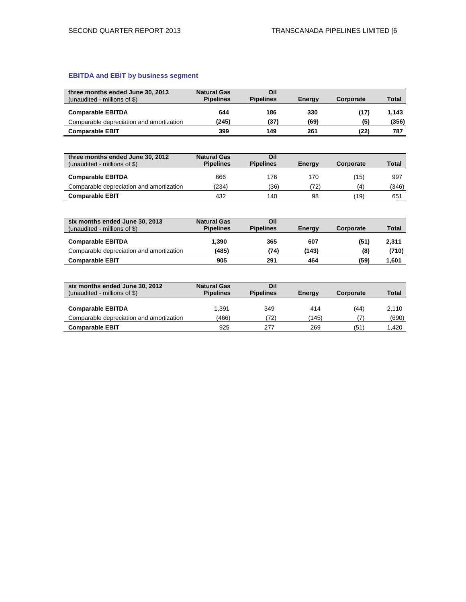## **EBITDA and EBIT by business segment**

| three months ended June 30, 2013<br>(unaudited - millions of \$) | <b>Natural Gas</b><br><b>Pipelines</b> | Oil<br><b>Pipelines</b> | Energy | Corporate | Total |
|------------------------------------------------------------------|----------------------------------------|-------------------------|--------|-----------|-------|
| <b>Comparable EBITDA</b>                                         | 644                                    | 186                     | 330    | (17)      | 1.143 |
| Comparable depreciation and amortization                         | (245)                                  | (37)                    | (69)   | (5)       | (356) |
| <b>Comparable EBIT</b>                                           | 399                                    | 149                     | 261    | (22)      | 787   |

| three months ended June 30, 2012<br>(unaudited - millions of \$) | <b>Natural Gas</b><br><b>Pipelines</b> | Oil<br><b>Pipelines</b> | Energy | Corporate | Total |
|------------------------------------------------------------------|----------------------------------------|-------------------------|--------|-----------|-------|
| <b>Comparable EBITDA</b>                                         | 666                                    | 176                     | 170    | (15)      | 997   |
| Comparable depreciation and amortization                         | (234)                                  | (36)                    | '72)   | (4)       | (346) |
| <b>Comparable EBIT</b>                                           | 432                                    | 140                     | 98     | '19)      | 651   |

| six months ended June 30, 2013<br>(unaudited - millions of \$) | <b>Natural Gas</b><br><b>Pipelines</b> | Oil<br><b>Pipelines</b> | Energy | Corporate | <b>Total</b> |
|----------------------------------------------------------------|----------------------------------------|-------------------------|--------|-----------|--------------|
| <b>Comparable EBITDA</b>                                       | 1.390                                  | 365                     | 607    | (51)      | 2.311        |
| Comparable depreciation and amortization                       | (485)                                  | (74)                    | (143)  | (8)       | (710)        |
| <b>Comparable EBIT</b>                                         | 905                                    | 291                     | 464    | (59)      | 1,601        |

| six months ended June 30, 2012<br>(unaudited - millions of \$) | <b>Natural Gas</b><br><b>Pipelines</b> | Oil<br><b>Pipelines</b> | Energy | Corporate | <b>Total</b> |
|----------------------------------------------------------------|----------------------------------------|-------------------------|--------|-----------|--------------|
| <b>Comparable EBITDA</b>                                       | 1.391                                  | 349                     | 414    | (44)      | 2.110        |
| Comparable depreciation and amortization                       | (466)                                  | '72)                    | (145   |           | (690)        |
| <b>Comparable EBIT</b>                                         | 925                                    | 277                     | 269    | (51)      | 1.420        |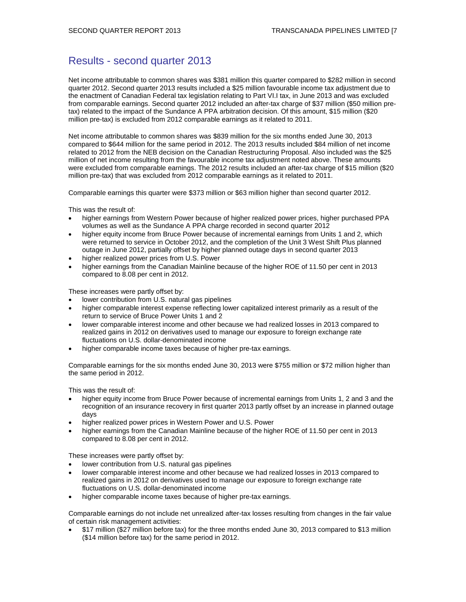# Results - second quarter 2013

Net income attributable to common shares was \$381 million this quarter compared to \$282 million in second quarter 2012. Second quarter 2013 results included a \$25 million favourable income tax adjustment due to the enactment of Canadian Federal tax legislation relating to Part VI.I tax, in June 2013 and was excluded from comparable earnings. Second quarter 2012 included an after-tax charge of \$37 million (\$50 million pretax) related to the impact of the Sundance A PPA arbitration decision. Of this amount, \$15 million (\$20 million pre-tax) is excluded from 2012 comparable earnings as it related to 2011.

Net income attributable to common shares was \$839 million for the six months ended June 30, 2013 compared to \$644 million for the same period in 2012. The 2013 results included \$84 million of net income related to 2012 from the NEB decision on the Canadian Restructuring Proposal. Also included was the \$25 million of net income resulting from the favourable income tax adjustment noted above. These amounts were excluded from comparable earnings. The 2012 results included an after-tax charge of \$15 million (\$20 million pre-tax) that was excluded from 2012 comparable earnings as it related to 2011.

Comparable earnings this quarter were \$373 million or \$63 million higher than second quarter 2012.

This was the result of:

- higher earnings from Western Power because of higher realized power prices, higher purchased PPA volumes as well as the Sundance A PPA charge recorded in second quarter 2012
- higher equity income from Bruce Power because of incremental earnings from Units 1 and 2, which were returned to service in October 2012, and the completion of the Unit 3 West Shift Plus planned outage in June 2012, partially offset by higher planned outage days in second quarter 2013
- higher realized power prices from U.S. Power
- higher earnings from the Canadian Mainline because of the higher ROE of 11.50 per cent in 2013 compared to 8.08 per cent in 2012.

These increases were partly offset by:

- lower contribution from U.S. natural gas pipelines
- higher comparable interest expense reflecting lower capitalized interest primarily as a result of the return to service of Bruce Power Units 1 and 2
- lower comparable interest income and other because we had realized losses in 2013 compared to realized gains in 2012 on derivatives used to manage our exposure to foreign exchange rate fluctuations on U.S. dollar-denominated income
- higher comparable income taxes because of higher pre-tax earnings.

Comparable earnings for the six months ended June 30, 2013 were \$755 million or \$72 million higher than the same period in 2012.

This was the result of:

- higher equity income from Bruce Power because of incremental earnings from Units 1, 2 and 3 and the recognition of an insurance recovery in first quarter 2013 partly offset by an increase in planned outage days
- higher realized power prices in Western Power and U.S. Power
- higher earnings from the Canadian Mainline because of the higher ROE of 11.50 per cent in 2013 compared to 8.08 per cent in 2012.

These increases were partly offset by:

- lower contribution from U.S. natural gas pipelines
- lower comparable interest income and other because we had realized losses in 2013 compared to realized gains in 2012 on derivatives used to manage our exposure to foreign exchange rate fluctuations on U.S. dollar-denominated income
- higher comparable income taxes because of higher pre-tax earnings.

Comparable earnings do not include net unrealized after-tax losses resulting from changes in the fair value of certain risk management activities:

• \$17 million (\$27 million before tax) for the three months ended June 30, 2013 compared to \$13 million (\$14 million before tax) for the same period in 2012.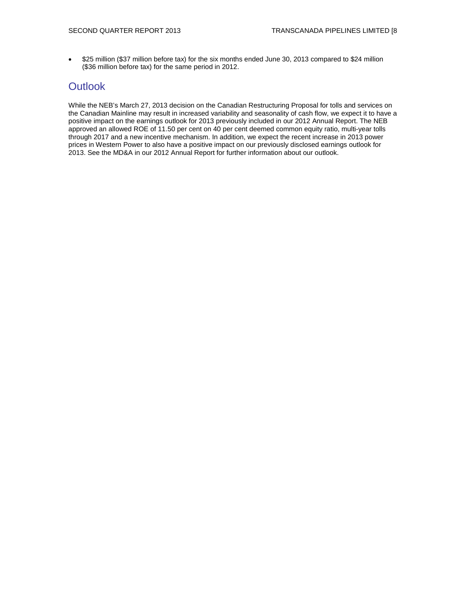• \$25 million (\$37 million before tax) for the six months ended June 30, 2013 compared to \$24 million (\$36 million before tax) for the same period in 2012.

# **Outlook**

While the NEB's March 27, 2013 decision on the Canadian Restructuring Proposal for tolls and services on the Canadian Mainline may result in increased variability and seasonality of cash flow, we expect it to have a positive impact on the earnings outlook for 2013 previously included in our 2012 Annual Report. The NEB approved an allowed ROE of 11.50 per cent on 40 per cent deemed common equity ratio, multi-year tolls through 2017 and a new incentive mechanism. In addition, we expect the recent increase in 2013 power prices in Western Power to also have a positive impact on our previously disclosed earnings outlook for 2013. See the MD&A in our 2012 Annual Report for further information about our outlook.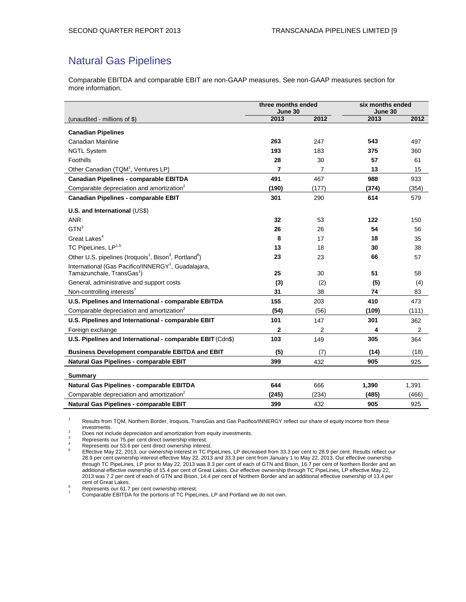# Natural Gas Pipelines

Comparable EBITDA and comparable EBIT are non-GAAP measures. See non-GAAP measures section for more information.

|                                                                                                          | three months ended<br>June 30 |       | six months ended<br>June 30 |           |
|----------------------------------------------------------------------------------------------------------|-------------------------------|-------|-----------------------------|-----------|
| (unaudited - millions of \$)                                                                             | 2013                          | 2012  | 2013                        | 2012      |
| <b>Canadian Pipelines</b>                                                                                |                               |       |                             |           |
| Canadian Mainline                                                                                        | 263                           | 247   | 543                         | 497       |
| <b>NGTL System</b>                                                                                       | 193                           | 183   | 375                         | 360       |
| Foothills                                                                                                | 28                            | 30    | 57                          | 61        |
| Other Canadian (TQM <sup>1</sup> , Ventures LP)                                                          | 7                             | 7     | 13                          | 15        |
| Canadian Pipelines - comparable EBITDA                                                                   | 491                           | 467   | 988                         | 933       |
| Comparable depreciation and amortization <sup>2</sup>                                                    | (190)                         | (177) | (374)                       | (354)     |
| Canadian Pipelines - comparable EBIT                                                                     | 301                           | 290   | 614                         | 579       |
| U.S. and International (US\$)                                                                            |                               |       |                             |           |
| <b>ANR</b>                                                                                               | 32                            | 53    | 122                         | 150       |
| GTN <sup>3</sup>                                                                                         | 26                            | 26    | 54                          | 56        |
| Great Lakes <sup>4</sup>                                                                                 | 8                             | 17    | 18                          | 35        |
| TC PipeLines, LP <sup>1,5</sup>                                                                          | 13                            | 18    | 30                          | 38        |
| Other U.S. pipelines (Iroquois <sup>1</sup> , Bison <sup>3</sup> , Portland <sup>6</sup> )               | 23                            | 23    | 66                          | 57        |
| International (Gas Pacifico/INNERGY <sup>1</sup> , Guadalajara,<br>Tamazunchale, TransGas <sup>1</sup> ) | 25                            | 30    | 51                          | 58        |
| General, administrative and support costs                                                                | (3)                           | (2)   | (5)                         |           |
| Non-controlling interests <sup>7</sup>                                                                   | 31                            | 38    | 74                          | (4)<br>83 |
| U.S. Pipelines and International - comparable EBITDA                                                     | 155                           | 203   | 410                         | 473       |
| Comparable depreciation and amortization <sup>2</sup>                                                    | (54)                          | (56)  | (109)                       | (111)     |
|                                                                                                          | 101                           | 147   | 301                         | 362       |
| U.S. Pipelines and International - comparable EBIT                                                       | $\overline{2}$                |       |                             |           |
| Foreign exchange                                                                                         |                               | 2     | 4                           | 2         |
| U.S. Pipelines and International - comparable EBIT (Cdn\$)                                               | 103                           | 149   | 305                         | 364       |
| <b>Business Development comparable EBITDA and EBIT</b>                                                   | (5)                           | (7)   | (14)                        | (18)      |
| Natural Gas Pipelines - comparable EBIT                                                                  | 399                           | 432   | 905                         | 925       |
| <b>Summary</b>                                                                                           |                               |       |                             |           |
| Natural Gas Pipelines - comparable EBITDA                                                                | 644                           | 666   | 1,390                       | 1,391     |
| Comparable depreciation and amortization <sup>2</sup>                                                    | (245)                         | (234) | (485)                       | (466)     |
| Natural Gas Pipelines - comparable EBIT                                                                  | 399                           | 432   | 905                         | 925       |

Results from TQM, Northern Border, Iroquois, TransGas and Gas Pacifico/INNERGY reflect our share of equity income from these investments.

The structure of the preciation and amortization from equity investments.<br>
The presents our 75 per cent direct ownership interest.<br>
Represents our 53.6 per cent direct ownership interest.<br>
Fifective May 22, 2013, our owner 28.9 per cent ownership interest effective May 22, 2013 and 33.3 per cent from January 1 to May 22, 2013. Our effective ownership through TC PipeLines, LP prior to May 22, 2013 was 8.3 per cent of each of GTN and Bison, 16.7 per cent of Northern Border and an additional effective ownership of 15.4 per cent of Great Lakes. Our effective ownership through TC PipeLines, LP effective May 22, 2013 was 7.2 per cent of each of GTN and Bison, 14.4 per cent of Northern Border and an additional effective ownership of 13.4 per

cent of Great Lakes. <sup>6</sup> Represents our 61.7 per cent ownership interest. <sup>7</sup> Comparable EBITDA for the portions of TC PipeLines, LP and Portland we do not own.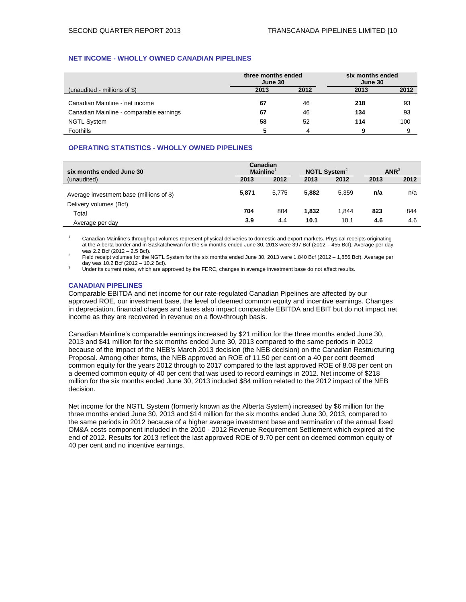## **NET INCOME - WHOLLY OWNED CANADIAN PIPELINES**

|                                         |      | three months ended<br>June 30 |      | six months ended<br>June 30 |
|-----------------------------------------|------|-------------------------------|------|-----------------------------|
| (unaudited - millions of \$)            | 2013 | 2012                          | 2013 | 2012                        |
| Canadian Mainline - net income          | 67   | 46                            | 218  | 93                          |
| Canadian Mainline - comparable earnings | 67   | 46                            | 134  | 93                          |
| <b>NGTL System</b>                      | 58   | 52                            | 114  | 100                         |
| Foothills                               |      | Δ                             | 9    | 9                           |

### **OPERATING STATISTICS - WHOLLY OWNED PIPELINES**

| six months ended June 30                                           | Canadian<br><b>Mainline</b> |            | NGTL System <sup>2</sup> |               |            | ANR <sup>3</sup> |  |
|--------------------------------------------------------------------|-----------------------------|------------|--------------------------|---------------|------------|------------------|--|
| (unaudited)                                                        | 2013                        | 2012       | 2013                     | 2012          | 2013       | 2012             |  |
| Average investment base (millions of \$)<br>Delivery volumes (Bcf) | 5.871                       | 5.775      | 5.882                    | 5.359         | n/a        | n/a              |  |
| Total<br>Average per day                                           | 704<br>3.9                  | 804<br>4.4 | 1.832<br>10.1            | 1.844<br>10.1 | 823<br>4.6 | 844<br>4.6       |  |

<sup>1</sup> Canadian Mainline's throughput volumes represent physical deliveries to domestic and export markets. Physical receipts originating at the Alberta border and in Saskatchewan for the six months ended June 30, 2013 were 397 Bcf (2012 – 455 Bcf). Average per day was 2.2 Bcf (2012 – 2.5 Bcf).

Field receipt volumes for the NGTL System for the six months ended June 30, 2013 were 1,840 Bcf (2012 – 1,856 Bcf). Average per<br>day was 10.2 Bcf (2012 – 10.2 Bcf).

 $\frac{d}{dx}$  Under its current rates, which are approved by the FERC, changes in average investment base do not affect results.

### **CANADIAN PIPELINES**

Comparable EBITDA and net income for our rate-regulated Canadian Pipelines are affected by our approved ROE, our investment base, the level of deemed common equity and incentive earnings. Changes in depreciation, financial charges and taxes also impact comparable EBITDA and EBIT but do not impact net income as they are recovered in revenue on a flow-through basis.

Canadian Mainline's comparable earnings increased by \$21 million for the three months ended June 30, 2013 and \$41 million for the six months ended June 30, 2013 compared to the same periods in 2012 because of the impact of the NEB's March 2013 decision (the NEB decision) on the Canadian Restructuring Proposal. Among other items, the NEB approved an ROE of 11.50 per cent on a 40 per cent deemed common equity for the years 2012 through to 2017 compared to the last approved ROE of 8.08 per cent on a deemed common equity of 40 per cent that was used to record earnings in 2012. Net income of \$218 million for the six months ended June 30, 2013 included \$84 million related to the 2012 impact of the NEB decision.

Net income for the NGTL System (formerly known as the Alberta System) increased by \$6 million for the three months ended June 30, 2013 and \$14 million for the six months ended June 30, 2013, compared to the same periods in 2012 because of a higher average investment base and termination of the annual fixed OM&A costs component included in the 2010 - 2012 Revenue Requirement Settlement which expired at the end of 2012. Results for 2013 reflect the last approved ROE of 9.70 per cent on deemed common equity of 40 per cent and no incentive earnings.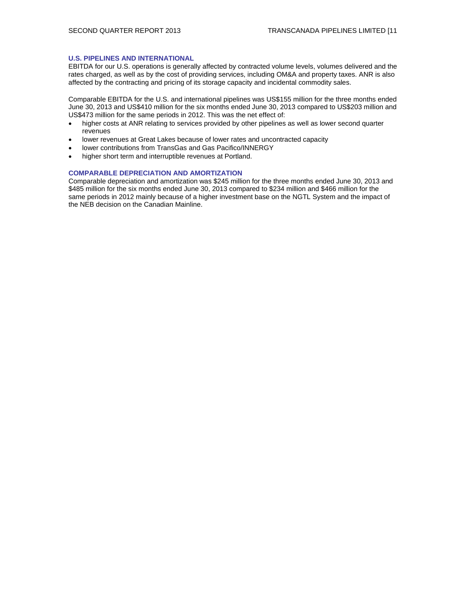## **U.S. PIPELINES AND INTERNATIONAL**

EBITDA for our U.S. operations is generally affected by contracted volume levels, volumes delivered and the rates charged, as well as by the cost of providing services, including OM&A and property taxes. ANR is also affected by the contracting and pricing of its storage capacity and incidental commodity sales.

Comparable EBITDA for the U.S. and international pipelines was US\$155 million for the three months ended June 30, 2013 and US\$410 million for the six months ended June 30, 2013 compared to US\$203 million and US\$473 million for the same periods in 2012. This was the net effect of:

- higher costs at ANR relating to services provided by other pipelines as well as lower second quarter revenues
- lower revenues at Great Lakes because of lower rates and uncontracted capacity
- lower contributions from TransGas and Gas Pacifico/INNERGY
- higher short term and interruptible revenues at Portland.

## **COMPARABLE DEPRECIATION AND AMORTIZATION**

Comparable depreciation and amortization was \$245 million for the three months ended June 30, 2013 and \$485 million for the six months ended June 30, 2013 compared to \$234 million and \$466 million for the same periods in 2012 mainly because of a higher investment base on the NGTL System and the impact of the NEB decision on the Canadian Mainline.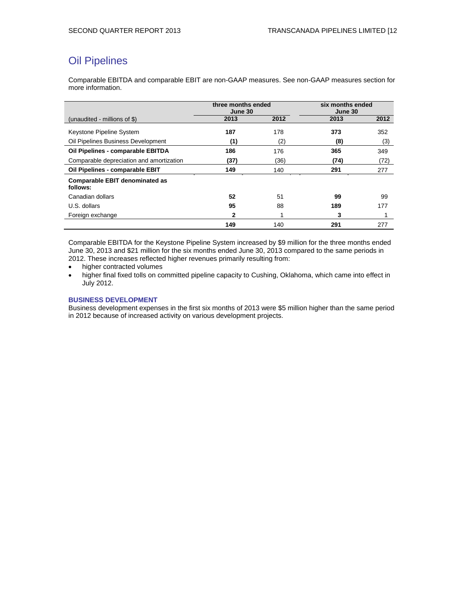# Oil Pipelines

Comparable EBITDA and comparable EBIT are non-GAAP measures. See non-GAAP measures section for more information.

|                                            | three months ended<br>June 30 |      | six months ended<br>June 30 |      |
|--------------------------------------------|-------------------------------|------|-----------------------------|------|
| (unaudited - millions of \$)               | 2013                          | 2012 | 2013                        | 2012 |
| Keystone Pipeline System                   | 187                           | 178  | 373                         | 352  |
| Oil Pipelines Business Development         | (1)                           | (2)  | (8)                         | (3)  |
| Oil Pipelines - comparable EBITDA          | 186                           | 176  | 365                         | 349  |
| Comparable depreciation and amortization   | (37)                          | (36) | (74)                        | (72) |
| Oil Pipelines - comparable EBIT            | 149                           | 140  | 291                         | 277  |
| Comparable EBIT denominated as<br>follows: |                               |      |                             |      |
| Canadian dollars                           | 52                            | 51   | 99                          | 99   |
| U.S. dollars                               | 95                            | 88   | 189                         | 177  |
| Foreign exchange                           | 2                             |      | 3                           |      |
|                                            | 149                           | 140  | 291                         | 277  |

Comparable EBITDA for the Keystone Pipeline System increased by \$9 million for the three months ended June 30, 2013 and \$21 million for the six months ended June 30, 2013 compared to the same periods in 2012. These increases reflected higher revenues primarily resulting from:

- higher contracted volumes
- higher final fixed tolls on committed pipeline capacity to Cushing, Oklahoma, which came into effect in July 2012.

### **BUSINESS DEVELOPMENT**

Business development expenses in the first six months of 2013 were \$5 million higher than the same period in 2012 because of increased activity on various development projects.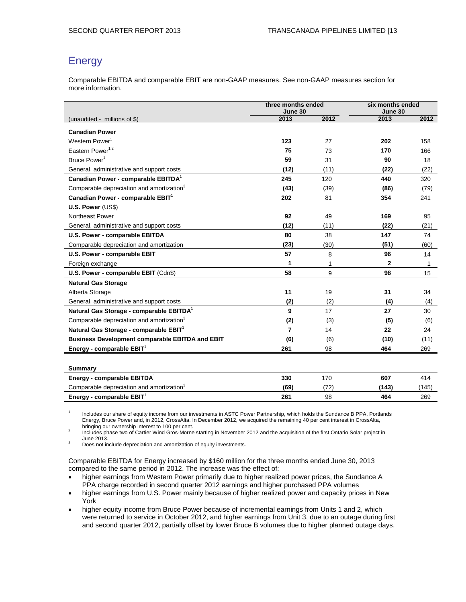# **Energy**

Comparable EBITDA and comparable EBIT are non-GAAP measures. See non-GAAP measures section for more information.

|                                                        | three months ended<br>June 30 |      | six months ended<br>June 30 |       |
|--------------------------------------------------------|-------------------------------|------|-----------------------------|-------|
| (unaudited - millions of \$)                           | 2013                          | 2012 | 2013                        | 2012  |
| <b>Canadian Power</b>                                  |                               |      |                             |       |
| Western Power <sup>1</sup>                             | 123                           | 27   | 202                         | 158   |
| Eastern Power <sup>1,2</sup>                           | 75                            | 73   | 170                         | 166   |
| Bruce Power <sup>1</sup>                               | 59                            | 31   | 90                          | 18    |
| General, administrative and support costs              | (12)                          | (11) | (22)                        | (22)  |
| Canadian Power - comparable EBITDA <sup>1</sup>        | 245                           | 120  | 440                         | 320   |
| Comparable depreciation and amortization <sup>3</sup>  | (43)                          | (39) | (86)                        | (79)  |
| Canadian Power - comparable $EBIT1$                    | 202                           | 81   | 354                         | 241   |
| U.S. Power (US\$)                                      |                               |      |                             |       |
| Northeast Power                                        | 92                            | 49   | 169                         | 95    |
| General, administrative and support costs              | (12)                          | (11) | (22)                        | (21)  |
| U.S. Power - comparable EBITDA                         | 80                            | 38   | 147                         | 74    |
| Comparable depreciation and amortization               | (23)                          | (30) | (51)                        | (60)  |
| U.S. Power - comparable EBIT                           | 57                            | 8    | 96                          | 14    |
| Foreign exchange                                       | 1                             | 1    | 2                           | 1     |
| U.S. Power - comparable EBIT (Cdn\$)                   | 58                            | 9    | 98                          | 15    |
| <b>Natural Gas Storage</b>                             |                               |      |                             |       |
| Alberta Storage                                        | 11                            | 19   | 31                          | 34    |
| General, administrative and support costs              | (2)                           | (2)  | (4)                         | (4)   |
| Natural Gas Storage - comparable EBITDA                | 9                             | 17   | 27                          | 30    |
| Comparable depreciation and amortization <sup>3</sup>  | (2)                           | (3)  | (5)                         | (6)   |
| Natural Gas Storage - comparable EBIT <sup>1</sup>     | $\overline{7}$                | 14   | 22                          | 24    |
| <b>Business Development comparable EBITDA and EBIT</b> | (6)                           | (6)  | (10)                        | (11)  |
| Energy - comparable $EBIT1$                            | 261                           | 98   | 464                         | 269   |
|                                                        |                               |      |                             |       |
| <b>Summary</b>                                         |                               |      |                             |       |
| Energy - comparable $EBITDA1$                          | 330                           | 170  | 607                         | 414   |
| Comparable depreciation and amortization <sup>3</sup>  | (69)                          | (72) | (143)                       | (145) |

**Energy - comparable EBIT**<sup>1</sup> **261** 98 **464** 269  $1$  Includes our share of equity income from our investments in ASTC Power Partnership, which holds the Sundance B PPA, Portlands

Energy, Bruce Power and, in 2012, CrossAlta. In December 2012, we acquired the remaining 40 per cent interest in CrossAlta,

bringing our ownership interest to 100 per cent.<br><sup>2</sup> Includes phase two of Cartier Wind Gros-Morne starting in November 2012 and the acquisition of the first Ontario Solar project in<br>3 June 2013.

 $\frac{3}{3}$  Does not include depreciation and amortization of equity investments.

Comparable EBITDA for Energy increased by \$160 million for the three months ended June 30, 2013 compared to the same period in 2012. The increase was the effect of:

- higher earnings from Western Power primarily due to higher realized power prices, the Sundance A PPA charge recorded in second quarter 2012 earnings and higher purchased PPA volumes
- higher earnings from U.S. Power mainly because of higher realized power and capacity prices in New York
- higher equity income from Bruce Power because of incremental earnings from Units 1 and 2, which were returned to service in October 2012, and higher earnings from Unit 3, due to an outage during first and second quarter 2012, partially offset by lower Bruce B volumes due to higher planned outage days.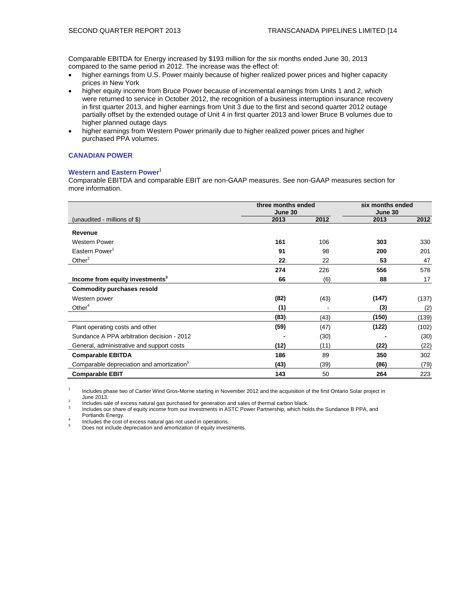Comparable EBITDA for Energy increased by \$193 million for the six months ended June 30, 2013 compared to the same period in 2012. The increase was the effect of:

- higher earnings from U.S. Power mainly because of higher realized power prices and higher capacity prices in New York
- higher equity income from Bruce Power because of incremental earnings from Units 1 and 2, which were returned to service in October 2012, the recognition of a business interruption insurance recovery in first quarter 2013, and higher earnings from Unit 3 due to the first and second quarter 2012 outage partially offset by the extended outage of Unit 4 in first quarter 2013 and lower Bruce B volumes due to higher planned outage days
- higher earnings from Western Power primarily due to higher realized power prices and higher purchased PPA volumes.

## **CANADIAN POWER**

#### **Western and Eastern Power**<sup>1</sup>

Comparable EBITDA and comparable EBIT are non-GAAP measures. See non-GAAP measures section for more information.

|                                                       | three months ended |      | six months ended |       |
|-------------------------------------------------------|--------------------|------|------------------|-------|
|                                                       | June 30            |      | June 30          |       |
| (unaudited - millions of \$)                          | 2013               | 2012 | 2013             | 2012  |
| Revenue                                               |                    |      |                  |       |
| <b>Western Power</b>                                  | 161                | 106  | 303              | 330   |
| Eastern Power <sup>1</sup>                            | 91                 | 98   | 200              | 201   |
| Other $2$                                             | 22                 | 22   | 53               | 47    |
|                                                       | 274                | 226  | 556              | 578   |
| Income from equity investments <sup>3</sup>           | 66                 | (6)  | 88               | 17    |
| <b>Commodity purchases resold</b>                     |                    |      |                  |       |
| Western power                                         | (82)               | (43) | (147)            | (137) |
| Other $4$                                             | (1)                |      | (3)              | (2)   |
|                                                       | (83)               | (43) | (150)            | (139) |
| Plant operating costs and other                       | (59)               | (47) | (122)            | (102) |
| Sundance A PPA arbitration decision - 2012            |                    | (30) |                  | (30)  |
| General, administrative and support costs             | (12)               | (11) | (22)             | (22)  |
| <b>Comparable EBITDA</b>                              | 186                | 89   | 350              | 302   |
| Comparable depreciation and amortization <sup>5</sup> | (43)               | (39) | (86)             | (79)  |
| <b>Comparable EBIT</b>                                | 143                | 50   | 264              | 223   |

<sup>1</sup> Includes phase two of Cartier Wind Gros-Morne starting in November 2012 and the acquisition of the first Ontario Solar project in<br>June 2013.

Includes sale of excess natural gas purchased for generation and sales of thermal carbon black.<br>Includes our share of equity income from our investments in ASTC Power Partnership, which holds the Sundance B PPA, and<br>Portla

 $P_1$  Includes the cost of excess natural gas not used in operations.<br>
Does not include depreciation and amortization of equity investments.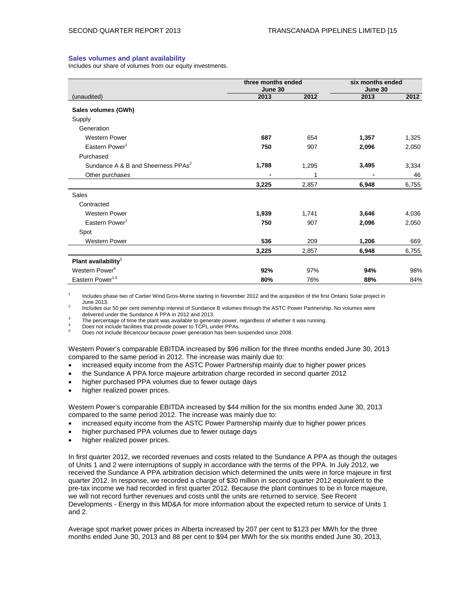### **Sales volumes and plant availability**

Includes our share of volumes from our equity investments.

|                                                | three months ended<br>June 30 |       | six months ended<br>June 30 |       |
|------------------------------------------------|-------------------------------|-------|-----------------------------|-------|
| (unaudited)                                    | 2013                          | 2012  | 2013                        | 2012  |
| Sales volumes (GWh)                            |                               |       |                             |       |
| Supply                                         |                               |       |                             |       |
| Generation                                     |                               |       |                             |       |
| Western Power                                  | 687                           | 654   | 1,357                       | 1,325 |
| Eastern Power <sup>1</sup>                     | 750                           | 907   | 2,096                       | 2,050 |
| Purchased                                      |                               |       |                             |       |
| Sundance A & B and Sheerness PPAs <sup>2</sup> | 1,788                         | 1,295 | 3,495                       | 3,334 |
| Other purchases                                |                               |       |                             | 46    |
|                                                | 3,225                         | 2,857 | 6,948                       | 6,755 |
| Sales                                          |                               |       |                             |       |
| Contracted                                     |                               |       |                             |       |
| <b>Western Power</b>                           | 1,939                         | 1,741 | 3,646                       | 4,036 |
| Eastern Power <sup>1</sup>                     | 750                           | 907   | 2,096                       | 2,050 |
| Spot                                           |                               |       |                             |       |
| <b>Western Power</b>                           | 536                           | 209   | 1,206                       | 669   |
|                                                | 3,225                         | 2,857 | 6,948                       | 6,755 |
| Plant availability <sup>3</sup>                |                               |       |                             |       |
| Western Power <sup>4</sup>                     | 92%                           | 97%   | 94%                         | 98%   |
| Eastern Power <sup>1,5</sup>                   | 80%                           | 76%   | 88%                         | 84%   |

<sup>1</sup> Includes phase two of Cartier Wind Gros-Morne starting in November 2012 and the acquisition of the first Ontario Solar project in

June 2013.<br><sup>2</sup> Includes our 50 per cent ownership interest of Sundance B volumes through the ASTC Power Partnership. No volumes were<br>delivered under the Sundance A PPA in 2012 and 2013.

The percentage of time the plant was available to generate power, regardless of whether it was running.<br>The percentage of time the plant was available to generate power, regardless of whether it was running.<br>Does not inclu

Western Power's comparable EBITDA increased by \$96 million for the three months ended June 30, 2013 compared to the same period in 2012. The increase was mainly due to:

- increased equity income from the ASTC Power Partnership mainly due to higher power prices
- the Sundance A PPA force majeure arbitration charge recorded in second quarter 2012
- higher purchased PPA volumes due to fewer outage days
- higher realized power prices.

Western Power's comparable EBITDA increased by \$44 million for the six months ended June 30, 2013 compared to the same period 2012. The increase was mainly due to:

- increased equity income from the ASTC Power Partnership mainly due to higher power prices
- higher purchased PPA volumes due to fewer outage days
- higher realized power prices.

In first quarter 2012, we recorded revenues and costs related to the Sundance A PPA as though the outages of Units 1 and 2 were interruptions of supply in accordance with the terms of the PPA. In July 2012, we received the Sundance A PPA arbitration decision which determined the units were in force majeure in first quarter 2012. In response, we recorded a charge of \$30 million in second quarter 2012 equivalent to the pre-tax income we had recorded in first quarter 2012. Because the plant continues to be in force majeure, we will not record further revenues and costs until the units are returned to service. See Recent Developments - Energy in this MD&A for more information about the expected return to service of Units 1 and 2.

Average spot market power prices in Alberta increased by 207 per cent to \$123 per MWh for the three months ended June 30, 2013 and 88 per cent to \$94 per MWh for the six months ended June 30, 2013,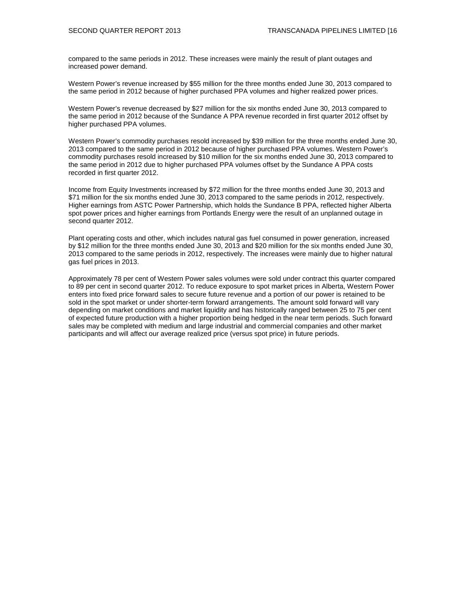compared to the same periods in 2012. These increases were mainly the result of plant outages and increased power demand.

Western Power's revenue increased by \$55 million for the three months ended June 30, 2013 compared to the same period in 2012 because of higher purchased PPA volumes and higher realized power prices.

Western Power's revenue decreased by \$27 million for the six months ended June 30, 2013 compared to the same period in 2012 because of the Sundance A PPA revenue recorded in first quarter 2012 offset by higher purchased PPA volumes.

Western Power's commodity purchases resold increased by \$39 million for the three months ended June 30, 2013 compared to the same period in 2012 because of higher purchased PPA volumes. Western Power's commodity purchases resold increased by \$10 million for the six months ended June 30, 2013 compared to the same period in 2012 due to higher purchased PPA volumes offset by the Sundance A PPA costs recorded in first quarter 2012.

Income from Equity Investments increased by \$72 million for the three months ended June 30, 2013 and \$71 million for the six months ended June 30, 2013 compared to the same periods in 2012, respectively. Higher earnings from ASTC Power Partnership, which holds the Sundance B PPA, reflected higher Alberta spot power prices and higher earnings from Portlands Energy were the result of an unplanned outage in second quarter 2012.

Plant operating costs and other, which includes natural gas fuel consumed in power generation, increased by \$12 million for the three months ended June 30, 2013 and \$20 million for the six months ended June 30, 2013 compared to the same periods in 2012, respectively. The increases were mainly due to higher natural gas fuel prices in 2013.

Approximately 78 per cent of Western Power sales volumes were sold under contract this quarter compared to 89 per cent in second quarter 2012. To reduce exposure to spot market prices in Alberta, Western Power enters into fixed price forward sales to secure future revenue and a portion of our power is retained to be sold in the spot market or under shorter-term forward arrangements. The amount sold forward will vary depending on market conditions and market liquidity and has historically ranged between 25 to 75 per cent of expected future production with a higher proportion being hedged in the near term periods. Such forward sales may be completed with medium and large industrial and commercial companies and other market participants and will affect our average realized price (versus spot price) in future periods.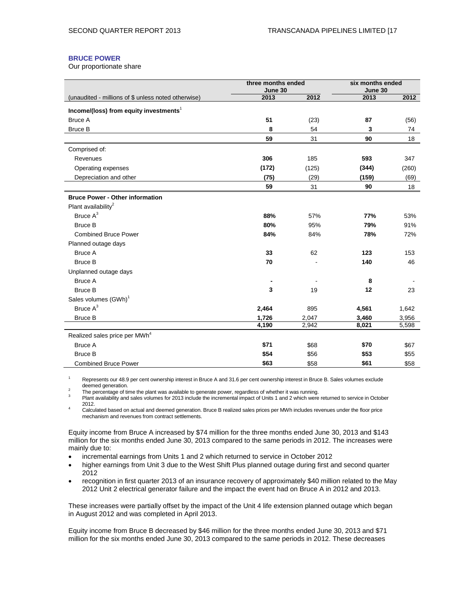## **BRUCE POWER**

Our proportionate share

|                                                     | three months ended<br>June 30 |       | six months ended<br>June 30 |       |
|-----------------------------------------------------|-------------------------------|-------|-----------------------------|-------|
| (unaudited - millions of \$ unless noted otherwise) | 2013                          | 2012  | 2013                        | 2012  |
| Income/(loss) from equity investments <sup>1</sup>  |                               |       |                             |       |
| <b>Bruce A</b>                                      | 51                            | (23)  | 87                          | (56)  |
| <b>Bruce B</b>                                      | 8                             | 54    | 3                           | 74    |
|                                                     | 59                            | 31    | 90                          | 18    |
| Comprised of:                                       |                               |       |                             |       |
| Revenues                                            | 306                           | 185   | 593                         | 347   |
| Operating expenses                                  | (172)                         | (125) | (344)                       | (260) |
| Depreciation and other                              | (75)                          | (29)  | (159)                       | (69)  |
|                                                     | 59                            | 31    | 90                          | 18    |
| <b>Bruce Power - Other information</b>              |                               |       |                             |       |
| Plant availability <sup>2</sup>                     |                               |       |                             |       |
| Bruce A <sup>3</sup>                                | 88%                           | 57%   | 77%                         | 53%   |
| <b>Bruce B</b>                                      | 80%                           | 95%   | 79%                         | 91%   |
| <b>Combined Bruce Power</b>                         | 84%                           | 84%   | 78%                         | 72%   |
| Planned outage days                                 |                               |       |                             |       |
| <b>Bruce A</b>                                      | 33                            | 62    | 123                         | 153   |
| <b>Bruce B</b>                                      | 70                            |       | 140                         | 46    |
| Unplanned outage days                               |                               |       |                             |       |
| <b>Bruce A</b>                                      |                               |       | 8                           |       |
| <b>Bruce B</b>                                      | 3                             | 19    | 12                          | 23    |
| Sales volumes (GWh) <sup>1</sup>                    |                               |       |                             |       |
| Bruce $A^3$                                         | 2,464                         | 895   | 4,561                       | 1,642 |
| <b>Bruce B</b>                                      | 1,726                         | 2,047 | 3,460                       | 3,956 |
|                                                     | 4,190                         | 2,942 | 8,021                       | 5,598 |
| Realized sales price per MWh <sup>4</sup>           |                               |       |                             |       |
| <b>Bruce A</b>                                      | \$71                          | \$68  | \$70                        | \$67  |
| <b>Bruce B</b>                                      | \$54                          | \$56  | \$53                        | \$55  |
| <b>Combined Bruce Power</b>                         | \$63                          | \$58  | \$61                        | \$58  |

1 Represents our 48.9 per cent ownership interest in Bruce A and 31.6 per cent ownership interest in Bruce B. Sales volumes exclude<br>deemed generation.

The percentage of time the plant was available to generate power, regardless of whether it was running.<br>
The percentage of time the plant was available to generate power, regardless of whether it was running.<br>
2012.<br>
2012.

2012. <sup>4</sup> Calculated based on actual and deemed generation. Bruce B realized sales prices per MWh includes revenues under the floor price mechanism and revenues from contract settlements.

Equity income from Bruce A increased by \$74 million for the three months ended June 30, 2013 and \$143 million for the six months ended June 30, 2013 compared to the same periods in 2012. The increases were mainly due to:

- incremental earnings from Units 1 and 2 which returned to service in October 2012
- higher earnings from Unit 3 due to the West Shift Plus planned outage during first and second quarter 2012
- recognition in first quarter 2013 of an insurance recovery of approximately \$40 million related to the May 2012 Unit 2 electrical generator failure and the impact the event had on Bruce A in 2012 and 2013.

These increases were partially offset by the impact of the Unit 4 life extension planned outage which began in August 2012 and was completed in April 2013.

Equity income from Bruce B decreased by \$46 million for the three months ended June 30, 2013 and \$71 million for the six months ended June 30, 2013 compared to the same periods in 2012. These decreases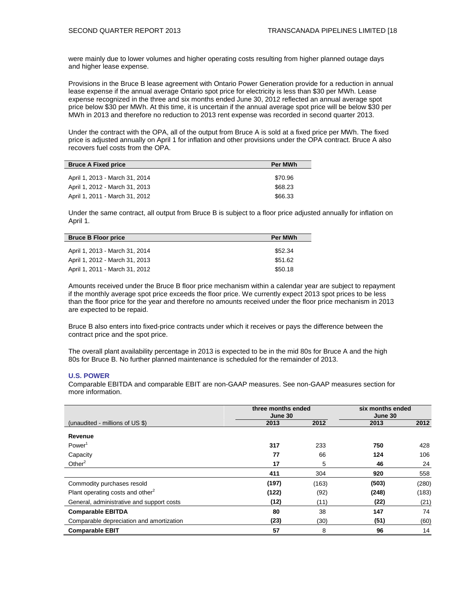were mainly due to lower volumes and higher operating costs resulting from higher planned outage days and higher lease expense.

Provisions in the Bruce B lease agreement with Ontario Power Generation provide for a reduction in annual lease expense if the annual average Ontario spot price for electricity is less than \$30 per MWh. Lease expense recognized in the three and six months ended June 30, 2012 reflected an annual average spot price below \$30 per MWh. At this time, it is uncertain if the annual average spot price will be below \$30 per MWh in 2013 and therefore no reduction to 2013 rent expense was recorded in second quarter 2013.

Under the contract with the OPA, all of the output from Bruce A is sold at a fixed price per MWh. The fixed price is adjusted annually on April 1 for inflation and other provisions under the OPA contract. Bruce A also recovers fuel costs from the OPA.

| <b>Bruce A Fixed price</b>     | Per MWh |
|--------------------------------|---------|
| April 1, 2013 - March 31, 2014 | \$70.96 |
| April 1, 2012 - March 31, 2013 | \$68.23 |
| April 1, 2011 - March 31, 2012 | \$66.33 |

Under the same contract, all output from Bruce B is subject to a floor price adjusted annually for inflation on April 1.

| <b>Bruce B Floor price</b>     | Per MWh |
|--------------------------------|---------|
| April 1, 2013 - March 31, 2014 | \$52.34 |
| April 1, 2012 - March 31, 2013 | \$51.62 |
| April 1, 2011 - March 31, 2012 | \$50.18 |

Amounts received under the Bruce B floor price mechanism within a calendar year are subject to repayment if the monthly average spot price exceeds the floor price. We currently expect 2013 spot prices to be less than the floor price for the year and therefore no amounts received under the floor price mechanism in 2013 are expected to be repaid.

Bruce B also enters into fixed-price contracts under which it receives or pays the difference between the contract price and the spot price.

The overall plant availability percentage in 2013 is expected to be in the mid 80s for Bruce A and the high 80s for Bruce B. No further planned maintenance is scheduled for the remainder of 2013.

### **U.S. POWER**

Comparable EBITDA and comparable EBIT are non-GAAP measures. See non-GAAP measures section for more information.

|                                              | three months ended<br>June 30 |       | six months ended<br>June 30 |       |  |
|----------------------------------------------|-------------------------------|-------|-----------------------------|-------|--|
| (unaudited - millions of US \$)              | 2013                          | 2012  | 2013                        | 2012  |  |
| Revenue                                      |                               |       |                             |       |  |
| Power <sup>1</sup>                           | 317                           | 233   | 750                         | 428   |  |
| Capacity                                     | 77                            | 66    | 124                         | 106   |  |
| Other $^2$                                   | 17                            | 5     | 46                          | 24    |  |
|                                              | 411                           | 304   | 920                         | 558   |  |
| Commodity purchases resold                   | (197)                         | (163) | (503)                       | (280) |  |
| Plant operating costs and other <sup>2</sup> | (122)                         | (92)  | (248)                       | (183) |  |
| General, administrative and support costs    | (12)                          | (11)  | (22)                        | (21)  |  |
| <b>Comparable EBITDA</b>                     | 80                            | 38    | 147                         | 74    |  |
| Comparable depreciation and amortization     | (23)                          | (30)  | (51)                        | (60)  |  |
| <b>Comparable EBIT</b>                       | 57                            | 8     | 96                          | 14    |  |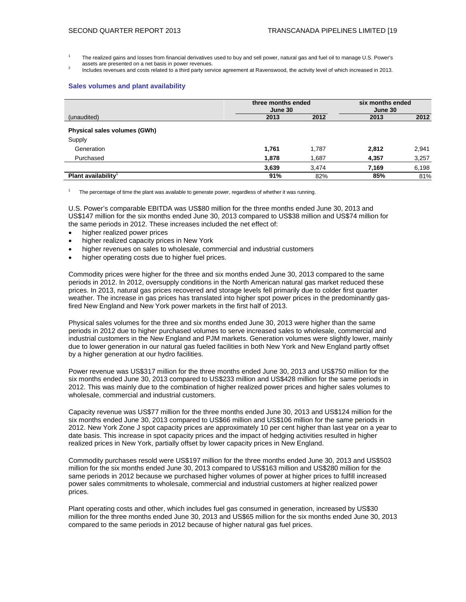- <sup>1</sup> The realized gains and losses from financial derivatives used to buy and sell power, natural gas and fuel oil to manage U.S. Power's assets are presented on a net basis in power revenues.
- assets are presented on a net basis in power revenues.<br><sup>2</sup> Includes revenues and costs related to a third party service agreement at Ravenswood, the activity level of which increased in 2013.

#### **Sales volumes and plant availability**

|                              | June 30 | three months ended |       | six months ended<br>June 30 |  |
|------------------------------|---------|--------------------|-------|-----------------------------|--|
| (unaudited)                  | 2013    | 2012               | 2013  | 2012                        |  |
| Physical sales volumes (GWh) |         |                    |       |                             |  |
| Supply                       |         |                    |       |                             |  |
| Generation                   | 1,761   | 1,787              | 2,812 | 2,941                       |  |
| Purchased                    | 1,878   | 1,687              | 4,357 | 3,257                       |  |
|                              | 3,639   | 3.474              | 7.169 | 6,198                       |  |
| Plant availability           | 91%     | 82%                | 85%   | 81%                         |  |

The percentage of time the plant was available to generate power, regardless of whether it was running.

U.S. Power's comparable EBITDA was US\$80 million for the three months ended June 30, 2013 and US\$147 million for the six months ended June 30, 2013 compared to US\$38 million and US\$74 million for the same periods in 2012. These increases included the net effect of:

- higher realized power prices
- higher realized capacity prices in New York
- higher revenues on sales to wholesale, commercial and industrial customers
- higher operating costs due to higher fuel prices.

Commodity prices were higher for the three and six months ended June 30, 2013 compared to the same periods in 2012. In 2012, oversupply conditions in the North American natural gas market reduced these prices. In 2013, natural gas prices recovered and storage levels fell primarily due to colder first quarter weather. The increase in gas prices has translated into higher spot power prices in the predominantly gasfired New England and New York power markets in the first half of 2013.

Physical sales volumes for the three and six months ended June 30, 2013 were higher than the same periods in 2012 due to higher purchased volumes to serve increased sales to wholesale, commercial and industrial customers in the New England and PJM markets. Generation volumes were slightly lower, mainly due to lower generation in our natural gas fueled facilities in both New York and New England partly offset by a higher generation at our hydro facilities.

Power revenue was US\$317 million for the three months ended June 30, 2013 and US\$750 million for the six months ended June 30, 2013 compared to US\$233 million and US\$428 million for the same periods in 2012. This was mainly due to the combination of higher realized power prices and higher sales volumes to wholesale, commercial and industrial customers.

Capacity revenue was US\$77 million for the three months ended June 30, 2013 and US\$124 million for the six months ended June 30, 2013 compared to US\$66 million and US\$106 million for the same periods in 2012. New York Zone J spot capacity prices are approximately 10 per cent higher than last year on a year to date basis. This increase in spot capacity prices and the impact of hedging activities resulted in higher realized prices in New York, partially offset by lower capacity prices in New England.

Commodity purchases resold were US\$197 million for the three months ended June 30, 2013 and US\$503 million for the six months ended June 30, 2013 compared to US\$163 million and US\$280 million for the same periods in 2012 because we purchased higher volumes of power at higher prices to fulfill increased power sales commitments to wholesale, commercial and industrial customers at higher realized power prices.

Plant operating costs and other, which includes fuel gas consumed in generation, increased by US\$30 million for the three months ended June 30, 2013 and US\$65 million for the six months ended June 30, 2013 compared to the same periods in 2012 because of higher natural gas fuel prices.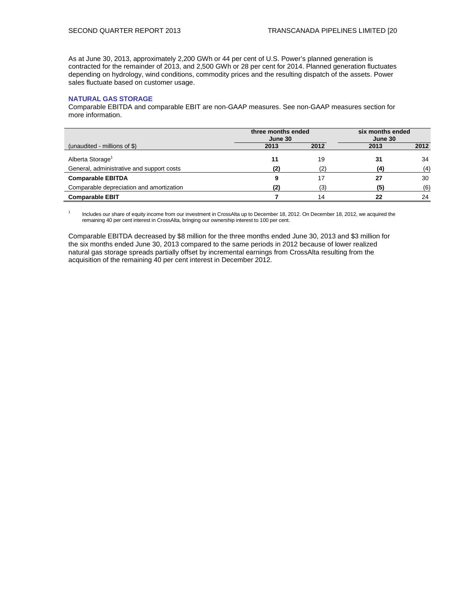As at June 30, 2013, approximately 2,200 GWh or 44 per cent of U.S. Power's planned generation is contracted for the remainder of 2013, and 2,500 GWh or 28 per cent for 2014. Planned generation fluctuates depending on hydrology, wind conditions, commodity prices and the resulting dispatch of the assets. Power sales fluctuate based on customer usage.

### **NATURAL GAS STORAGE**

Comparable EBITDA and comparable EBIT are non-GAAP measures. See non-GAAP measures section for more information.

|                                           | June 30 | three months ended |      | six months ended<br>June 30 |  |
|-------------------------------------------|---------|--------------------|------|-----------------------------|--|
| (unaudited - millions of \$)              | 2013    | 2012               | 2013 | 2012                        |  |
| Alberta Storage <sup>1</sup>              | 11      | 19                 | 31   | 34                          |  |
| General, administrative and support costs |         | (2                 | (4)  | (4)                         |  |
| <b>Comparable EBITDA</b>                  |         | 17                 | 27   | 30                          |  |
| Comparable depreciation and amortization  |         | (3)                | (5)  | (6)                         |  |
| <b>Comparable EBIT</b>                    |         | 14                 | 22   | 24                          |  |

<sup>1</sup> Includes our share of equity income from our investment in CrossAlta up to December 18, 2012. On December 18, 2012, we acquired the remaining 40 per cent interest in CrossAlta, bringing our ownership interest to 100 per cent.

Comparable EBITDA decreased by \$8 million for the three months ended June 30, 2013 and \$3 million for the six months ended June 30, 2013 compared to the same periods in 2012 because of lower realized natural gas storage spreads partially offset by incremental earnings from CrossAlta resulting from the acquisition of the remaining 40 per cent interest in December 2012.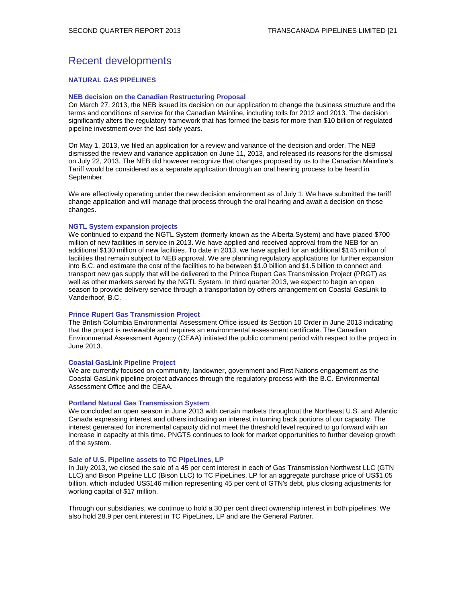# Recent developments

## **NATURAL GAS PIPELINES**

#### **NEB decision on the Canadian Restructuring Proposal**

On March 27, 2013, the NEB issued its decision on our application to change the business structure and the terms and conditions of service for the Canadian Mainline, including tolls for 2012 and 2013. The decision significantly alters the regulatory framework that has formed the basis for more than \$10 billion of regulated pipeline investment over the last sixty years.

On May 1, 2013, we filed an application for a review and variance of the decision and order. The NEB dismissed the review and variance application on June 11, 2013, and released its reasons for the dismissal on July 22, 2013. The NEB did however recognize that changes proposed by us to the Canadian Mainline's Tariff would be considered as a separate application through an oral hearing process to be heard in September.

We are effectively operating under the new decision environment as of July 1. We have submitted the tariff change application and will manage that process through the oral hearing and await a decision on those changes.

### **NGTL System expansion projects**

We continued to expand the NGTL System (formerly known as the Alberta System) and have placed \$700 million of new facilities in service in 2013. We have applied and received approval from the NEB for an additional \$130 million of new facilities. To date in 2013, we have applied for an additional \$145 million of facilities that remain subject to NEB approval. We are planning regulatory applications for further expansion into B.C. and estimate the cost of the facilities to be between \$1.0 billion and \$1.5 billion to connect and transport new gas supply that will be delivered to the Prince Rupert Gas Transmission Project (PRGT) as well as other markets served by the NGTL System. In third quarter 2013, we expect to begin an open season to provide delivery service through a transportation by others arrangement on Coastal GasLink to Vanderhoof, B.C.

#### **Prince Rupert Gas Transmission Project**

The British Columbia Environmental Assessment Office issued its Section 10 Order in June 2013 indicating that the project is reviewable and requires an environmental assessment certificate. The Canadian Environmental Assessment Agency (CEAA) initiated the public comment period with respect to the project in June 2013.

#### **Coastal GasLink Pipeline Project**

We are currently focused on community, landowner, government and First Nations engagement as the Coastal GasLink pipeline project advances through the regulatory process with the B.C. Environmental Assessment Office and the CEAA.

#### **Portland Natural Gas Transmission System**

We concluded an open season in June 2013 with certain markets throughout the Northeast U.S. and Atlantic Canada expressing interest and others indicating an interest in turning back portions of our capacity. The interest generated for incremental capacity did not meet the threshold level required to go forward with an increase in capacity at this time. PNGTS continues to look for market opportunities to further develop growth of the system.

#### **Sale of U.S. Pipeline assets to TC PipeLines, LP**

In July 2013, we closed the sale of a 45 per cent interest in each of Gas Transmission Northwest LLC (GTN LLC) and Bison Pipeline LLC (Bison LLC) to TC PipeLines, LP for an aggregate purchase price of US\$1.05 billion, which included US\$146 million representing 45 per cent of GTN's debt, plus closing adjustments for working capital of \$17 million.

Through our subsidiaries, we continue to hold a 30 per cent direct ownership interest in both pipelines. We also hold 28.9 per cent interest in TC PipeLines, LP and are the General Partner.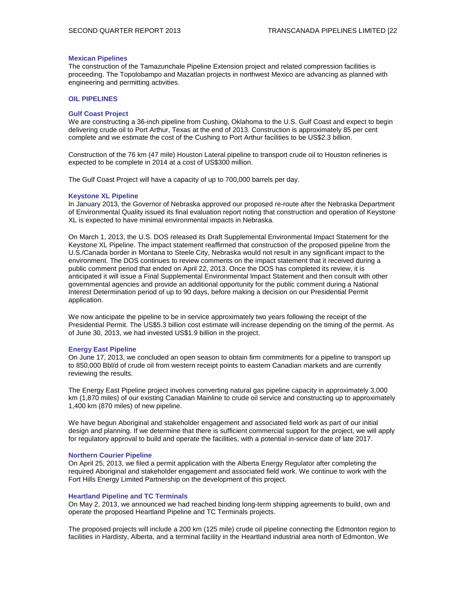#### **Mexican Pipelines**

The construction of the Tamazunchale Pipeline Extension project and related compression facilities is proceeding. The Topolobampo and Mazatlan projects in northwest Mexico are advancing as planned with engineering and permitting activities.

#### **OIL PIPELINES**

#### **Gulf Coast Project**

We are constructing a 36-inch pipeline from Cushing, Oklahoma to the U.S. Gulf Coast and expect to begin delivering crude oil to Port Arthur, Texas at the end of 2013. Construction is approximately 85 per cent complete and we estimate the cost of the Cushing to Port Arthur facilities to be US\$2.3 billion.

Construction of the 76 km (47 mile) Houston Lateral pipeline to transport crude oil to Houston refineries is expected to be complete in 2014 at a cost of US\$300 million.

The Gulf Coast Project will have a capacity of up to 700,000 barrels per day.

#### **Keystone XL Pipeline**

In January 2013, the Governor of Nebraska approved our proposed re-route after the Nebraska Department of Environmental Quality issued its final evaluation report noting that construction and operation of Keystone XL is expected to have minimal environmental impacts in Nebraska.

On March 1, 2013, the U.S. DOS released its Draft Supplemental Environmental Impact Statement for the Keystone XL Pipeline. The impact statement reaffirmed that construction of the proposed pipeline from the U.S./Canada border in Montana to Steele City, Nebraska would not result in any significant impact to the environment. The DOS continues to review comments on the impact statement that it received during a public comment period that ended on April 22, 2013. Once the DOS has completed its review, it is anticipated it will issue a Final Supplemental Environmental Impact Statement and then consult with other governmental agencies and provide an additional opportunity for the public comment during a National Interest Determination period of up to 90 days, before making a decision on our Presidential Permit application.

We now anticipate the pipeline to be in service approximately two years following the receipt of the Presidential Permit. The US\$5.3 billion cost estimate will increase depending on the timing of the permit. As of June 30, 2013, we had invested US\$1.9 billion in the project.

#### **Energy East Pipeline**

On June 17, 2013, we concluded an open season to obtain firm commitments for a pipeline to transport up to 850,000 Bbl/d of crude oil from western receipt points to eastern Canadian markets and are currently reviewing the results.

The Energy East Pipeline project involves converting natural gas pipeline capacity in approximately 3,000 km (1,870 miles) of our existing Canadian Mainline to crude oil service and constructing up to approximately 1,400 km (870 miles) of new pipeline.

We have begun Aboriginal and stakeholder engagement and associated field work as part of our initial design and planning. If we determine that there is sufficient commercial support for the project, we will apply for regulatory approval to build and operate the facilities, with a potential in-service date of late 2017.

#### **Northern Courier Pipeline**

On April 25, 2013, we filed a permit application with the Alberta Energy Regulator after completing the required Aboriginal and stakeholder engagement and associated field work. We continue to work with the Fort Hills Energy Limited Partnership on the development of this project.

#### **Heartland Pipeline and TC Terminals**

On May 2, 2013, we announced we had reached binding long-term shipping agreements to build, own and operate the proposed Heartland Pipeline and TC Terminals projects.

The proposed projects will include a 200 km (125 mile) crude oil pipeline connecting the Edmonton region to facilities in Hardisty, Alberta, and a terminal facility in the Heartland industrial area north of Edmonton. We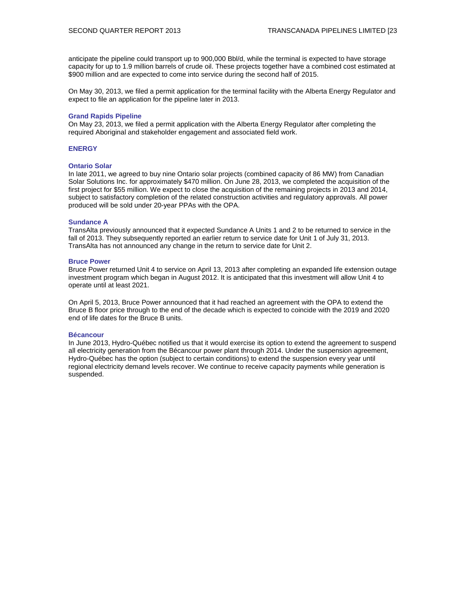anticipate the pipeline could transport up to 900,000 Bbl/d, while the terminal is expected to have storage capacity for up to 1.9 million barrels of crude oil. These projects together have a combined cost estimated at \$900 million and are expected to come into service during the second half of 2015.

On May 30, 2013, we filed a permit application for the terminal facility with the Alberta Energy Regulator and expect to file an application for the pipeline later in 2013.

#### **Grand Rapids Pipeline**

On May 23, 2013, we filed a permit application with the Alberta Energy Regulator after completing the required Aboriginal and stakeholder engagement and associated field work.

### **ENERGY**

#### **Ontario Solar**

In late 2011, we agreed to buy nine Ontario solar projects (combined capacity of 86 MW) from Canadian Solar Solutions Inc. for approximately \$470 million. On June 28, 2013, we completed the acquisition of the first project for \$55 million. We expect to close the acquisition of the remaining projects in 2013 and 2014, subject to satisfactory completion of the related construction activities and regulatory approvals. All power produced will be sold under 20-year PPAs with the OPA.

#### **Sundance A**

TransAlta previously announced that it expected Sundance A Units 1 and 2 to be returned to service in the fall of 2013. They subsequently reported an earlier return to service date for Unit 1 of July 31, 2013. TransAlta has not announced any change in the return to service date for Unit 2.

#### **Bruce Power**

Bruce Power returned Unit 4 to service on April 13, 2013 after completing an expanded life extension outage investment program which began in August 2012. It is anticipated that this investment will allow Unit 4 to operate until at least 2021.

On April 5, 2013, Bruce Power announced that it had reached an agreement with the OPA to extend the Bruce B floor price through to the end of the decade which is expected to coincide with the 2019 and 2020 end of life dates for the Bruce B units.

#### **Bécancour**

In June 2013, Hydro-Québec notified us that it would exercise its option to extend the agreement to suspend all electricity generation from the Bécancour power plant through 2014. Under the suspension agreement, Hydro-Québec has the option (subject to certain conditions) to extend the suspension every year until regional electricity demand levels recover. We continue to receive capacity payments while generation is suspended.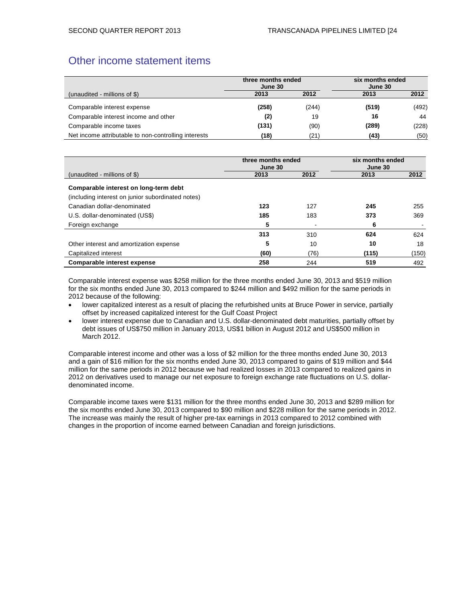# Other income statement items

|                                                      | three months ended<br>June 30 |       | six months ended<br>June 30 |       |
|------------------------------------------------------|-------------------------------|-------|-----------------------------|-------|
| (unaudited - millions of $$$ )                       | 2013                          | 2012  | 2013                        | 2012  |
| Comparable interest expense                          | (258)                         | (244) | (519)                       | (492) |
| Comparable interest income and other                 | (2)                           | 19    | 16                          | 44    |
| Comparable income taxes                              | (131)                         | (90)  | (289)                       | (228) |
| Net income attributable to non-controlling interests | (18)                          | (21)  | (43)                        | (50)  |

|                                                   | three months ended<br>June 30 |      | six months ended<br>June 30 |       |
|---------------------------------------------------|-------------------------------|------|-----------------------------|-------|
| (unaudited - millions of \$)                      | 2013                          | 2012 | 2013                        | 2012  |
| Comparable interest on long-term debt             |                               |      |                             |       |
| (including interest on junior subordinated notes) |                               |      |                             |       |
| Canadian dollar-denominated                       | 123                           | 127  | 245                         | 255   |
| U.S. dollar-denominated (US\$)                    | 185                           | 183  | 373                         | 369   |
| Foreign exchange                                  | 5                             |      | 6                           |       |
|                                                   | 313                           | 310  | 624                         | 624   |
| Other interest and amortization expense           | 5                             | 10   | 10                          | 18    |
| Capitalized interest                              | (60)                          | (76) | (115)                       | (150) |
| Comparable interest expense                       | 258                           | 244  | 519                         | 492   |

Comparable interest expense was \$258 million for the three months ended June 30, 2013 and \$519 million for the six months ended June 30, 2013 compared to \$244 million and \$492 million for the same periods in 2012 because of the following:

- lower capitalized interest as a result of placing the refurbished units at Bruce Power in service, partially offset by increased capitalized interest for the Gulf Coast Project
- lower interest expense due to Canadian and U.S. dollar-denominated debt maturities, partially offset by debt issues of US\$750 million in January 2013, US\$1 billion in August 2012 and US\$500 million in March 2012.

Comparable interest income and other was a loss of \$2 million for the three months ended June 30, 2013 and a gain of \$16 million for the six months ended June 30, 2013 compared to gains of \$19 million and \$44 million for the same periods in 2012 because we had realized losses in 2013 compared to realized gains in 2012 on derivatives used to manage our net exposure to foreign exchange rate fluctuations on U.S. dollardenominated income.

Comparable income taxes were \$131 million for the three months ended June 30, 2013 and \$289 million for the six months ended June 30, 2013 compared to \$90 million and \$228 million for the same periods in 2012. The increase was mainly the result of higher pre-tax earnings in 2013 compared to 2012 combined with changes in the proportion of income earned between Canadian and foreign jurisdictions.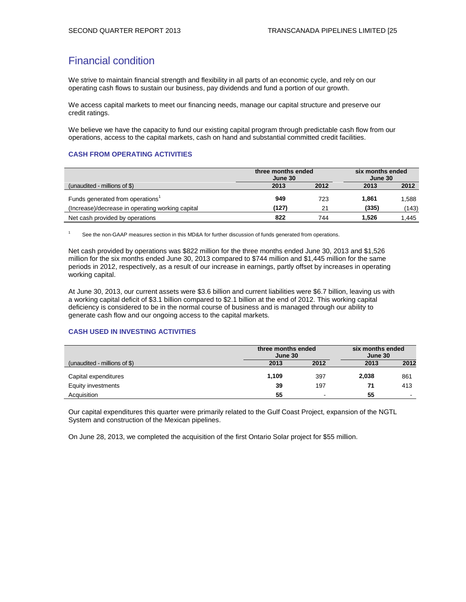# Financial condition

We strive to maintain financial strength and flexibility in all parts of an economic cycle, and rely on our operating cash flows to sustain our business, pay dividends and fund a portion of our growth.

We access capital markets to meet our financing needs, manage our capital structure and preserve our credit ratings.

We believe we have the capacity to fund our existing capital program through predictable cash flow from our operations, access to the capital markets, cash on hand and substantial committed credit facilities.

## **CASH FROM OPERATING ACTIVITIES**

|                                                  | three months ended<br>June 30 |      | six months ended<br>June 30 |       |
|--------------------------------------------------|-------------------------------|------|-----------------------------|-------|
| (unaudited - millions of \$)                     | 2013                          | 2012 | 2013                        | 2012  |
| Funds generated from operations <sup>1</sup>     | 949                           | 723  | 1.861                       | 1.588 |
| (Increase)/decrease in operating working capital | (127)                         | 21   | (335)                       | (143) |
| Net cash provided by operations                  | 822                           | 744  | 1.526                       | 1.445 |

See the non-GAAP measures section in this MD&A for further discussion of funds generated from operations.

Net cash provided by operations was \$822 million for the three months ended June 30, 2013 and \$1,526 million for the six months ended June 30, 2013 compared to \$744 million and \$1,445 million for the same periods in 2012, respectively, as a result of our increase in earnings, partly offset by increases in operating working capital.

At June 30, 2013, our current assets were \$3.6 billion and current liabilities were \$6.7 billion, leaving us with a working capital deficit of \$3.1 billion compared to \$2.1 billion at the end of 2012. This working capital deficiency is considered to be in the normal course of business and is managed through our ability to generate cash flow and our ongoing access to the capital markets.

### **CASH USED IN INVESTING ACTIVITIES**

|                              | three months ended |        | six months ended |                |  |
|------------------------------|--------------------|--------|------------------|----------------|--|
|                              | June 30            |        |                  | June 30        |  |
| (unaudited - millions of \$) | 2013               | 2012   | 2013             | 2012           |  |
| Capital expenditures         | 1.109              | 397    | 2,038            | 861            |  |
| Equity investments           | 39                 | 197    | 71               | 413            |  |
| Acquisition                  | 55                 | $\sim$ | 55               | $\blacksquare$ |  |

Our capital expenditures this quarter were primarily related to the Gulf Coast Project, expansion of the NGTL System and construction of the Mexican pipelines.

On June 28, 2013, we completed the acquisition of the first Ontario Solar project for \$55 million.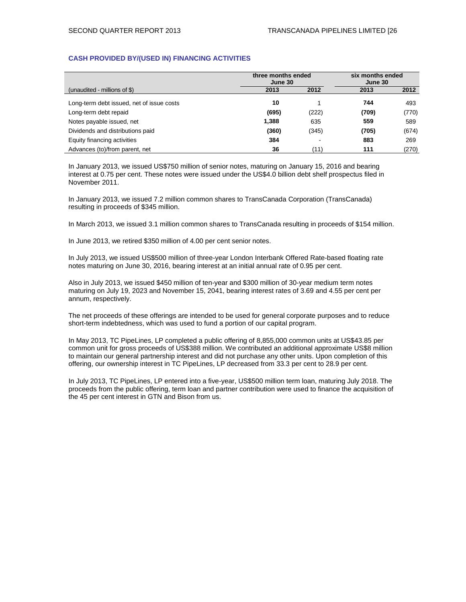## **CASH PROVIDED BY/(USED IN) FINANCING ACTIVITIES**

|                                           | three months ended<br>June 30 |       | six months ended<br>June 30 |       |
|-------------------------------------------|-------------------------------|-------|-----------------------------|-------|
| (unaudited - millions of \$)              | 2013                          | 2012  | 2013                        | 2012  |
| Long-term debt issued, net of issue costs | 10                            |       | 744                         | 493   |
| Long-term debt repaid                     | (695)                         | (222) | (709)                       | (770) |
| Notes payable issued, net                 | 1,388                         | 635   | 559                         | 589   |
| Dividends and distributions paid          | (360)                         | (345) | (705)                       | (674) |
| Equity financing activities               | 384                           |       | 883                         | 269   |
| Advances (to)/from parent, net            | 36                            | (11)  | 111                         | (270) |

In January 2013, we issued US\$750 million of senior notes, maturing on January 15, 2016 and bearing interest at 0.75 per cent. These notes were issued under the US\$4.0 billion debt shelf prospectus filed in November 2011.

In January 2013, we issued 7.2 million common shares to TransCanada Corporation (TransCanada) resulting in proceeds of \$345 million.

In March 2013, we issued 3.1 million common shares to TransCanada resulting in proceeds of \$154 million.

In June 2013, we retired \$350 million of 4.00 per cent senior notes.

In July 2013, we issued US\$500 million of three-year London Interbank Offered Rate-based floating rate notes maturing on June 30, 2016, bearing interest at an initial annual rate of 0.95 per cent.

Also in July 2013, we issued \$450 million of ten-year and \$300 million of 30-year medium term notes maturing on July 19, 2023 and November 15, 2041, bearing interest rates of 3.69 and 4.55 per cent per annum, respectively.

The net proceeds of these offerings are intended to be used for general corporate purposes and to reduce short-term indebtedness, which was used to fund a portion of our capital program.

In May 2013, TC PipeLines, LP completed a public offering of 8,855,000 common units at US\$43.85 per common unit for gross proceeds of US\$388 million. We contributed an additional approximate US\$8 million to maintain our general partnership interest and did not purchase any other units. Upon completion of this offering, our ownership interest in TC PipeLines, LP decreased from 33.3 per cent to 28.9 per cent.

In July 2013, TC PipeLines, LP entered into a five-year, US\$500 million term loan, maturing July 2018. The proceeds from the public offering, term loan and partner contribution were used to finance the acquisition of the 45 per cent interest in GTN and Bison from us.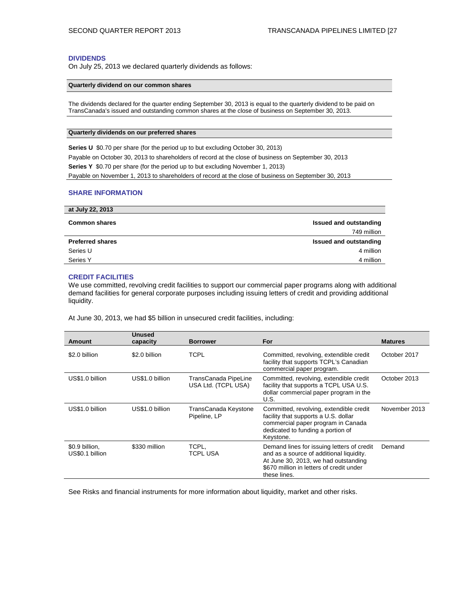### **DIVIDENDS**

On July 25, 2013 we declared quarterly dividends as follows:

#### **Quarterly dividend on our common shares**

The dividends declared for the quarter ending September 30, 2013 is equal to the quarterly dividend to be paid on TransCanada's issued and outstanding common shares at the close of business on September 30, 2013.

#### **Quarterly dividends on our preferred shares**

**Series U** \$0.70 per share (for the period up to but excluding October 30, 2013) Payable on October 30, 2013 to shareholders of record at the close of business on September 30, 2013 **Series Y** \$0.70 per share (for the period up to but excluding November 1, 2013) Payable on November 1, 2013 to shareholders of record at the close of business on September 30, 2013

#### **SHARE INFORMATION**

| at July 22, 2013        |                               |
|-------------------------|-------------------------------|
| <b>Common shares</b>    | <b>Issued and outstanding</b> |
|                         | 749 million                   |
| <b>Preferred shares</b> | <b>Issued and outstanding</b> |
| Series U                | 4 million                     |
| Series Y                | 4 million                     |

#### **CREDIT FACILITIES**

We use committed, revolving credit facilities to support our commercial paper programs along with additional demand facilities for general corporate purposes including issuing letters of credit and providing additional liquidity.

At June 30, 2013, we had \$5 billion in unsecured credit facilities, including:

| <b>Amount</b>                     | <b>Unused</b><br>capacity | <b>Borrower</b>                             | For                                                                                                                                                                                        | <b>Matures</b> |
|-----------------------------------|---------------------------|---------------------------------------------|--------------------------------------------------------------------------------------------------------------------------------------------------------------------------------------------|----------------|
| \$2.0 billion                     | \$2.0 billion             | <b>TCPL</b>                                 | Committed, revolving, extendible credit<br>facility that supports TCPL's Canadian<br>commercial paper program.                                                                             | October 2017   |
| US\$1.0 billion                   | US\$1.0 billion           | TransCanada PipeLine<br>USA Ltd. (TCPL USA) | Committed, revolving, extendible credit<br>facility that supports a TCPL USA U.S.<br>dollar commercial paper program in the<br>U.S.                                                        | October 2013   |
| US\$1.0 billion                   | US\$1.0 billion           | TransCanada Keystone<br>Pipeline, LP        | Committed, revolving, extendible credit<br>facility that supports a U.S. dollar<br>commercial paper program in Canada<br>dedicated to funding a portion of<br>Keystone.                    | November 2013  |
| \$0.9 billion,<br>US\$0.1 billion | \$330 million             | TCPL,<br><b>TCPL USA</b>                    | Demand lines for issuing letters of credit<br>and as a source of additional liquidity.<br>At June 30, 2013, we had outstanding<br>\$670 million in letters of credit under<br>these lines. | Demand         |

See Risks and financial instruments for more information about liquidity, market and other risks.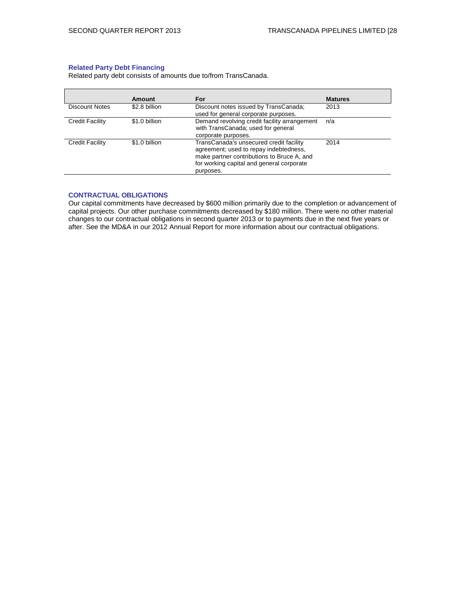## **Related Party Debt Financing**

Related party debt consists of amounts due to/from TransCanada.

|                       | Amount        | For                                                                                                                                                                                       | <b>Matures</b> |
|-----------------------|---------------|-------------------------------------------------------------------------------------------------------------------------------------------------------------------------------------------|----------------|
| <b>Discount Notes</b> | \$2.8 billion | Discount notes issued by TransCanada;<br>used for general corporate purposes.                                                                                                             | 2013           |
| Credit Facility       | \$1.0 billion | Demand revolving credit facility arrangement<br>with TransCanada; used for general<br>corporate purposes.                                                                                 | n/a            |
| Credit Facility       | \$1.0 billion | TransCanada's unsecured credit facility<br>agreement; used to repay indebtedness,<br>make partner contributions to Bruce A, and<br>for working capital and general corporate<br>purposes. | 2014           |

### **CONTRACTUAL OBLIGATIONS**

Our capital commitments have decreased by \$600 million primarily due to the completion or advancement of capital projects. Our other purchase commitments decreased by \$180 million. There were no other material changes to our contractual obligations in second quarter 2013 or to payments due in the next five years or after. See the MD&A in our 2012 Annual Report for more information about our contractual obligations.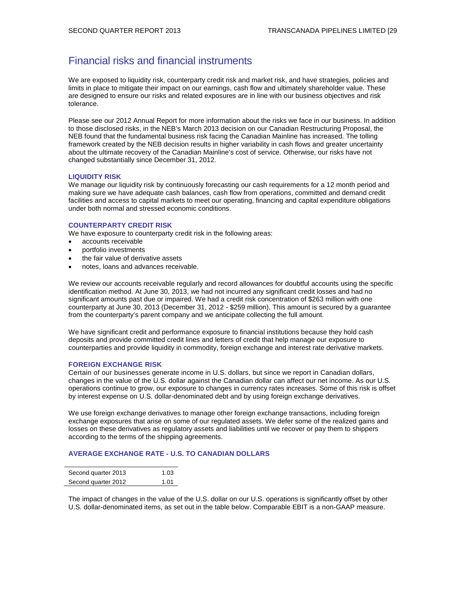# Financial risks and financial instruments

We are exposed to liquidity risk, counterparty credit risk and market risk, and have strategies, policies and limits in place to mitigate their impact on our earnings, cash flow and ultimately shareholder value. These are designed to ensure our risks and related exposures are in line with our business objectives and risk tolerance.

Please see our 2012 Annual Report for more information about the risks we face in our business. In addition to those disclosed risks, in the NEB's March 2013 decision on our Canadian Restructuring Proposal, the NEB found that the fundamental business risk facing the Canadian Mainline has increased. The tolling framework created by the NEB decision results in higher variability in cash flows and greater uncertainty about the ultimate recovery of the Canadian Mainline's cost of service. Otherwise, our risks have not changed substantially since December 31, 2012.

#### **LIQUIDITY RISK**

We manage our liquidity risk by continuously forecasting our cash requirements for a 12 month period and making sure we have adequate cash balances, cash flow from operations, committed and demand credit facilities and access to capital markets to meet our operating, financing and capital expenditure obligations under both normal and stressed economic conditions.

### **COUNTERPARTY CREDIT RISK**

We have exposure to counterparty credit risk in the following areas:

- accounts receivable
- portfolio investments
- the fair value of derivative assets
- notes, loans and advances receivable.

We review our accounts receivable regularly and record allowances for doubtful accounts using the specific identification method. At June 30, 2013, we had not incurred any significant credit losses and had no significant amounts past due or impaired. We had a credit risk concentration of \$263 million with one counterparty at June 30, 2013 (December 31, 2012 - \$259 million). This amount is secured by a guarantee from the counterparty's parent company and we anticipate collecting the full amount.

We have significant credit and performance exposure to financial institutions because they hold cash deposits and provide committed credit lines and letters of credit that help manage our exposure to counterparties and provide liquidity in commodity, foreign exchange and interest rate derivative markets.

#### **FOREIGN EXCHANGE RISK**

Certain of our businesses generate income in U.S. dollars, but since we report in Canadian dollars, changes in the value of the U.S. dollar against the Canadian dollar can affect our net income. As our U.S. operations continue to grow, our exposure to changes in currency rates increases. Some of this risk is offset by interest expense on U.S. dollar-denominated debt and by using foreign exchange derivatives.

We use foreign exchange derivatives to manage other foreign exchange transactions, including foreign exchange exposures that arise on some of our regulated assets. We defer some of the realized gains and losses on these derivatives as regulatory assets and liabilities until we recover or pay them to shippers according to the terms of the shipping agreements.

### **AVERAGE EXCHANGE RATE - U.S. TO CANADIAN DOLLARS**

| Second quarter 2013 | 1.03 |
|---------------------|------|
| Second quarter 2012 | 1.01 |

The impact of changes in the value of the U.S. dollar on our U.S. operations is significantly offset by other U.S. dollar-denominated items, as set out in the table below. Comparable EBIT is a non-GAAP measure.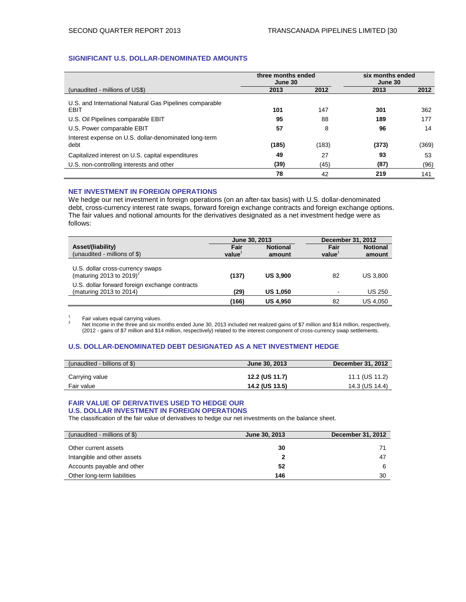## **SIGNIFICANT U.S. DOLLAR-DENOMINATED AMOUNTS**

|                                                                 | three months ended<br>June 30 |       | six months ended<br>June 30 |       |
|-----------------------------------------------------------------|-------------------------------|-------|-----------------------------|-------|
| (unaudited - millions of US\$)                                  | 2013                          | 2012  | 2013                        | 2012  |
| U.S. and International Natural Gas Pipelines comparable<br>EBIT | 101                           | 147   | 301                         | 362   |
| U.S. Oil Pipelines comparable EBIT                              | 95                            | 88    | 189                         | 177   |
|                                                                 |                               |       |                             |       |
| U.S. Power comparable EBIT                                      | 57                            | 8     | 96                          | 14    |
| Interest expense on U.S. dollar-denominated long-term<br>debt   | (185)                         | (183) | (373)                       | (369) |
| Capitalized interest on U.S. capital expenditures               | 49                            | 27    | 93                          | 53    |
| U.S. non-controlling interests and other                        | (39)                          | (45)  | (87)                        | (96)  |
|                                                                 | 78                            | 42    | 219                         | 141   |

### **NET INVESTMENT IN FOREIGN OPERATIONS**

We hedge our net investment in foreign operations (on an after-tax basis) with U.S. dollar-denominated debt, cross-currency interest rate swaps, forward foreign exchange contracts and foreign exchange options. The fair values and notional amounts for the derivatives designated as a net investment hedge were as follows:

|                                                                           |                            | June 30, 2013             |               | December 31, 2012         |
|---------------------------------------------------------------------------|----------------------------|---------------------------|---------------|---------------------------|
| Asset/(liability)<br>(unaudited - millions of \$)                         | Fair<br>value <sup>1</sup> | <b>Notional</b><br>amount | Fair<br>value | <b>Notional</b><br>amount |
| U.S. dollar cross-currency swaps<br>(maturing 2013 to 2019) <sup>2</sup>  | (137)                      | <b>US 3,900</b>           | 82            | <b>US 3,800</b>           |
| U.S. dollar forward foreign exchange contracts<br>(maturing 2013 to 2014) | (29)                       | <b>US 1,050</b>           |               | <b>US 250</b>             |
|                                                                           | (166)                      | <b>US 4,950</b>           | 82            | <b>US 4,050</b>           |

<sup>1</sup> Fair values equal carrying values.<br><sup>2</sup> Net Income in the three and six months ended June 30, 2013 included net realized gains of \$7 million and \$14 million, respectively, (2012 - gains of \$7 million and \$14 million, respectively) related to the interest component of cross-currency swap settlements.

#### **U.S. DOLLAR-DENOMINATED DEBT DESIGNATED AS A NET INVESTMENT HEDGE**

| (unaudited - billions of \$) | June 30, 2013  | December 31, 2012 |
|------------------------------|----------------|-------------------|
| Carrying value               | 12.2 (US 11.7) | 11.1 (US 11.2)    |
| Fair value                   | 14.2 (US 13.5) | 14.3 (US 14.4)    |

#### **FAIR VALUE OF DERIVATIVES USED TO HEDGE OUR U.S. DOLLAR INVESTMENT IN FOREIGN OPERATIONS**

The classification of the fair value of derivatives to hedge our net investments on the balance sheet.

| (unaudited - millions of \$) | June 30, 2013 | December 31, 2012 |
|------------------------------|---------------|-------------------|
| Other current assets         | 30            |                   |
| Intangible and other assets  |               | 47                |
| Accounts payable and other   | 52            |                   |
| Other long-term liabilities  | 146           | 30                |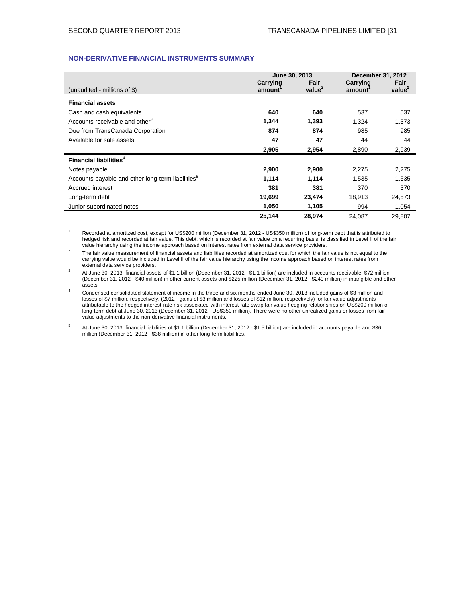## **NON-DERIVATIVE FINANCIAL INSTRUMENTS SUMMARY**

|                                                               | June 30, 2013                   |                            | December 31, 2012  |                   |  |
|---------------------------------------------------------------|---------------------------------|----------------------------|--------------------|-------------------|--|
| (unaudited - millions of \$)                                  | Carrying<br>amount <sup>'</sup> | Fair<br>value <sup>2</sup> | Carrying<br>amount | Fair<br>value $2$ |  |
| <b>Financial assets</b>                                       |                                 |                            |                    |                   |  |
| Cash and cash equivalents                                     | 640                             | 640                        | 537                | 537               |  |
| Accounts receivable and other <sup>3</sup>                    | 1,344                           | 1,393                      | 1,324              | 1,373             |  |
| Due from TransCanada Corporation                              | 874                             | 874                        | 985                | 985               |  |
| Available for sale assets                                     | 47                              | 47                         | 44                 | 44                |  |
|                                                               | 2,905                           | 2,954                      | 2,890              | 2,939             |  |
| <b>Financial liabilities<sup>4</sup></b>                      |                                 |                            |                    |                   |  |
| Notes payable                                                 | 2,900                           | 2,900                      | 2,275              | 2,275             |  |
| Accounts payable and other long-term liabilities <sup>5</sup> | 1,114                           | 1,114                      | 1,535              | 1,535             |  |
| Accrued interest                                              | 381                             | 381                        | 370                | 370               |  |
| Long-term debt                                                | 19,699                          | 23,474                     | 18.913             | 24,573            |  |
| Junior subordinated notes                                     | 1,050                           | 1,105                      | 994                | 1,054             |  |
|                                                               | 25,144                          | 28,974                     | 24,087             | 29,807            |  |

<sup>1</sup> Recorded at amortized cost, except for US\$200 million (December 31, 2012 - US\$350 million) of long-term debt that is attributed to hedged risk and recorded at fair value. This debt, which is recorded at fair value on a recurring basis, is classified in Level II of the fair value hierarchy using the income approach based on interest rates from external data service providers.

<sup>2</sup> The fair value measurement of financial assets and liabilities recorded at amortized cost for which the fair value is not equal to the carrying value would be included in Level II of the fair value hierarchy using the income approach based on interest rates from external data service providers.

<sup>3</sup> At June 30, 2013, financial assets of \$1.1 billion (December 31, 2012 - \$1.1 billion) are included in accounts receivable, \$72 million (December 31, 2012 - \$40 million) in other current assets and \$225 million (December 31, 2012 - \$240 million) in intangible and other assets.

<sup>4</sup> Condensed consolidated statement of income in the three and six months ended June 30, 2013 included gains of \$3 million and losses of \$7 million, respectively, (2012 - gains of \$3 million and losses of \$12 million, respectively) for fair value adjustments attributable to the hedged interest rate risk associated with interest rate swap fair value hedging relationships on US\$200 million of long-term debt at June 30, 2013 (December 31, 2012 - US\$350 million). There were no other unrealized gains or losses from fair value adjustments to the non-derivative financial instruments.

<sup>5</sup> At June 30, 2013, financial liabilities of \$1.1 billion (December 31, 2012 - \$1.5 billion) are included in accounts payable and \$36 million (December 31, 2012 - \$38 million) in other long-term liabilities.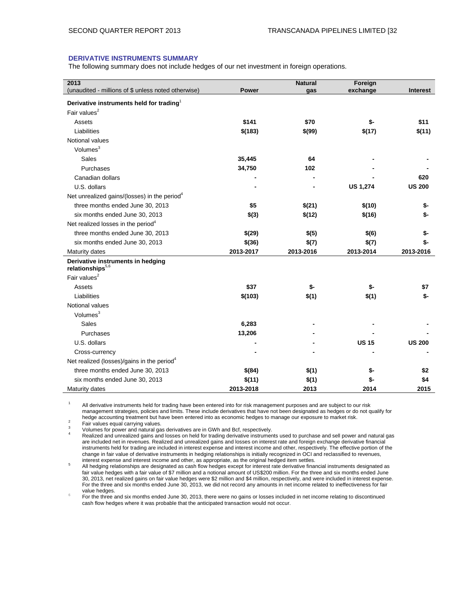## **DERIVATIVE INSTRUMENTS SUMMARY**

The following summary does not include hedges of our net investment in foreign operations.

| 2013                                                              |              | <b>Natural</b> | Foreign         |                 |
|-------------------------------------------------------------------|--------------|----------------|-----------------|-----------------|
| (unaudited - millions of \$ unless noted otherwise)               | <b>Power</b> | gas            | exchange        | <b>Interest</b> |
| Derivative instruments held for trading <sup>1</sup>              |              |                |                 |                 |
| Fair values <sup>2</sup>                                          |              |                |                 |                 |
| Assets                                                            | \$141        | \$70           | \$-             | \$11            |
| Liabilities                                                       | \$(183)      | \$(99)         | \$(17)          | \$(11)          |
| Notional values                                                   |              |                |                 |                 |
| Volumes <sup>3</sup>                                              |              |                |                 |                 |
| Sales                                                             | 35,445       | 64             |                 |                 |
| Purchases                                                         | 34,750       | 102            |                 |                 |
| Canadian dollars                                                  |              |                |                 | 620             |
| U.S. dollars                                                      |              |                | <b>US 1,274</b> | <b>US 200</b>   |
| Net unrealized gains/(losses) in the period <sup>4</sup>          |              |                |                 |                 |
| three months ended June 30, 2013                                  | \$5          | \$(21)         | \$(10)          | \$-             |
| six months ended June 30, 2013                                    | \$(3)        | \$(12)         | \$(16)          | \$-             |
| Net realized losses in the period <sup>4</sup>                    |              |                |                 |                 |
| three months ended June 30, 2013                                  | \$(29)       | \$(5)          | \$(6)           | \$-             |
| six months ended June 30, 2013                                    | \$(36)       | \$(7)          | \$(7)           | \$-             |
| Maturity dates                                                    | 2013-2017    | 2013-2016      | 2013-2014       | 2013-2016       |
| Derivative instruments in hedging<br>relationships <sup>5,6</sup> |              |                |                 |                 |
| Fair values <sup>2</sup>                                          |              |                |                 |                 |
| Assets                                                            | \$37         | \$-            | \$-             | \$7             |
| Liabilities                                                       | \$(103)      | \$(1)          | \$(1)           | \$-             |
| Notional values                                                   |              |                |                 |                 |
| Volumes <sup>3</sup>                                              |              |                |                 |                 |
| Sales                                                             | 6,283        |                |                 |                 |
| Purchases                                                         | 13,206       |                |                 |                 |
| U.S. dollars                                                      |              |                | <b>US15</b>     | <b>US 200</b>   |
| Cross-currency                                                    |              |                |                 |                 |
| Net realized (losses)/gains in the period <sup>4</sup>            |              |                |                 |                 |
| three months ended June 30, 2013                                  | \$(84)       | \$(1)          | \$-             | \$2             |
| six months ended June 30, 2013                                    | \$(11)       | \$(1)          | \$-             | \$4             |
| Maturity dates                                                    | 2013-2018    | 2013           | 2014            | 2015            |

All derivative instruments held for trading have been entered into for risk management purposes and are subject to our risk management strategies, policies and limits. These include derivatives that have not been designated as hedges or do not qualify for hedge accounting treatment but have been entered into as economic hedges to manage our exp

Fair values equal carrying values.<br>Tair values equal carrying values.<br>Volumes for power and natural gas derivatives are in GWh and Bcf, respectively.<br>A Realized and unrealized gains and losses on held for trading derivativ are included net in revenues. Realized and unrealized gains and losses on interest rate and foreign exchange derivative financial instruments held for trading are included in interest expense and interest income and other, respectively. The effective portion of the change in fair value of derivative instruments in hedging relationships is initially recognized in OCI and reclassified to revenues, interest expense and interest income and other, as appropriate, as the original hedged item settles.<br>All hedging relationships are designated as cash flow hedges except for interest rate derivative financial instruments de

fair value hedges with a fair value of \$7 million and a notional amount of US\$200 million. For the three and six months ended June 30, 2013, net realized gains on fair value hedges were \$2 million and \$4 million, respectively, and were included in interest expense. For the three and six months ended June 30, 2013, we did not record any amounts in net income related to ineffectiveness for fair value hedges.<br>For the three and six months ended June 30, 2013, there were no gains or losses included in net income relating to discontinued

cash flow hedges where it was probable that the anticipated transaction would not occur.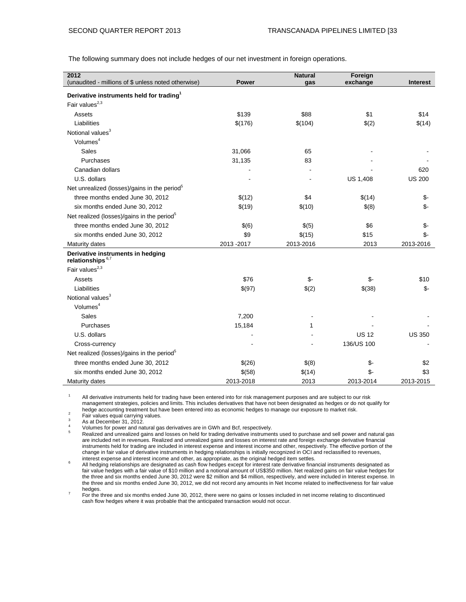The following summary does not include hedges of our net investment in foreign operations.

| 2012                                                              |              | <b>Natural</b> | Foreign         |                 |
|-------------------------------------------------------------------|--------------|----------------|-----------------|-----------------|
| (unaudited - millions of \$ unless noted otherwise)               | <b>Power</b> | gas            | exchange        | <b>Interest</b> |
| Derivative instruments held for trading <sup>1</sup>              |              |                |                 |                 |
| Fair values <sup>2,3</sup>                                        |              |                |                 |                 |
| Assets                                                            | \$139        | \$88           | \$1             | \$14            |
| Liabilities                                                       | \$(176)      | \$(104)        | \$(2)           | \$(14)          |
| Notional values <sup>3</sup>                                      |              |                |                 |                 |
| Volumes <sup>4</sup>                                              |              |                |                 |                 |
| Sales                                                             | 31,066       | 65             |                 |                 |
| Purchases                                                         | 31,135       | 83             |                 |                 |
| Canadian dollars                                                  |              |                |                 | 620             |
| U.S. dollars                                                      |              |                | <b>US 1,408</b> | <b>US 200</b>   |
| Net unrealized (losses)/gains in the period <sup>5</sup>          |              |                |                 |                 |
| three months ended June 30, 2012                                  | \$(12)       | \$4            | \$(14)          | \$-             |
| six months ended June 30, 2012                                    | \$(19)       | \$(10)         | \$(8)           | $$-$            |
| Net realized (losses)/gains in the period <sup>5</sup>            |              |                |                 |                 |
| three months ended June 30, 2012                                  | \$(6)        | \$(5)          | \$6             | \$-             |
| six months ended June 30, 2012                                    | \$9          | \$(15)         | \$15            | \$-             |
| Maturity dates                                                    | 2013-2017    | 2013-2016      | 2013            | 2013-2016       |
| Derivative instruments in hedging<br>relationships <sup>6,7</sup> |              |                |                 |                 |
| Fair values <sup>2,3</sup>                                        |              |                |                 |                 |
| Assets                                                            | \$76         | $\mathsf{S}$ - | $\mathsf{S}$ -  | \$10            |
| Liabilities                                                       | \$(97)       | \$(2)          | \$(38)          | \$-             |
| Notional values <sup>3</sup>                                      |              |                |                 |                 |
| Volumes <sup>4</sup>                                              |              |                |                 |                 |
| Sales                                                             | 7,200        |                |                 |                 |
| Purchases                                                         | 15,184       | 1              |                 |                 |
| U.S. dollars                                                      |              |                | <b>US 12</b>    | <b>US 350</b>   |
| Cross-currency                                                    |              |                | 136/US 100      |                 |
| Net realized (losses)/gains in the period <sup>5</sup>            |              |                |                 |                 |
| three months ended June 30, 2012                                  | \$(26)       | \$(8)          | \$-             | \$2             |
| six months ended June 30, 2012                                    | \$(58)       | \$(14)         | $$-$            | \$3             |
| Maturity dates                                                    | 2013-2018    | 2013           | 2013-2014       | 2013-2015       |

All derivative instruments held for trading have been entered into for risk management purposes and are subject to our risk management strategies, policies and limits. This includes derivatives that have not been designated as hedges or do not qualify for<br>hedge accounting treatment but have been entered into as economic hedges to manage our exp

Fair values equal carrying values.<br>
Fair values equal carrying values.<br>
As at December 31, 2012.<br>
Volumes for power and natural gas derivatives are in GWh and Bcf, respectively.<br>
Realized and unrealized gains and losses on are included net in revenues. Realized and unrealized gains and losses on interest rate and foreign exchange derivative financial instruments held for trading are included in interest expense and interest income and other, respectively. The effective portion of the change in fair value of derivative instruments in hedging relationships is initially recognized in OCI and reclassified to revenues, interest expense and interest income and other, as appropriate, as the original hedged it

<sup>6</sup> All hedging relationships are designated as cash flow hedges except for interest rate derivative financial instruments designated as fair value hedges with a fair value of \$10 million and a notional amount of US\$350 million. Net realized gains on fair value hedges for the three and six months ended June 30, 2012 were \$2 million and \$4 million, respectively, and were included in Interest expense. In the three and six months ended June 30, 2012, we did not record any amounts in Net Income related to ineffectiveness for fair value<br>hedges.

For the three and six months ended June 30, 2012, there were no gains or losses included in net income relating to discontinued cash flow hedges where it was probable that the anticipated transaction would not occur.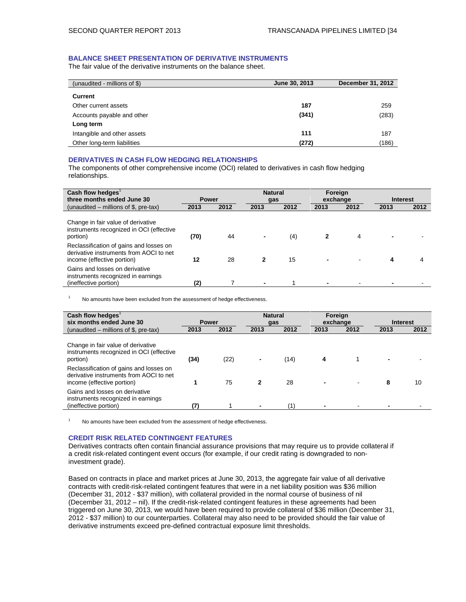## **BALANCE SHEET PRESENTATION OF DERIVATIVE INSTRUMENTS**

The fair value of the derivative instruments on the balance sheet.

| (unaudited - millions of \$) | June 30, 2013 | December 31, 2012 |
|------------------------------|---------------|-------------------|
| Current                      |               |                   |
| Other current assets         | 187           | 259               |
| Accounts payable and other   | (341)         | (283)             |
| Long term                    |               |                   |
| Intangible and other assets  | 111           | 187               |
| Other long-term liabilities  | (272)         | (186)             |

## **DERIVATIVES IN CASH FLOW HEDGING RELATIONSHIPS**

The components of other comprehensive income (OCI) related to derivatives in cash flow hedging relationships.

| Cash flow hedges                                                                                                                      |              |      | <b>Natural</b> |      | Foreign |          |      |                 |  |
|---------------------------------------------------------------------------------------------------------------------------------------|--------------|------|----------------|------|---------|----------|------|-----------------|--|
| three months ended June 30                                                                                                            | <b>Power</b> |      |                | gas  |         | exchange |      | <b>Interest</b> |  |
| (unaudited $-$ millions of \$, pre-tax)                                                                                               | 2013         | 2012 | 2013           | 2012 | 2013    | 2012     | 2013 | 2012            |  |
| Change in fair value of derivative<br>instruments recognized in OCI (effective<br>portion)<br>Reclassification of gains and losses on | (70)         | 44   |                | (4)  | 2       | 4        |      |                 |  |
| derivative instruments from AOCI to net<br>income (effective portion)<br>Gains and losses on derivative                               | 12           | 28   | 2              | 15   | -       |          | 4    |                 |  |
| instruments recognized in earnings<br>(ineffective portion)                                                                           | (2)          |      |                |      |         |          |      |                 |  |

 $1$  No amounts have been excluded from the assessment of hedge effectiveness.

| Cash flow hedges                                                                                                                                                                                               |              |            | <b>Natural</b> |            | Foreign  |      |                 |      |
|----------------------------------------------------------------------------------------------------------------------------------------------------------------------------------------------------------------|--------------|------------|----------------|------------|----------|------|-----------------|------|
| six months ended June 30                                                                                                                                                                                       | <b>Power</b> |            | gas            |            | exchange |      | <b>Interest</b> |      |
| (unaudited $-$ millions of \$, pre-tax)                                                                                                                                                                        | 2013         | 2012       | 2013           | 2012       | 2013     | 2012 | 2013            | 2012 |
| Change in fair value of derivative<br>instruments recognized in OCI (effective<br>portion)<br>Reclassification of gains and losses on<br>derivative instruments from AOCI to net<br>income (effective portion) | (34)         | (22)<br>75 | 2              | (14)<br>28 | 4        |      | 8               | 10   |
| Gains and losses on derivative<br>instruments recognized in earnings<br>(ineffective portion)                                                                                                                  | '7)          |            |                | '1)        |          |      |                 |      |

 $1$  No amounts have been excluded from the assessment of hedge effectiveness.

#### **CREDIT RISK RELATED CONTINGENT FEATURES**

Derivatives contracts often contain financial assurance provisions that may require us to provide collateral if a credit risk-related contingent event occurs (for example, if our credit rating is downgraded to noninvestment grade).

Based on contracts in place and market prices at June 30, 2013, the aggregate fair value of all derivative contracts with credit-risk-related contingent features that were in a net liability position was \$36 million (December 31, 2012 - \$37 million), with collateral provided in the normal course of business of nil (December 31, 2012 – nil). If the credit-risk-related contingent features in these agreements had been triggered on June 30, 2013, we would have been required to provide collateral of \$36 million (December 31, 2012 - \$37 million) to our counterparties. Collateral may also need to be provided should the fair value of derivative instruments exceed pre-defined contractual exposure limit thresholds.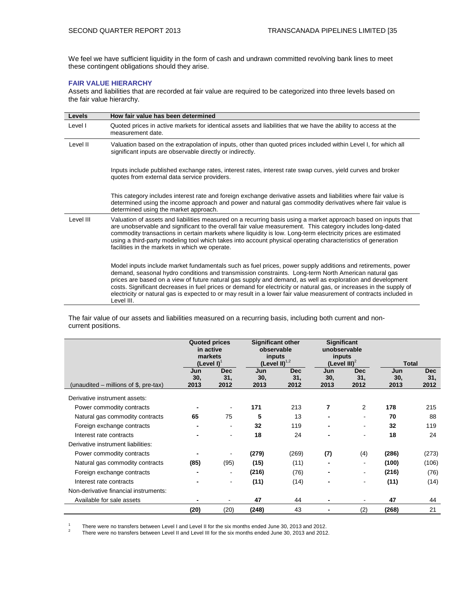We feel we have sufficient liquidity in the form of cash and undrawn committed revolving bank lines to meet these contingent obligations should they arise.

### **FAIR VALUE HIERARCHY**

Assets and liabilities that are recorded at fair value are required to be categorized into three levels based on the fair value hierarchy.

| Levels    | How fair value has been determined                                                                                                                                                                                                                                                                                                                                                                                                                                                                                                                                                           |
|-----------|----------------------------------------------------------------------------------------------------------------------------------------------------------------------------------------------------------------------------------------------------------------------------------------------------------------------------------------------------------------------------------------------------------------------------------------------------------------------------------------------------------------------------------------------------------------------------------------------|
| Level I   | Quoted prices in active markets for identical assets and liabilities that we have the ability to access at the<br>measurement date.                                                                                                                                                                                                                                                                                                                                                                                                                                                          |
| Level II  | Valuation based on the extrapolation of inputs, other than quoted prices included within Level I, for which all<br>significant inputs are observable directly or indirectly.                                                                                                                                                                                                                                                                                                                                                                                                                 |
|           | Inputs include published exchange rates, interest rates, interest rate swap curves, yield curves and broker<br>quotes from external data service providers.                                                                                                                                                                                                                                                                                                                                                                                                                                  |
|           | This category includes interest rate and foreign exchange derivative assets and liabilities where fair value is<br>determined using the income approach and power and natural gas commodity derivatives where fair value is<br>determined using the market approach.                                                                                                                                                                                                                                                                                                                         |
| Level III | Valuation of assets and liabilities measured on a recurring basis using a market approach based on inputs that<br>are unobservable and significant to the overall fair value measurement. This category includes long-dated<br>commodity transactions in certain markets where liquidity is low. Long-term electricity prices are estimated<br>using a third-party modeling tool which takes into account physical operating characteristics of generation<br>facilities in the markets in which we operate.                                                                                 |
|           | Model inputs include market fundamentals such as fuel prices, power supply additions and retirements, power<br>demand, seasonal hydro conditions and transmission constraints. Long-term North American natural gas<br>prices are based on a view of future natural gas supply and demand, as well as exploration and development<br>costs. Significant decreases in fuel prices or demand for electricity or natural gas, or increases in the supply of<br>electricity or natural gas is expected to or may result in a lower fair value measurement of contracts included in<br>Level III. |

The fair value of our assets and liabilities measured on a recurring basis, including both current and noncurrent positions.

|                                       |                        | <b>Quoted prices</b>     | <b>Significant other</b><br>observable |                     | <b>Significant</b><br>unobservable |             |             |             |
|---------------------------------------|------------------------|--------------------------|----------------------------------------|---------------------|------------------------------------|-------------|-------------|-------------|
|                                       |                        | in active<br>markets     | inputs                                 |                     | inputs                             |             |             |             |
|                                       | (Level I) <sup>'</sup> |                          |                                        | (Level II) $^{1,2}$ | (Level III) $^2$                   |             | Total       |             |
|                                       | Jun                    | <b>Dec</b>               | Jun                                    | <b>Dec</b>          | Jun                                | <b>Dec</b>  | Jun         | <b>Dec</b>  |
| (unaudited – millions of \$, pre-tax) | 30,<br>2013            | 31.<br>2012              | 30.<br>2013                            | 31,<br>2012         | 30,<br>2013                        | 31.<br>2012 | 30.<br>2013 | 31,<br>2012 |
|                                       |                        |                          |                                        |                     |                                    |             |             |             |
| Derivative instrument assets:         |                        |                          |                                        |                     |                                    |             |             |             |
| Power commodity contracts             |                        |                          | 171                                    | 213                 | 7                                  | 2           | 178         | 215         |
| Natural gas commodity contracts       | 65                     | 75                       | 5                                      | 13                  |                                    |             | 70          | 88          |
| Foreign exchange contracts            | ۰                      | ۰                        | 32                                     | 119                 |                                    |             | 32          | 119         |
| Interest rate contracts               |                        | $\blacksquare$           | 18                                     | 24                  |                                    |             | 18          | 24          |
| Derivative instrument liabilities:    |                        |                          |                                        |                     |                                    |             |             |             |
| Power commodity contracts             | ٠                      | $\overline{\phantom{a}}$ | (279)                                  | (269)               | (7)                                | (4)         | (286)       | (273)       |
| Natural gas commodity contracts       | (85)                   | (95)                     | (15)                                   | (11)                |                                    |             | (100)       | (106)       |
| Foreign exchange contracts            |                        | ۰                        | (216)                                  | (76)                |                                    |             | (216)       | (76)        |
| Interest rate contracts               |                        | $\sim$                   | (11)                                   | (14)                |                                    |             | (11)        | (14)        |
| Non-derivative financial instruments: |                        |                          |                                        |                     |                                    |             |             |             |
| Available for sale assets             | ۰                      |                          | 47                                     | 44                  |                                    |             | 47          | 44          |
|                                       | (20)                   | (20)                     | (248)                                  | 43                  |                                    | (2)         | (268)       | 21          |

<sup>1</sup> There were no transfers between Level I and Level II for the six months ended June 30, 2013 and 2012.<br><sup>2</sup> There were no transfers between Level II and Level III for the six months ended June 30, 2013 and 2012.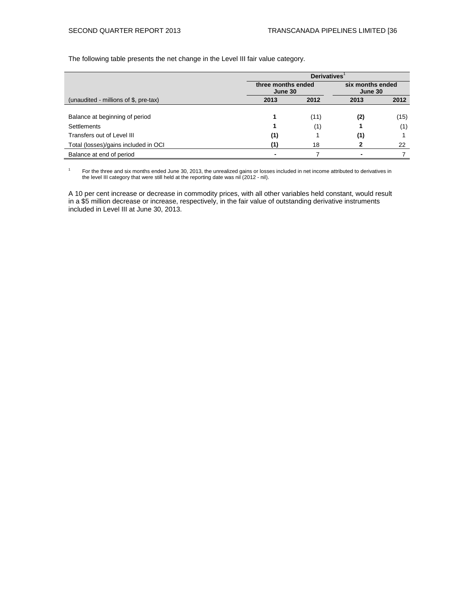The following table presents the net change in the Level III fair value category.

|                                       | Derivatives <sup>1</sup>      |      |                             |      |  |
|---------------------------------------|-------------------------------|------|-----------------------------|------|--|
|                                       | three months ended<br>June 30 |      | six months ended<br>June 30 |      |  |
| (unaudited - millions of \$, pre-tax) | 2013                          | 2012 | 2013                        | 2012 |  |
| Balance at beginning of period        |                               | (11) | (2)                         | (15) |  |
| Settlements                           |                               | (1)  |                             | (1)  |  |
| Transfers out of Level III            | (1)                           |      | (1)                         |      |  |
| Total (losses)/gains included in OCI  |                               | 18   |                             | 22   |  |
| Balance at end of period              |                               |      |                             |      |  |

 $1 -$  For the three and six months ended June 30, 2013, the unrealized gains or losses included in net income attributed to derivatives in the level III category that were still held at the reporting date was nil (2012 - nil).

A 10 per cent increase or decrease in commodity prices, with all other variables held constant, would result in a \$5 million decrease or increase, respectively, in the fair value of outstanding derivative instruments included in Level III at June 30, 2013.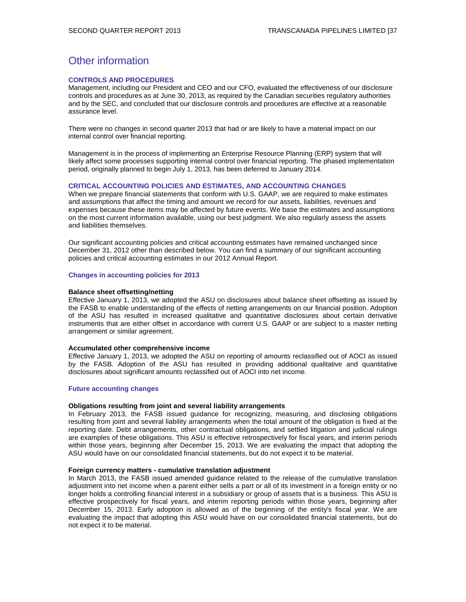# Other information

### **CONTROLS AND PROCEDURES**

Management, including our President and CEO and our CFO, evaluated the effectiveness of our disclosure controls and procedures as at June 30, 2013, as required by the Canadian securities regulatory authorities and by the SEC, and concluded that our disclosure controls and procedures are effective at a reasonable assurance level.

There were no changes in second quarter 2013 that had or are likely to have a material impact on our internal control over financial reporting.

Management is in the process of implementing an Enterprise Resource Planning (ERP) system that will likely affect some processes supporting internal control over financial reporting. The phased implementation period, originally planned to begin July 1, 2013, has been deferred to January 2014.

### **CRITICAL ACCOUNTING POLICIES AND ESTIMATES, AND ACCOUNTING CHANGES**

When we prepare financial statements that conform with U.S. GAAP, we are required to make estimates and assumptions that affect the timing and amount we record for our assets, liabilities, revenues and expenses because these items may be affected by future events. We base the estimates and assumptions on the most current information available, using our best judgment. We also regularly assess the assets and liabilities themselves.

Our significant accounting policies and critical accounting estimates have remained unchanged since December 31, 2012 other than described below. You can find a summary of our significant accounting policies and critical accounting estimates in our 2012 Annual Report.

### **Changes in accounting policies for 2013**

#### **Balance sheet offsetting/netting**

Effective January 1, 2013, we adopted the ASU on disclosures about balance sheet offsetting as issued by the FASB to enable understanding of the effects of netting arrangements on our financial position. Adoption of the ASU has resulted in increased qualitative and quantitative disclosures about certain derivative instruments that are either offset in accordance with current U.S. GAAP or are subject to a master netting arrangement or similar agreement.

#### **Accumulated other comprehensive income**

Effective January 1, 2013, we adopted the ASU on reporting of amounts reclassified out of AOCI as issued by the FASB. Adoption of the ASU has resulted in providing additional qualitative and quantitative disclosures about significant amounts reclassified out of AOCI into net income.

### **Future accounting changes**

### **Obligations resulting from joint and several liability arrangements**

In February 2013, the FASB issued guidance for recognizing, measuring, and disclosing obligations resulting from joint and several liability arrangements when the total amount of the obligation is fixed at the reporting date. Debt arrangements, other contractual obligations, and settled litigation and judicial rulings are examples of these obligations. This ASU is effective retrospectively for fiscal years, and interim periods within those years, beginning after December 15, 2013. We are evaluating the impact that adopting the ASU would have on our consolidated financial statements, but do not expect it to be material.

#### **Foreign currency matters - cumulative translation adjustment**

In March 2013, the FASB issued amended guidance related to the release of the cumulative translation adjustment into net income when a parent either sells a part or all of its investment in a foreign entity or no longer holds a controlling financial interest in a subsidiary or group of assets that is a business. This ASU is effective prospectively for fiscal years, and interim reporting periods within those years, beginning after December 15, 2013. Early adoption is allowed as of the beginning of the entity's fiscal year. We are evaluating the impact that adopting this ASU would have on our consolidated financial statements, but do not expect it to be material.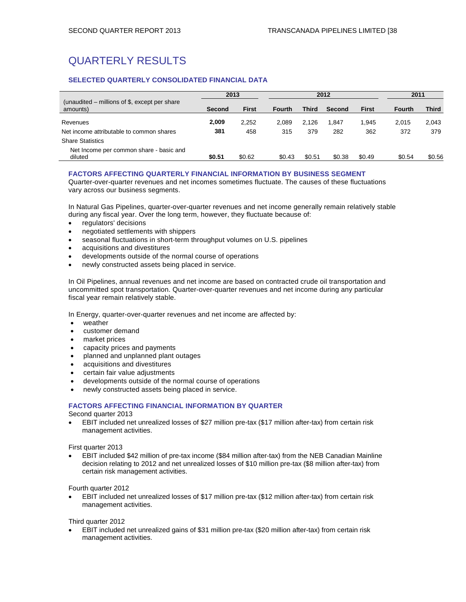# QUARTERLY RESULTS

## **SELECTED QUARTERLY CONSOLIDATED FINANCIAL DATA**

|                                                            | 2013   |              | 2012          |        |        |              | 2011          |        |
|------------------------------------------------------------|--------|--------------|---------------|--------|--------|--------------|---------------|--------|
| (unaudited – millions of \$, except per share)<br>amounts) | Second | <b>First</b> | <b>Fourth</b> | Third  | Second | <b>First</b> | <b>Fourth</b> | Third  |
| Revenues                                                   | 2.009  | 2.252        | 2.089         | 2.126  | .847   | 1.945        | 2.015         | 2.043  |
| Net income attributable to common shares                   | 381    | 458          | 315           | 379    | 282    | 362          | 372           | 379    |
| <b>Share Statistics</b>                                    |        |              |               |        |        |              |               |        |
| Net Income per common share - basic and<br>diluted         | \$0.51 | \$0.62       | \$0.43        | \$0.51 | \$0.38 | \$0.49       | \$0.54        | \$0.56 |

## **FACTORS AFFECTING QUARTERLY FINANCIAL INFORMATION BY BUSINESS SEGMENT**

Quarter-over-quarter revenues and net incomes sometimes fluctuate. The causes of these fluctuations vary across our business segments.

In Natural Gas Pipelines, quarter-over-quarter revenues and net income generally remain relatively stable during any fiscal year. Over the long term, however, they fluctuate because of:

- regulators' decisions
- negotiated settlements with shippers
- seasonal fluctuations in short-term throughput volumes on U.S. pipelines
- acquisitions and divestitures
- developments outside of the normal course of operations
- newly constructed assets being placed in service.

In Oil Pipelines, annual revenues and net income are based on contracted crude oil transportation and uncommitted spot transportation. Quarter-over-quarter revenues and net income during any particular fiscal year remain relatively stable.

In Energy, quarter-over-quarter revenues and net income are affected by:

- weather
- customer demand
- market prices
- capacity prices and payments
- planned and unplanned plant outages
- acquisitions and divestitures
- certain fair value adjustments
- developments outside of the normal course of operations
- newly constructed assets being placed in service.

### **FACTORS AFFECTING FINANCIAL INFORMATION BY QUARTER**

Second quarter 2013

• EBIT included net unrealized losses of \$27 million pre-tax (\$17 million after-tax) from certain risk management activities.

First quarter 2013

• EBIT included \$42 million of pre-tax income (\$84 million after-tax) from the NEB Canadian Mainline decision relating to 2012 and net unrealized losses of \$10 million pre-tax (\$8 million after-tax) from certain risk management activities.

Fourth quarter 2012

• EBIT included net unrealized losses of \$17 million pre-tax (\$12 million after-tax) from certain risk management activities.

Third quarter 2012

• EBIT included net unrealized gains of \$31 million pre-tax (\$20 million after-tax) from certain risk management activities.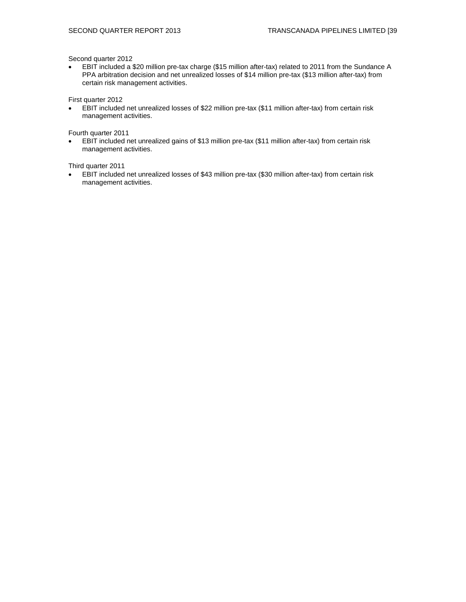Second quarter 2012

• EBIT included a \$20 million pre-tax charge (\$15 million after-tax) related to 2011 from the Sundance A PPA arbitration decision and net unrealized losses of \$14 million pre-tax (\$13 million after-tax) from certain risk management activities.

First quarter 2012

• EBIT included net unrealized losses of \$22 million pre-tax (\$11 million after-tax) from certain risk management activities.

Fourth quarter 2011

• EBIT included net unrealized gains of \$13 million pre-tax (\$11 million after-tax) from certain risk management activities.

Third quarter 2011

• EBIT included net unrealized losses of \$43 million pre-tax (\$30 million after-tax) from certain risk management activities.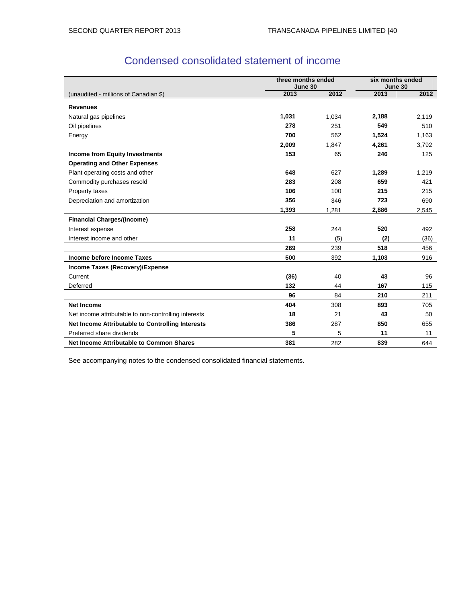|                                                      | three months ended |       | six months ended |       |
|------------------------------------------------------|--------------------|-------|------------------|-------|
|                                                      | June 30            |       | June 30          |       |
| (unaudited - millions of Canadian \$)                | 2013               | 2012  | 2013             | 2012  |
| <b>Revenues</b>                                      |                    |       |                  |       |
| Natural gas pipelines                                | 1,031              | 1,034 | 2,188            | 2,119 |
| Oil pipelines                                        | 278                | 251   | 549              | 510   |
| Energy                                               | 700                | 562   | 1,524            | 1,163 |
|                                                      | 2,009              | 1,847 | 4,261            | 3,792 |
| <b>Income from Equity Investments</b>                | 153                | 65    | 246              | 125   |
| <b>Operating and Other Expenses</b>                  |                    |       |                  |       |
| Plant operating costs and other                      | 648                | 627   | 1,289            | 1,219 |
| Commodity purchases resold                           | 283                | 208   | 659              | 421   |
| Property taxes                                       | 106                | 100   | 215              | 215   |
| Depreciation and amortization                        | 356                | 346   | 723              | 690   |
|                                                      | 1,393              | 1,281 | 2,886            | 2,545 |
| <b>Financial Charges/(Income)</b>                    |                    |       |                  |       |
| Interest expense                                     | 258                | 244   | 520              | 492   |
| Interest income and other                            | 11                 | (5)   | (2)              | (36)  |
|                                                      | 269                | 239   | 518              | 456   |
| Income before Income Taxes                           | 500                | 392   | 1,103            | 916   |
| Income Taxes (Recovery)/Expense                      |                    |       |                  |       |
| Current                                              | (36)               | 40    | 43               | 96    |
| Deferred                                             | 132                | 44    | 167              | 115   |
|                                                      | 96                 | 84    | 210              | 211   |
| <b>Net Income</b>                                    | 404                | 308   | 893              | 705   |
| Net income attributable to non-controlling interests | 18                 | 21    | 43               | 50    |
| Net Income Attributable to Controlling Interests     | 386                | 287   | 850              | 655   |
| Preferred share dividends                            | 5                  | 5     | 11               | 11    |
| Net Income Attributable to Common Shares             | 381                | 282   | 839              | 644   |

# Condensed consolidated statement of income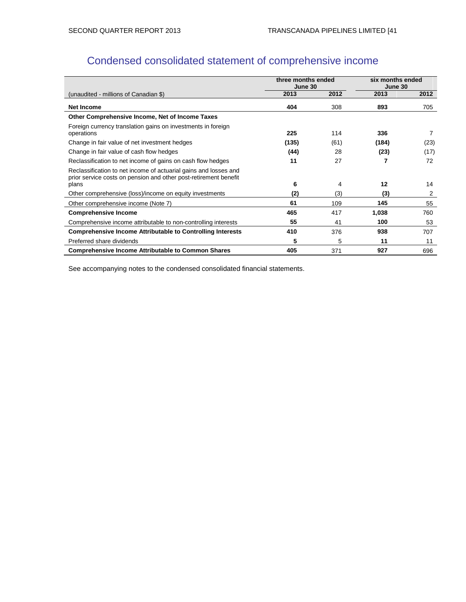# Condensed consolidated statement of comprehensive income

|                                                                                                                                               | three months ended<br>June 30 |      | six months ended<br>June 30 |      |  |
|-----------------------------------------------------------------------------------------------------------------------------------------------|-------------------------------|------|-----------------------------|------|--|
| (unaudited - millions of Canadian \$)                                                                                                         | 2013                          | 2012 | 2013                        | 2012 |  |
| <b>Net Income</b>                                                                                                                             | 404                           | 308  | 893                         | 705  |  |
| Other Comprehensive Income, Net of Income Taxes                                                                                               |                               |      |                             |      |  |
| Foreign currency translation gains on investments in foreign<br>operations                                                                    | 225                           | 114  | 336                         |      |  |
| Change in fair value of net investment hedges                                                                                                 | (135)                         | (61) | (184)                       | (23) |  |
| Change in fair value of cash flow hedges                                                                                                      | (44)                          | 28   | (23)                        | (17) |  |
| Reclassification to net income of gains on cash flow hedges                                                                                   | 11                            | 27   | 7                           | 72   |  |
| Reclassification to net income of actuarial gains and losses and<br>prior service costs on pension and other post-retirement benefit<br>plans | 6                             | 4    | 12                          | 14   |  |
| Other comprehensive (loss)/income on equity investments                                                                                       | (2)                           | (3)  | (3)                         | 2    |  |
| Other comprehensive income (Note 7)                                                                                                           | 61                            | 109  | 145                         | 55   |  |
| <b>Comprehensive Income</b>                                                                                                                   | 465                           | 417  | 1,038                       | 760  |  |
| Comprehensive income attributable to non-controlling interests                                                                                | 55                            | 41   | 100                         | 53   |  |
| <b>Comprehensive Income Attributable to Controlling Interests</b>                                                                             | 410                           | 376  | 938                         | 707  |  |
| Preferred share dividends                                                                                                                     | 5                             | 5    | 11                          | 11   |  |
| <b>Comprehensive Income Attributable to Common Shares</b>                                                                                     | 405                           | 371  | 927                         | 696  |  |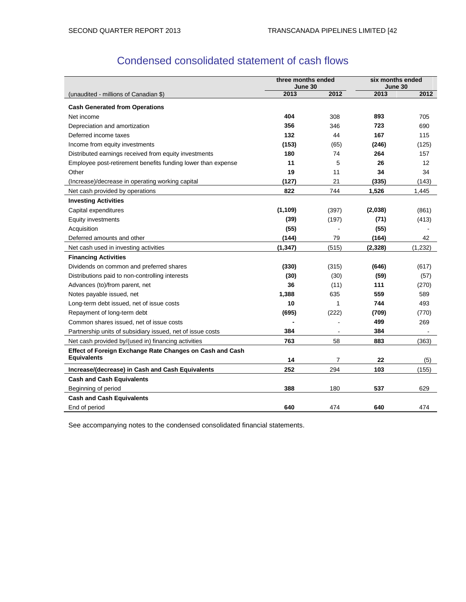|                                                              | three months ended<br>June 30 |              | six months ended<br>June 30 |                   |  |
|--------------------------------------------------------------|-------------------------------|--------------|-----------------------------|-------------------|--|
| (unaudited - millions of Canadian \$)                        | 2013                          | 2012         | 2013                        | 2012              |  |
| <b>Cash Generated from Operations</b>                        |                               |              |                             |                   |  |
| Net income                                                   | 404                           | 308          | 893                         | 705               |  |
| Depreciation and amortization                                | 356                           | 346          | 723                         | 690               |  |
| Deferred income taxes                                        | 132                           | 44           | 167                         | 115               |  |
| Income from equity investments                               | (153)                         | (65)         | (246)                       | (125)             |  |
| Distributed earnings received from equity investments        | 180                           | 74           | 264                         | 157               |  |
| Employee post-retirement benefits funding lower than expense | 11                            | 5            | 26                          | $12 \overline{ }$ |  |
| Other                                                        | 19                            | 11           | 34                          | 34                |  |
| (Increase)/decrease in operating working capital             | (127)                         | 21           | (335)                       | (143)             |  |
| Net cash provided by operations                              | 822                           | 744          | 1,526                       | 1,445             |  |
| <b>Investing Activities</b>                                  |                               |              |                             |                   |  |
| Capital expenditures                                         | (1, 109)                      | (397)        | (2,038)                     | (861)             |  |
| <b>Equity investments</b>                                    | (39)                          | (197)        | (71)                        | (413)             |  |
| Acquisition                                                  | (55)                          |              | (55)                        |                   |  |
| Deferred amounts and other                                   | (144)                         | 79           | (164)                       | 42                |  |
| Net cash used in investing activities                        | (1, 347)                      | (515)        | (2,328)                     | (1,232)           |  |
| <b>Financing Activities</b>                                  |                               |              |                             |                   |  |
| Dividends on common and preferred shares                     | (330)                         | (315)        | (646)                       | (617)             |  |
| Distributions paid to non-controlling interests              | (30)                          | (30)         | (59)                        | (57)              |  |
| Advances (to)/from parent, net                               | 36                            | (11)         | 111                         | (270)             |  |
| Notes payable issued, net                                    | 1,388                         | 635          | 559                         | 589               |  |
| Long-term debt issued, net of issue costs                    | 10                            | $\mathbf{1}$ | 744                         | 493               |  |
| Repayment of long-term debt                                  | (695)                         | (222)        | (709)                       | (770)             |  |
| Common shares issued, net of issue costs                     |                               |              | 499                         | 269               |  |
| Partnership units of subsidiary issued, net of issue costs   | 384                           |              | 384                         |                   |  |
| Net cash provided by/(used in) financing activities          | 763                           | 58           | 883                         | (363)             |  |
| Effect of Foreign Exchange Rate Changes on Cash and Cash     |                               |              |                             |                   |  |
| Equivalents                                                  | 14                            | 7            | 22                          | (5)               |  |
| Increase/(decrease) in Cash and Cash Equivalents             | 252                           | 294          | 103                         | (155)             |  |
| <b>Cash and Cash Equivalents</b>                             |                               |              |                             |                   |  |
| Beginning of period                                          | 388                           | 180          | 537                         | 629               |  |
| <b>Cash and Cash Equivalents</b>                             |                               |              |                             |                   |  |
| End of period                                                | 640                           | 474          | 640                         | 474               |  |

# Condensed consolidated statement of cash flows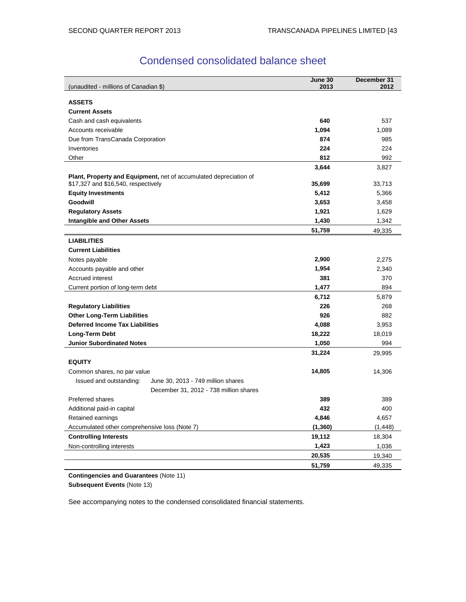# Condensed consolidated balance sheet

|                                                                   | June 30  | December 31 |
|-------------------------------------------------------------------|----------|-------------|
| (unaudited - millions of Canadian \$)                             | 2013     | 2012        |
| <b>ASSETS</b>                                                     |          |             |
| <b>Current Assets</b>                                             |          |             |
| Cash and cash equivalents                                         | 640      | 537         |
| Accounts receivable                                               | 1,094    | 1,089       |
| Due from TransCanada Corporation                                  | 874      | 985         |
| Inventories                                                       | 224      | 224         |
| Other                                                             | 812      | 992         |
|                                                                   | 3,644    | 3,827       |
| Plant, Property and Equipment, net of accumulated depreciation of |          |             |
| \$17,327 and \$16,540, respectively                               | 35,699   | 33,713      |
| <b>Equity Investments</b>                                         | 5,412    | 5,366       |
| Goodwill                                                          | 3,653    | 3,458       |
| <b>Regulatory Assets</b>                                          | 1,921    | 1,629       |
| <b>Intangible and Other Assets</b>                                | 1,430    | 1,342       |
|                                                                   | 51,759   | 49,335      |
| <b>LIABILITIES</b>                                                |          |             |
| <b>Current Liabilities</b>                                        |          |             |
| Notes payable                                                     | 2,900    | 2,275       |
| Accounts payable and other                                        | 1,954    | 2,340       |
| Accrued interest                                                  | 381      | 370         |
| Current portion of long-term debt                                 | 1,477    | 894         |
|                                                                   | 6,712    | 5,879       |
| <b>Regulatory Liabilities</b>                                     | 226      | 268         |
| <b>Other Long-Term Liabilities</b>                                | 926      | 882         |
| <b>Deferred Income Tax Liabilities</b>                            | 4,088    | 3,953       |
| Long-Term Debt                                                    | 18,222   | 18,019      |
| <b>Junior Subordinated Notes</b>                                  | 1,050    | 994         |
|                                                                   | 31,224   | 29,995      |
| <b>EQUITY</b>                                                     |          |             |
| Common shares, no par value                                       | 14,805   | 14,306      |
| June 30, 2013 - 749 million shares<br>Issued and outstanding:     |          |             |
| December 31, 2012 - 738 million shares                            |          |             |
| Preferred shares                                                  | 389      | 389         |
| Additional paid-in capital                                        | 432      | 400         |
| Retained earnings                                                 | 4,846    | 4,657       |
| Accumulated other comprehensive loss (Note 7)                     | (1, 360) | (1, 448)    |
| <b>Controlling Interests</b>                                      | 19,112   | 18,304      |
| Non-controlling interests                                         | 1,423    | 1,036       |
|                                                                   | 20,535   | 19,340      |
|                                                                   | 51,759   | 49,335      |

**Contingencies and Guarantees** (Note 11) **Subsequent Events** (Note 13)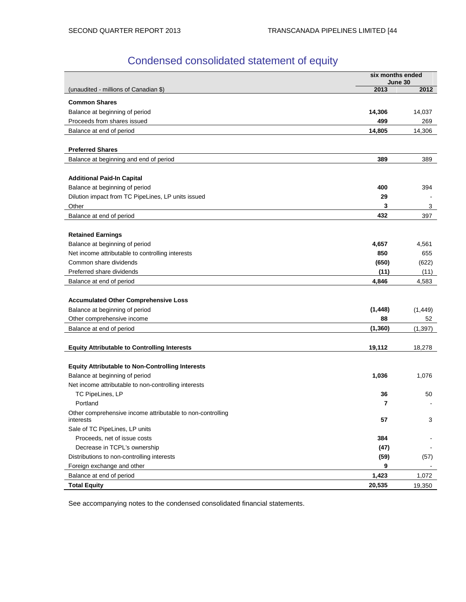# Condensed consolidated statement of equity

|                                                            | six months ended<br>June 30 |          |
|------------------------------------------------------------|-----------------------------|----------|
| (unaudited - millions of Canadian \$)                      | 2013                        | 2012     |
| <b>Common Shares</b>                                       |                             |          |
| Balance at beginning of period                             | 14,306                      | 14,037   |
| Proceeds from shares issued                                | 499                         | 269      |
| Balance at end of period                                   | 14,805                      | 14,306   |
|                                                            |                             |          |
| <b>Preferred Shares</b>                                    |                             |          |
| Balance at beginning and end of period                     | 389                         | 389      |
|                                                            |                             |          |
| <b>Additional Paid-In Capital</b>                          |                             |          |
| Balance at beginning of period                             | 400                         | 394      |
| Dilution impact from TC PipeLines, LP units issued         | 29                          |          |
| Other                                                      | 3                           | 3        |
| Balance at end of period                                   | 432                         | 397      |
|                                                            |                             |          |
| <b>Retained Earnings</b>                                   |                             |          |
| Balance at beginning of period                             | 4,657                       | 4,561    |
| Net income attributable to controlling interests           | 850                         | 655      |
| Common share dividends                                     | (650)                       | (622)    |
| Preferred share dividends                                  | (11)                        | (11)     |
| Balance at end of period                                   | 4,846                       | 4,583    |
| <b>Accumulated Other Comprehensive Loss</b>                |                             |          |
| Balance at beginning of period                             | (1, 448)                    | (1, 449) |
| Other comprehensive income                                 | 88                          | 52       |
| Balance at end of period                                   | (1, 360)                    | (1, 397) |
|                                                            |                             |          |
| <b>Equity Attributable to Controlling Interests</b>        | 19,112                      | 18,278   |
|                                                            |                             |          |
| <b>Equity Attributable to Non-Controlling Interests</b>    |                             |          |
| Balance at beginning of period                             | 1,036                       | 1,076    |
| Net income attributable to non-controlling interests       |                             |          |
| TC PipeLines, LP                                           | 36                          | 50       |
| Portland                                                   | 7                           |          |
| Other comprehensive income attributable to non-controlling |                             |          |
| interests                                                  | 57                          | 3        |
| Sale of TC PipeLines, LP units                             |                             |          |
| Proceeds, net of issue costs                               | 384                         |          |
| Decrease in TCPL's ownership                               | (47)                        |          |
| Distributions to non-controlling interests                 | (59)                        | (57)     |
| Foreign exchange and other                                 | 9                           |          |
| Balance at end of period                                   | 1,423                       | 1,072    |
| <b>Total Equity</b>                                        | 20,535                      | 19,350   |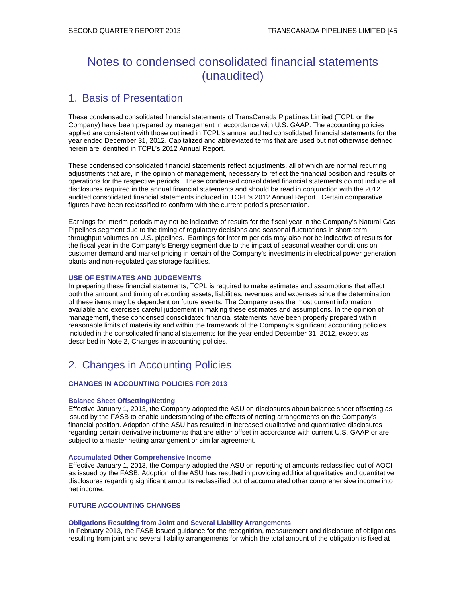# Notes to condensed consolidated financial statements (unaudited)

# 1. Basis of Presentation

These condensed consolidated financial statements of TransCanada PipeLines Limited (TCPL or the Company) have been prepared by management in accordance with U.S. GAAP. The accounting policies applied are consistent with those outlined in TCPL's annual audited consolidated financial statements for the year ended December 31, 2012. Capitalized and abbreviated terms that are used but not otherwise defined herein are identified in TCPL's 2012 Annual Report.

These condensed consolidated financial statements reflect adjustments, all of which are normal recurring adjustments that are, in the opinion of management, necessary to reflect the financial position and results of operations for the respective periods. These condensed consolidated financial statements do not include all disclosures required in the annual financial statements and should be read in conjunction with the 2012 audited consolidated financial statements included in TCPL's 2012 Annual Report. Certain comparative figures have been reclassified to conform with the current period's presentation.

Earnings for interim periods may not be indicative of results for the fiscal year in the Company's Natural Gas Pipelines segment due to the timing of regulatory decisions and seasonal fluctuations in short-term throughput volumes on U.S. pipelines. Earnings for interim periods may also not be indicative of results for the fiscal year in the Company's Energy segment due to the impact of seasonal weather conditions on customer demand and market pricing in certain of the Company's investments in electrical power generation plants and non-regulated gas storage facilities.

### **USE OF ESTIMATES AND JUDGEMENTS**

In preparing these financial statements, TCPL is required to make estimates and assumptions that affect both the amount and timing of recording assets, liabilities, revenues and expenses since the determination of these items may be dependent on future events. The Company uses the most current information available and exercises careful judgement in making these estimates and assumptions. In the opinion of management, these condensed consolidated financial statements have been properly prepared within reasonable limits of materiality and within the framework of the Company's significant accounting policies included in the consolidated financial statements for the year ended December 31, 2012, except as described in Note 2, Changes in accounting policies.

# 2. Changes in Accounting Policies

## **CHANGES IN ACCOUNTING POLICIES FOR 2013**

#### **Balance Sheet Offsetting/Netting**

Effective January 1, 2013, the Company adopted the ASU on disclosures about balance sheet offsetting as issued by the FASB to enable understanding of the effects of netting arrangements on the Company's financial position. Adoption of the ASU has resulted in increased qualitative and quantitative disclosures regarding certain derivative instruments that are either offset in accordance with current U.S. GAAP or are subject to a master netting arrangement or similar agreement.

#### **Accumulated Other Comprehensive Income**

Effective January 1, 2013, the Company adopted the ASU on reporting of amounts reclassified out of AOCI as issued by the FASB. Adoption of the ASU has resulted in providing additional qualitative and quantitative disclosures regarding significant amounts reclassified out of accumulated other comprehensive income into net income.

### **FUTURE ACCOUNTING CHANGES**

#### **Obligations Resulting from Joint and Several Liability Arrangements**

In February 2013, the FASB issued guidance for the recognition, measurement and disclosure of obligations resulting from joint and several liability arrangements for which the total amount of the obligation is fixed at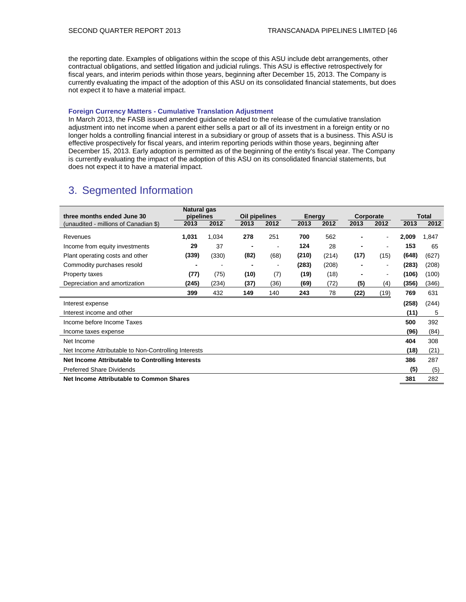the reporting date. Examples of obligations within the scope of this ASU include debt arrangements, other contractual obligations, and settled litigation and judicial rulings. This ASU is effective retrospectively for fiscal years, and interim periods within those years, beginning after December 15, 2013. The Company is currently evaluating the impact of the adoption of this ASU on its consolidated financial statements, but does not expect it to have a material impact.

#### **Foreign Currency Matters - Cumulative Translation Adjustment**

In March 2013, the FASB issued amended guidance related to the release of the cumulative translation adjustment into net income when a parent either sells a part or all of its investment in a foreign entity or no longer holds a controlling financial interest in a subsidiary or group of assets that is a business. This ASU is effective prospectively for fiscal years, and interim reporting periods within those years, beginning after December 15, 2013. Early adoption is permitted as of the beginning of the entity's fiscal year. The Company is currently evaluating the impact of the adoption of this ASU on its consolidated financial statements, but does not expect it to have a material impact.

# 3. Segmented Information

|                                                      | Natural gas |       |               |                          |        |       |                |                |       |              |
|------------------------------------------------------|-------------|-------|---------------|--------------------------|--------|-------|----------------|----------------|-------|--------------|
| three months ended June 30                           | pipelines   |       | Oil pipelines |                          | Energy |       | Corporate      |                |       | <b>Total</b> |
| (unaudited - millions of Canadian \$)                | 2013        | 2012  | 2013          | 2012                     | 2013   | 2012  | 2013           | 2012           | 2013  | 2012         |
| Revenues                                             | 1,031       | 1,034 | 278           | 251                      | 700    | 562   |                | ٠              | 2,009 | 1,847        |
| Income from equity investments                       | 29          | 37    | ٠             | $\overline{\phantom{a}}$ | 124    | 28    | $\blacksquare$ |                | 153   | 65           |
| Plant operating costs and other                      | (339)       | (330) | (82)          | (68)                     | (210)  | (214) | (17)           | (15)           | (648) | (627)        |
| Commodity purchases resold                           |             |       |               | $\blacksquare$           | (283)  | (208) |                | $\blacksquare$ | (283) | (208)        |
| Property taxes                                       | (77)        | (75)  | (10)          | (7)                      | (19)   | (18)  |                | ۰              | (106) | (100)        |
| Depreciation and amortization                        | (245)       | (234) | (37)          | (36)                     | (69)   | (72)  | (5)            | (4)            | (356) | (346)        |
|                                                      | 399         | 432   | 149           | 140                      | 243    | 78    | (22)           | (19)           | 769   | 631          |
| Interest expense                                     |             |       |               |                          |        |       |                |                | (258) | (244)        |
| Interest income and other                            |             |       |               |                          |        |       |                |                | (11)  | 5            |
| Income before Income Taxes                           |             |       |               |                          |        |       |                |                | 500   | 392          |
| Income taxes expense                                 |             |       |               |                          |        |       |                |                | (96)  | (84)         |
| Net Income                                           |             |       |               |                          |        |       |                |                | 404   | 308          |
| Net Income Attributable to Non-Controlling Interests |             |       |               |                          |        |       |                |                | (18)  | (21)         |
| Net Income Attributable to Controlling Interests     |             |       |               |                          |        |       |                |                | 386   | 287          |
| <b>Preferred Share Dividends</b>                     |             |       |               |                          |        |       |                |                | (5)   | (5)          |
| Net Income Attributable to Common Shares             |             |       |               |                          |        |       |                |                | 381   | 282          |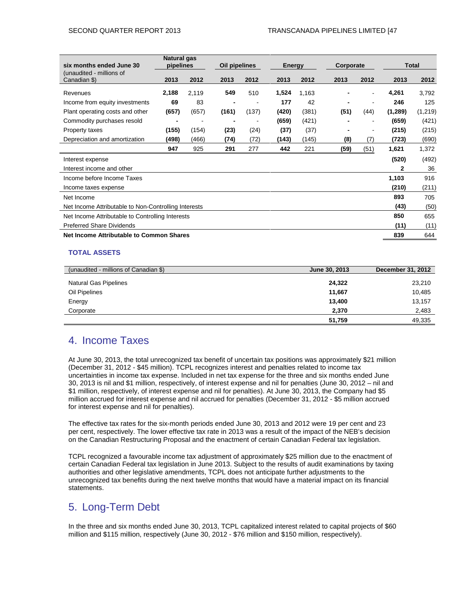| six months ended June 30                             | Natural gas<br>pipelines |       | Oil pipelines |       | <b>Energy</b> |       | Corporate |                |          | <b>Total</b> |
|------------------------------------------------------|--------------------------|-------|---------------|-------|---------------|-------|-----------|----------------|----------|--------------|
| (unaudited - millions of<br>Canadian \$)             | 2013                     | 2012  | 2013          | 2012  | 2013          | 2012  | 2013      | 2012           | 2013     | 2012         |
| Revenues                                             | 2,188                    | 2,119 | 549           | 510   | 1,524         | 1,163 |           | $\blacksquare$ | 4,261    | 3,792        |
| Income from equity investments                       | 69                       | 83    |               |       | 177           | 42    |           |                | 246      | 125          |
| Plant operating costs and other                      | (657)                    | (657) | (161)         | (137) | (420)         | (381) | (51)      | (44)           | (1, 289) | (1, 219)     |
| Commodity purchases resold                           |                          |       |               |       | (659)         | (421) |           | ۰              | (659)    | (421)        |
| Property taxes                                       | (155)                    | (154) | (23)          | (24)  | (37)          | (37)  |           | ٠              | (215)    | (215)        |
| Depreciation and amortization                        | (498)                    | (466) | (74)          | (72)  | (143)         | (145) | (8)       | (7)            | (723)    | (690)        |
|                                                      | 947                      | 925   | 291           | 277   | 442           | 221   | (59)      | (51)           | 1,621    | 1,372        |
| Interest expense                                     |                          |       |               |       |               |       |           |                | (520)    | (492)        |
| Interest income and other                            |                          |       |               |       |               |       |           |                | 2        | 36           |
| Income before Income Taxes                           |                          |       |               |       |               |       |           |                | 1,103    | 916          |
| Income taxes expense                                 |                          |       |               |       |               |       |           |                | (210)    | (211)        |
| Net Income                                           |                          |       |               |       |               |       |           |                | 893      | 705          |
| Net Income Attributable to Non-Controlling Interests |                          |       |               |       |               |       |           |                | (43)     | (50)         |
| Net Income Attributable to Controlling Interests     |                          |       |               |       |               |       |           |                | 850      | 655          |
| <b>Preferred Share Dividends</b>                     |                          |       |               |       |               |       |           |                | (11)     | (11)         |
| <b>Net Income Attributable to Common Shares</b>      |                          |       |               |       |               |       |           |                | 839      | 644          |

### **TOTAL ASSETS**

| (unaudited - millions of Canadian \$) | June 30, 2013 | December 31, 2012 |
|---------------------------------------|---------------|-------------------|
| <b>Natural Gas Pipelines</b>          | 24,322        | 23,210            |
| Oil Pipelines                         | 11,667        | 10,485            |
| Energy                                | 13,400        | 13,157            |
| Corporate                             | 2,370         | 2,483             |
|                                       | 51,759        | 49.335            |

# 4. Income Taxes

At June 30, 2013, the total unrecognized tax benefit of uncertain tax positions was approximately \$21 million (December 31, 2012 - \$45 million). TCPL recognizes interest and penalties related to income tax uncertainties in income tax expense. Included in net tax expense for the three and six months ended June 30, 2013 is nil and \$1 million, respectively, of interest expense and nil for penalties (June 30, 2012 – nil and \$1 million, respectively, of interest expense and nil for penalties). At June 30, 2013, the Company had \$5 million accrued for interest expense and nil accrued for penalties (December 31, 2012 - \$5 million accrued for interest expense and nil for penalties).

The effective tax rates for the six-month periods ended June 30, 2013 and 2012 were 19 per cent and 23 per cent, respectively. The lower effective tax rate in 2013 was a result of the impact of the NEB's decision on the Canadian Restructuring Proposal and the enactment of certain Canadian Federal tax legislation.

TCPL recognized a favourable income tax adjustment of approximately \$25 million due to the enactment of certain Canadian Federal tax legislation in June 2013. Subject to the results of audit examinations by taxing authorities and other legislative amendments, TCPL does not anticipate further adjustments to the unrecognized tax benefits during the next twelve months that would have a material impact on its financial statements.

# 5. Long-Term Debt

In the three and six months ended June 30, 2013, TCPL capitalized interest related to capital projects of \$60 million and \$115 million, respectively (June 30, 2012 - \$76 million and \$150 million, respectively).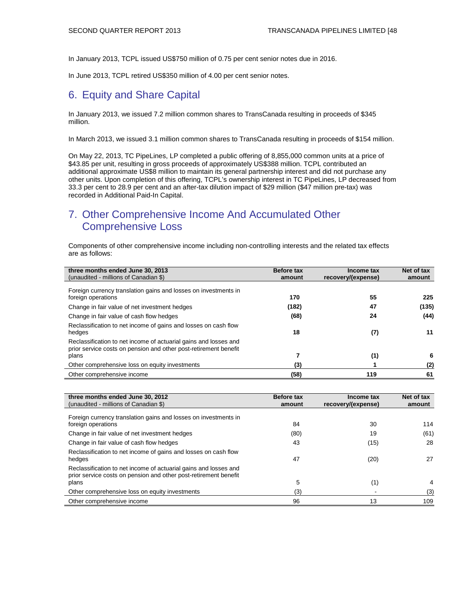In January 2013, TCPL issued US\$750 million of 0.75 per cent senior notes due in 2016.

In June 2013, TCPL retired US\$350 million of 4.00 per cent senior notes.

# 6. Equity and Share Capital

In January 2013, we issued 7.2 million common shares to TransCanada resulting in proceeds of \$345 million.

In March 2013, we issued 3.1 million common shares to TransCanada resulting in proceeds of \$154 million.

On May 22, 2013, TC PipeLines, LP completed a public offering of 8,855,000 common units at a price of \$43.85 per unit, resulting in gross proceeds of approximately US\$388 million. TCPL contributed an additional approximate US\$8 million to maintain its general partnership interest and did not purchase any other units. Upon completion of this offering, TCPL's ownership interest in TC PipeLines, LP decreased from 33.3 per cent to 28.9 per cent and an after-tax dilution impact of \$29 million (\$47 million pre-tax) was recorded in Additional Paid-In Capital.

# 7. Other Comprehensive Income And Accumulated Other Comprehensive Loss

Components of other comprehensive income including non-controlling interests and the related tax effects are as follows:

| three months ended June 30, 2013                                                                                                     | <b>Before tax</b> | Income tax         | Net of tax |
|--------------------------------------------------------------------------------------------------------------------------------------|-------------------|--------------------|------------|
| (unaudited - millions of Canadian \$)                                                                                                | amount            | recovery/(expense) | amount     |
| Foreign currency translation gains and losses on investments in                                                                      | 170               | 55                 | 225        |
| foreign operations                                                                                                                   |                   |                    |            |
| Change in fair value of net investment hedges                                                                                        | (182)             | 47                 | (135)      |
| Change in fair value of cash flow hedges                                                                                             | (68)              | 24                 | (44)       |
| Reclassification to net income of gains and losses on cash flow<br>hedges                                                            | 18                | (7)                | 11         |
| Reclassification to net income of actuarial gains and losses and<br>prior service costs on pension and other post-retirement benefit |                   |                    |            |
| plans                                                                                                                                |                   | (1)                | 6          |
| Other comprehensive loss on equity investments                                                                                       | (3)               |                    | (2)        |
| Other comprehensive income                                                                                                           | (58)              | 119                | 61         |

| three months ended June 30, 2012                                                                                                     | <b>Before tax</b> | Income tax         | Net of tax |
|--------------------------------------------------------------------------------------------------------------------------------------|-------------------|--------------------|------------|
| (unaudited - millions of Canadian \$)                                                                                                | amount            | recovery/(expense) | amount     |
| Foreign currency translation gains and losses on investments in<br>foreign operations                                                | 84                | 30                 | 114        |
| Change in fair value of net investment hedges                                                                                        | (80)              | 19                 | (61)       |
| Change in fair value of cash flow hedges                                                                                             | 43                | (15)               | 28         |
| Reclassification to net income of gains and losses on cash flow<br>hedges                                                            | 47                | (20)               | 27         |
| Reclassification to net income of actuarial gains and losses and<br>prior service costs on pension and other post-retirement benefit |                   |                    |            |
| plans                                                                                                                                | 5                 | (1)                | 4          |
| Other comprehensive loss on equity investments                                                                                       | (3)               |                    | (3)        |
| Other comprehensive income                                                                                                           | 96                | 13                 | 109        |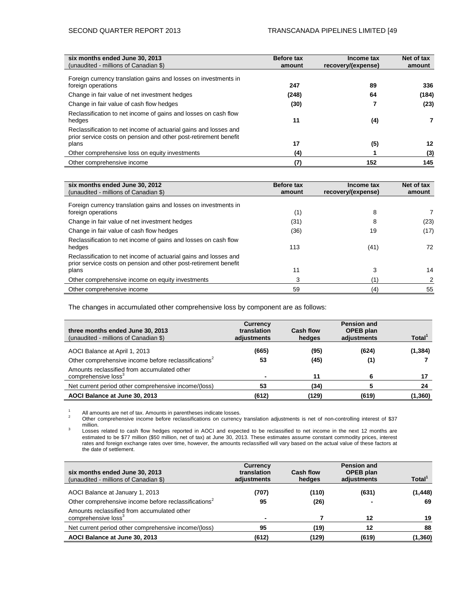| six months ended June 30, 2013                                                                                                       | <b>Before tax</b> | Income tax         | Net of tax |
|--------------------------------------------------------------------------------------------------------------------------------------|-------------------|--------------------|------------|
| (unaudited - millions of Canadian \$)                                                                                                | amount            | recovery/(expense) | amount     |
| Foreign currency translation gains and losses on investments in<br>foreign operations                                                | 247               | 89                 | 336        |
| Change in fair value of net investment hedges                                                                                        | (248)             | 64                 | (184)      |
| Change in fair value of cash flow hedges                                                                                             | (30)              |                    | (23)       |
| Reclassification to net income of gains and losses on cash flow<br>hedges                                                            | 11                | (4)                | 7          |
| Reclassification to net income of actuarial gains and losses and<br>prior service costs on pension and other post-retirement benefit | 17                | (5)                | 12         |
| plans                                                                                                                                |                   |                    |            |
| Other comprehensive loss on equity investments                                                                                       | (4)               |                    | (3)        |
| Other comprehensive income                                                                                                           |                   | 152                | 145        |

| six months ended June 30, 2012<br>(unaudited - millions of Canadian \$)                                                              | <b>Before tax</b><br>amount | Income tax<br>recovery/(expense) | Net of tax<br>amount |
|--------------------------------------------------------------------------------------------------------------------------------------|-----------------------------|----------------------------------|----------------------|
| Foreign currency translation gains and losses on investments in<br>foreign operations                                                | (1)                         | 8                                |                      |
| Change in fair value of net investment hedges                                                                                        | (31)                        | 8                                | (23)                 |
| Change in fair value of cash flow hedges                                                                                             | (36)                        | 19                               | (17)                 |
| Reclassification to net income of gains and losses on cash flow<br>hedges                                                            | 113                         | (41)                             | 72                   |
| Reclassification to net income of actuarial gains and losses and<br>prior service costs on pension and other post-retirement benefit |                             |                                  |                      |
| plans                                                                                                                                | 11                          | 3                                | 14                   |
| Other comprehensive income on equity investments                                                                                     | 3                           | (1)                              | 2                    |
| Other comprehensive income                                                                                                           | 59                          | (4)                              | 55                   |

The changes in accumulated other comprehensive loss by component are as follows:

| three months ended June 30, 2013<br>(unaudited - millions of Canadian \$)                         | <b>Currency</b><br>translation<br>adjustments | <b>Cash flow</b><br>hedges | <b>Pension and</b><br><b>OPEB</b> plan<br>adjustments | Total <sup>1</sup> |
|---------------------------------------------------------------------------------------------------|-----------------------------------------------|----------------------------|-------------------------------------------------------|--------------------|
| AOCI Balance at April 1, 2013<br>Other comprehensive income before reclassifications <sup>2</sup> | (665)<br>53                                   | (95)<br>(45)               | (624)<br>(1)                                          | (1, 384)           |
| Amounts reclassified from accumulated other<br>comprehensive loss <sup>3</sup>                    |                                               | 11                         | 6                                                     |                    |
| Net current period other comprehensive income/(loss)                                              | 53                                            | (34)                       |                                                       | 24                 |
| AOCI Balance at June 30, 2013                                                                     | (612)                                         | (129)                      | (619)                                                 | (1, 360)           |

1 All amounts are net of tax. Amounts in parentheses indicate losses.<br>
2 Other comprehensive income before reclassifications on currency translation adjustments is net of non-controlling interest of \$37 million. million.<br><sup>3</sup> Losses related to cash flow hedges reported in AOCI and expected to be reclassified to net income in the next 12 months are

estimated to be \$77 million (\$50 million, net of tax) at June 30, 2013. These estimates assume constant commodity prices, interest rates and foreign exchange rates over time, however, the amounts reclassified will vary based on the actual value of these factors at the date of settlement.

| six months ended June 30, 2013<br>(unaudited - millions of Canadian \$)        | <b>Currency</b><br>translation<br>adiustments | <b>Cash flow</b><br>hedges | <b>Pension and</b><br>OPEB plan<br>adiustments | Total <sup>1</sup> |
|--------------------------------------------------------------------------------|-----------------------------------------------|----------------------------|------------------------------------------------|--------------------|
| AOCI Balance at January 1, 2013                                                | (707)                                         | (110)                      | (631)                                          | (1, 448)           |
| Other comprehensive income before reclassifications <sup>2</sup>               | 95                                            | (26)                       |                                                | 69                 |
| Amounts reclassified from accumulated other<br>comprehensive loss <sup>3</sup> |                                               |                            | 12                                             | 19                 |
| Net current period other comprehensive income/(loss)                           | 95                                            | (19)                       | 12                                             | 88                 |
| AOCI Balance at June 30, 2013                                                  | (612)                                         | (129)                      | (619)                                          | (1, 360)           |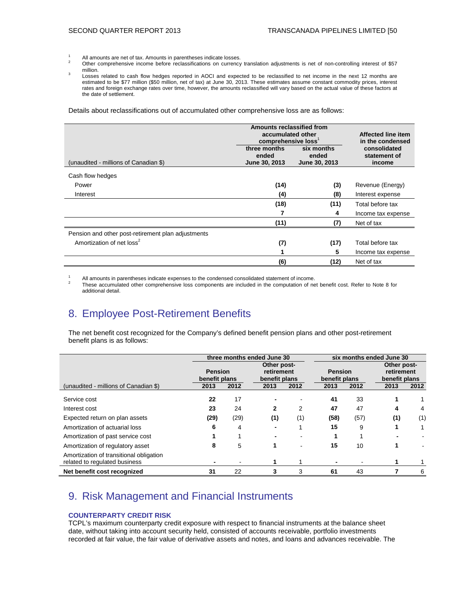- 
- <sup>1</sup> All amounts are net of tax. Amounts in parentheses indicate losses.<br><sup>2</sup> Other comprehensive income before reclassifications on currency translation adjustments is net of non-controlling interest of \$57 million.
- <sup>3</sup> Losses related to cash flow hedges reported in AOCI and expected to be reclassified to net income in the next 12 months are estimated to be \$77 million (\$50 million, net of tax) at June 30, 2013. These estimates assume constant commodity prices, interest rates and foreign exchange rates over time, however, the amounts reclassified will vary based on the actual value of these factors at the date of settlement.

Details about reclassifications out of accumulated other comprehensive loss are as follows:

| (unaudited - millions of Canadian \$)              | Amounts reclassified from<br>accumulated other<br>comprehensive loss <sup>1</sup><br>three months<br>ended<br>June 30, 2013 | Affected line item<br>in the condensed<br>consolidated<br>statement of<br>income |                    |
|----------------------------------------------------|-----------------------------------------------------------------------------------------------------------------------------|----------------------------------------------------------------------------------|--------------------|
| Cash flow hedges                                   |                                                                                                                             |                                                                                  |                    |
| Power                                              | (14)                                                                                                                        | (3)                                                                              | Revenue (Energy)   |
| Interest                                           | (4)                                                                                                                         | (8)                                                                              | Interest expense   |
|                                                    | (18)                                                                                                                        | (11)                                                                             | Total before tax   |
|                                                    | 7                                                                                                                           | 4                                                                                | Income tax expense |
|                                                    | (11)                                                                                                                        | (7)                                                                              | Net of tax         |
| Pension and other post-retirement plan adjustments |                                                                                                                             |                                                                                  |                    |
| Amortization of net loss <sup>2</sup>              | (7)                                                                                                                         | (17)                                                                             | Total before tax   |
|                                                    |                                                                                                                             | 5                                                                                | Income tax expense |
|                                                    | (6)                                                                                                                         | (12)                                                                             | Net of tax         |

<sup>1</sup> All amounts in parentheses indicate expenses to the condensed consolidated statement of income.<br><sup>2</sup> These accumulated other comprehensive loss components are included in the computation of net benefit cost. Refer to No additional detail.

# 8. Employee Post-Retirement Benefits

The net benefit cost recognized for the Company's defined benefit pension plans and other post-retirement benefit plans is as follows:

|                                                                          |                                 | three months ended June 30 |                                            |      |                                 | six months ended June 30 |                                            |      |  |  |
|--------------------------------------------------------------------------|---------------------------------|----------------------------|--------------------------------------------|------|---------------------------------|--------------------------|--------------------------------------------|------|--|--|
|                                                                          | <b>Pension</b><br>benefit plans |                            | Other post-<br>retirement<br>benefit plans |      | <b>Pension</b><br>benefit plans |                          | Other post-<br>retirement<br>benefit plans |      |  |  |
| (unaudited - millions of Canadian \$)                                    | 2013                            | 2012                       | 2013                                       | 2012 | 2013                            | 2012                     | 2013                                       | 2012 |  |  |
| Service cost                                                             | 22                              | 17                         |                                            |      | 41                              | 33                       | 1                                          |      |  |  |
| Interest cost                                                            | 23                              | 24                         | 2                                          | 2    | 47                              | 47                       | 4                                          | 4    |  |  |
| Expected return on plan assets                                           | (29)                            | (29)                       | (1)                                        | (1)  | (58)                            | (57)                     | (1)                                        | (1)  |  |  |
| Amortization of actuarial loss                                           | 6                               | 4                          |                                            |      | 15                              | 9                        |                                            |      |  |  |
| Amortization of past service cost                                        |                                 | 4                          |                                            |      |                                 |                          |                                            |      |  |  |
| Amortization of regulatory asset                                         | 8                               | 5                          |                                            |      | 15                              | 10                       |                                            |      |  |  |
| Amortization of transitional obligation<br>related to regulated business |                                 |                            |                                            |      | -                               |                          |                                            |      |  |  |
| Net benefit cost recognized                                              | 31                              | 22                         |                                            | 3    | 61                              | 43                       |                                            | 6    |  |  |

# 9. Risk Management and Financial Instruments

#### **COUNTERPARTY CREDIT RISK**

TCPL's maximum counterparty credit exposure with respect to financial instruments at the balance sheet date, without taking into account security held, consisted of accounts receivable, portfolio investments recorded at fair value, the fair value of derivative assets and notes, and loans and advances receivable. The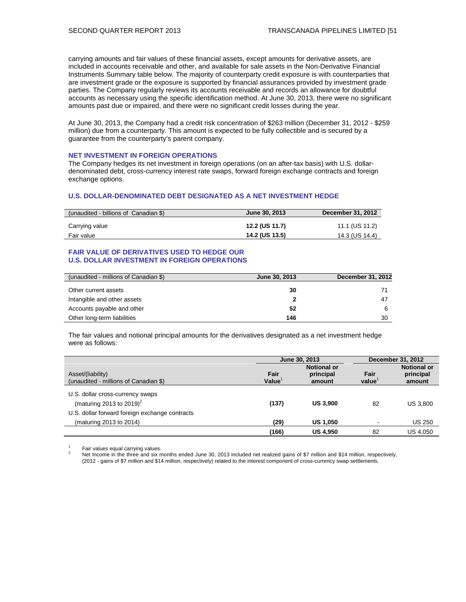carrying amounts and fair values of these financial assets, except amounts for derivative assets, are included in accounts receivable and other, and available for sale assets in the Non-Derivative Financial Instruments Summary table below. The majority of counterparty credit exposure is with counterparties that are investment grade or the exposure is supported by financial assurances provided by investment grade parties. The Company regularly reviews its accounts receivable and records an allowance for doubtful accounts as necessary using the specific identification method. At June 30, 2013, there were no significant amounts past due or impaired, and there were no significant credit losses during the year.

At June 30, 2013, the Company had a credit risk concentration of \$263 million (December 31, 2012 - \$259 million) due from a counterparty. This amount is expected to be fully collectible and is secured by a guarantee from the counterparty's parent company.

#### **NET INVESTMENT IN FOREIGN OPERATIONS**

The Company hedges its net investment in foreign operations (on an after-tax basis) with U.S. dollardenominated debt, cross-currency interest rate swaps, forward foreign exchange contracts and foreign exchange options.

### **U.S. DOLLAR-DENOMINATED DEBT DESIGNATED AS A NET INVESTMENT HEDGE**

| (unaudited - billions of Canadian \$) | June 30, 2013  | December 31, 2012 |
|---------------------------------------|----------------|-------------------|
| Carrying value                        | 12.2 (US 11.7) | 11.1 (US 11.2)    |
| Fair value                            | 14.2 (US 13.5) | 14.3 (US 14.4)    |

### **FAIR VALUE OF DERIVATIVES USED TO HEDGE OUR U.S. DOLLAR INVESTMENT IN FOREIGN OPERATIONS**

| (unaudited - millions of Canadian \$) | June 30, 2013 | <b>December 31, 2012</b> |
|---------------------------------------|---------------|--------------------------|
| Other current assets                  | 30            |                          |
| Intangible and other assets           |               | 47                       |
| Accounts payable and other            | 52            |                          |
| Other long-term liabilities           | 146           | 30                       |

The fair values and notional principal amounts for the derivatives designated as a net investment hedge were as follows:

|                                                                          |                            | June 30, 2013                             |                            | December 31, 2012                         |
|--------------------------------------------------------------------------|----------------------------|-------------------------------------------|----------------------------|-------------------------------------------|
| Asset/(liability)<br>(unaudited - millions of Canadian \$)               | Fair<br>Value <sup>1</sup> | <b>Notional or</b><br>principal<br>amount | Fair<br>value <sup>'</sup> | <b>Notional or</b><br>principal<br>amount |
| U.S. dollar cross-currency swaps<br>(maturing 2013 to 2019) <sup>2</sup> | (137)                      | <b>US 3,900</b>                           | 82                         | <b>US 3.800</b>                           |
| U.S. dollar forward foreign exchange contracts                           |                            |                                           |                            |                                           |
| (maturing 2013 to 2014)                                                  | (29)                       | <b>US 1,050</b>                           |                            | <b>US 250</b>                             |
|                                                                          | (166)                      | <b>US 4.950</b>                           | 82                         | US 4.050                                  |

Fair values equal carrying values.<br>Net Income in the three and six months ended June 30, 2013 included net realized gains of \$7 million and \$14 million, respectively, (2012 - gains of \$7 million and \$14 million, respectively) related to the interest component of cross-currency swap settlements.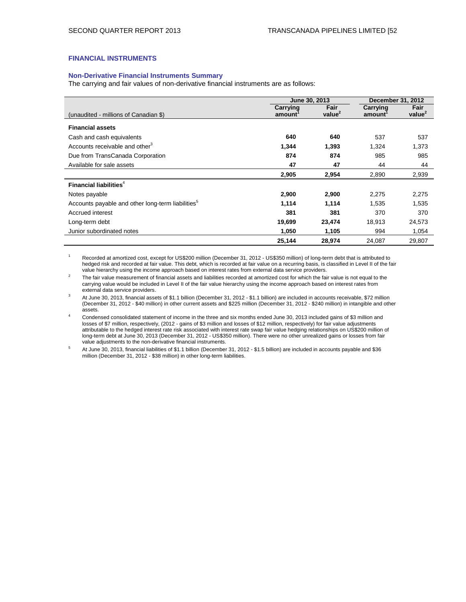## **FINANCIAL INSTRUMENTS**

### **Non-Derivative Financial Instruments Summary**

The carrying and fair values of non-derivative financial instruments are as follows:

|                                                               | June 30, 2013                   |                            | December 31, 2012               |                            |
|---------------------------------------------------------------|---------------------------------|----------------------------|---------------------------------|----------------------------|
| (unaudited - millions of Canadian \$)                         | Carrying<br>amount <sup>'</sup> | Fair<br>value <sup>2</sup> | Carrying<br>amount <sup>'</sup> | Fair<br>value <sup>2</sup> |
| <b>Financial assets</b>                                       |                                 |                            |                                 |                            |
| Cash and cash equivalents                                     | 640                             | 640                        | 537                             | 537                        |
| Accounts receivable and other <sup>3</sup>                    | 1,344                           | 1,393                      | 1,324                           | 1,373                      |
| Due from TransCanada Corporation                              | 874                             | 874                        | 985                             | 985                        |
| Available for sale assets                                     | 47                              | 47                         | 44                              | 44                         |
|                                                               | 2,905                           | 2.954                      | 2,890                           | 2,939                      |
| Financial liabilities $4$                                     |                                 |                            |                                 |                            |
| Notes payable                                                 | 2,900                           | 2,900                      | 2,275                           | 2,275                      |
| Accounts payable and other long-term liabilities <sup>3</sup> | 1,114                           | 1,114                      | 1,535                           | 1,535                      |
| Accrued interest                                              | 381                             | 381                        | 370                             | 370                        |
| Long-term debt                                                | 19,699                          | 23,474                     | 18,913                          | 24,573                     |
| Junior subordinated notes                                     | 1,050                           | 1,105                      | 994                             | 1,054                      |
|                                                               | 25,144                          | 28,974                     | 24,087                          | 29,807                     |

<sup>1</sup> Recorded at amortized cost, except for US\$200 million (December 31, 2012 - US\$350 million) of long-term debt that is attributed to hedged risk and recorded at fair value. This debt, which is recorded at fair value on a recurring basis, is classified in Level II of the fair value hierarchy using the income approach based on interest rates from external data service providers.

 $2$  The fair value measurement of financial assets and liabilities recorded at amortized cost for which the fair value is not equal to the carrying value would be included in Level II of the fair value hierarchy using the income approach based on interest rates from external data service providers.

 $3$  At June 30, 2013, financial assets of \$1.1 billion (December 31, 2012 - \$1.1 billion) are included in accounts receivable, \$72 million (December 31, 2012 - \$40 million) in other current assets and \$225 million (December 31, 2012 - \$240 million) in intangible and other assets.

<sup>4</sup> Condensed consolidated statement of income in the three and six months ended June 30, 2013 included gains of \$3 million and losses of \$7 million, respectively, (2012 - gains of \$3 million and losses of \$12 million, respectively) for fair value adjustments attributable to the hedged interest rate risk associated with interest rate swap fair value hedging relationships on US\$200 million of long-term debt at June 30, 2013 (December 31, 2012 - US\$350 million). There were no other unrealized gains or losses from fair value adjustments to the non-derivative financial instruments.

 $5$  At June 30, 2013, financial liabilities of \$1.1 billion (December 31, 2012 - \$1.5 billion) are included in accounts payable and \$36 million (December 31, 2012 - \$38 million) in other long-term liabilities.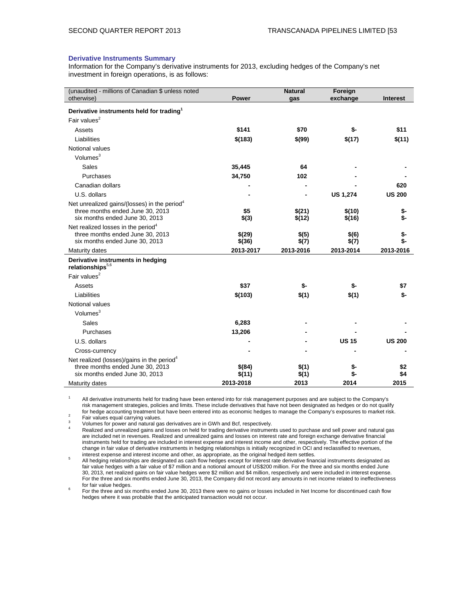## **Derivative Instruments Summary**

Information for the Company's derivative instruments for 2013, excluding hedges of the Company's net investment in foreign operations, is as follows:

| (unaudited - millions of Canadian \$ unless noted                                                                              |                      | <b>Natural</b>   | Foreign          |                 |
|--------------------------------------------------------------------------------------------------------------------------------|----------------------|------------------|------------------|-----------------|
| otherwise)                                                                                                                     | <b>Power</b>         | gas              | exchange         | <b>Interest</b> |
| Derivative instruments held for trading <sup>1</sup>                                                                           |                      |                  |                  |                 |
| Fair values $2$                                                                                                                |                      |                  |                  |                 |
| Assets                                                                                                                         | \$141                | \$70             | \$-              | \$11            |
| Liabilities                                                                                                                    | \$(183)              | \$(99)           | \$(17)           | \$(11)          |
| Notional values                                                                                                                |                      |                  |                  |                 |
| Volumes <sup>3</sup>                                                                                                           |                      |                  |                  |                 |
| Sales                                                                                                                          | 35,445               | 64               |                  |                 |
| Purchases                                                                                                                      | 34,750               | 102              |                  |                 |
| Canadian dollars                                                                                                               |                      |                  |                  | 620             |
| U.S. dollars                                                                                                                   |                      |                  | <b>US 1,274</b>  | <b>US 200</b>   |
| Net unrealized gains/(losses) in the period <sup>4</sup><br>three months ended June 30, 2013<br>six months ended June 30, 2013 | \$5<br>\$(3)         | \$(21)<br>\$(12) | \$(10)<br>\$(16) | \$-<br>\$-      |
| Net realized losses in the period <sup>4</sup><br>three months ended June 30, 2013<br>six months ended June 30, 2013           | \$(29)<br>$$^{(36)}$ | \$(5)<br>\$(7)   | \$(6)<br>\$(7)   | \$-<br>\$-      |
| Maturity dates                                                                                                                 | 2013-2017            | 2013-2016        | 2013-2014        | 2013-2016       |
| Derivative instruments in hedging<br>relationships <sup>5,6</sup>                                                              |                      |                  |                  |                 |
| Fair values <sup>2</sup>                                                                                                       |                      |                  |                  |                 |
| Assets                                                                                                                         | \$37                 | \$-              | \$-              | \$7             |
| Liabilities                                                                                                                    | \$(103)              | \$(1)            | \$(1)            | \$-             |
| Notional values                                                                                                                |                      |                  |                  |                 |
| Volumes <sup>3</sup>                                                                                                           |                      |                  |                  |                 |
| <b>Sales</b>                                                                                                                   | 6,283                |                  |                  |                 |
| Purchases                                                                                                                      | 13,206               |                  |                  |                 |
| U.S. dollars                                                                                                                   |                      |                  | <b>US15</b>      | <b>US 200</b>   |
| Cross-currency                                                                                                                 |                      |                  |                  |                 |
| Net realized (losses)/gains in the period <sup>4</sup><br>three months ended June 30, 2013<br>six months ended June 30, 2013   | \$(84)<br>\$(11)     | \$(1)<br>\$(1)   | \$-<br>\$.       | \$2<br>\$4      |
| Maturity dates                                                                                                                 | 2013-2018            | 2013             | 2014             | 2015            |

All derivative instruments held for trading have been entered into for risk management purposes and are subject to the Company's risk management strategies, policies and limits. These include derivatives that have not been designated as hedges or do not qualify<br>for hedge accounting treatment but have been entered into as economic hedges to manage th

Fair values equal carrying values.<br>
Pair values equal carrying values.<br>
<sup>3</sup><br>
Realized and unrealized gains and losses on held for trading derivative instruments used to purchase and sell power and natural gas<br>
<sup>4</sup><br>
Realize are included net in revenues. Realized and unrealized gains and losses on interest rate and foreign exchange derivative financial instruments held for trading are included in interest expense and interest income and other, respectively. The effective portion of the change in fair value of derivative instruments in hedging relationships is initially recognized in OCI and reclassified to revenues, interest expense and interest income and other, as appropriate, as the original hedged it

ance of protocol and increased as cash flow hedges except for interest rate derivative financial instruments designated as  $\frac{1}{2}$ fair value hedges with a fair value of \$7 million and a notional amount of US\$200 million. For the three and six months ended June 30, 2013, net realized gains on fair value hedges were \$2 million and \$4 million, respectively and were included in interest expense. For the three and six months ended June 30, 2013, the Company did not record any amounts in net income related to ineffectiveness for fair value hedges.

for fair value hedges. <sup>6</sup> For the three and six months ended June 30, 2013 there were no gains or losses included in Net Income for discontinued cash flow hedges where it was probable that the anticipated transaction would not occur.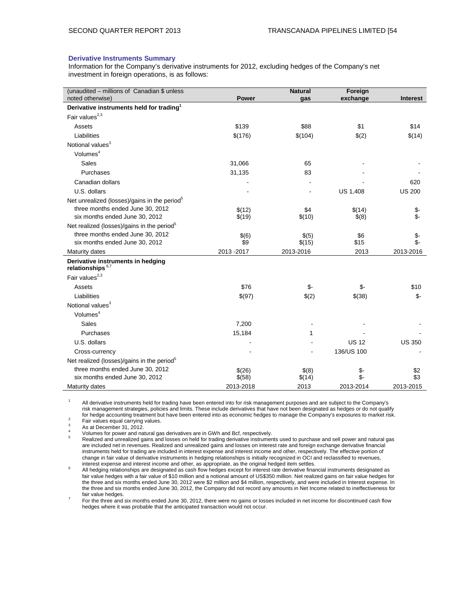## **Derivative Instruments Summary**

Information for the Company's derivative instruments for 2012, excluding hedges of the Company's net investment in foreign operations, is as follows:

| (unaudited - millions of Canadian \$ unless                       |              | <b>Natural</b> | Foreign         |                 |
|-------------------------------------------------------------------|--------------|----------------|-----------------|-----------------|
| noted otherwise)                                                  | <b>Power</b> | gas            | exchange        | <b>Interest</b> |
| Derivative instruments held for trading <sup>1</sup>              |              |                |                 |                 |
| Fair values <sup>2,3</sup>                                        |              |                |                 |                 |
| Assets                                                            | \$139        | \$88           | \$1             | \$14            |
| Liabilities                                                       | \$(176)      | \$(104)        | \$(2)           | \$(14)          |
| Notional values <sup>3</sup>                                      |              |                |                 |                 |
| Volumes <sup>4</sup>                                              |              |                |                 |                 |
| Sales                                                             | 31,066       | 65             |                 |                 |
| Purchases                                                         | 31,135       | 83             |                 |                 |
| Canadian dollars                                                  |              |                |                 | 620             |
| U.S. dollars                                                      |              |                | <b>US 1,408</b> | <b>US 200</b>   |
| Net unrealized (losses)/gains in the period <sup>5</sup>          |              |                |                 |                 |
| three months ended June 30, 2012                                  | \$(12)       | \$4            | \$(14)          | \$-<br>\$-      |
| six months ended June 30, 2012                                    | \$(19)       | \$(10)         | \$(8)           |                 |
| Net realized (losses)/gains in the period <sup>5</sup>            |              |                |                 |                 |
| three months ended June 30, 2012                                  | \$(6)        | \$(5)          | \$6             | \$-             |
| six months ended June 30, 2012                                    | \$9          | \$(15)         | \$15            | \$-             |
| Maturity dates                                                    | 2013 - 2017  | 2013-2016      | 2013            | 2013-2016       |
| Derivative instruments in hedging<br>relationships <sup>6,7</sup> |              |                |                 |                 |
| Fair values <sup>2,3</sup>                                        |              |                |                 |                 |
| Assets                                                            | \$76         | \$-            | \$-             | \$10            |
| Liabilities                                                       | \$(97)       | \$(2)          | \$(38)          | $\mathsf{S}$ -  |
| Notional values <sup>3</sup>                                      |              |                |                 |                 |
| Volumes <sup>4</sup>                                              |              |                |                 |                 |
| <b>Sales</b>                                                      | 7,200        |                |                 |                 |
| Purchases                                                         | 15,184       | 1              |                 |                 |
| U.S. dollars                                                      |              |                | <b>US 12</b>    | <b>US 350</b>   |
| Cross-currency                                                    |              |                | 136/US 100      |                 |
| Net realized (losses)/gains in the period <sup>5</sup>            |              |                |                 |                 |
| three months ended June 30, 2012                                  | \$(26)       | \$(8)          | \$-             | \$2             |
| six months ended June 30, 2012                                    | \$(58)       | \$(14)         | $$-$            | \$3             |
| Maturity dates                                                    | 2013-2018    | 2013           | 2013-2014       | 2013-2015       |

All derivative instruments held for trading have been entered into for risk management purposes and are subject to the Company's risk management strategies, policies and limits. These include derivatives that have not been designated as hedges or do not qualify for hedge accounting treatment but have been entered into as economic hedges to manage th

Fair values equal carrying values.<br>
As at December 31, 2012.<br>
As at December 31, 2012.<br>
Said Collines for power and natural gas derivatives are in GWh and Bcf, respectively.<br>
Said Collines for power and natural gas derivat are included net in revenues. Realized and unrealized gains and losses on interest rate and foreign exchange derivative financial instruments held for trading are included in interest expense and interest income and other, respectively. The effective portion of change in fair value of derivative instruments in hedging relationships is initially recognized in OCI and reclassified to revenues, interest expense and interest income and other, as appropriate, as the original hedged it

All hedging relationships are designated as cash flow hedges except for interest rate derivative financial instruments designated as fair value hedges with a fair value of \$10 million and a notional amount of US\$350 million. Net realized gains on fair value hedges for the three and six months ended June 30, 2012 were \$2 million and \$4 million, respectively, and were included in Interest expense. In the three and six months ended June 30, 2012, the Company did not record any amounts in Net Income related to ineffectiveness for

fair value hedges.<br>For the three and six months ended June 30, 2012, there were no gains or losses included in net income for discontinued cash flow hedges where it was probable that the anticipated transaction would not occur.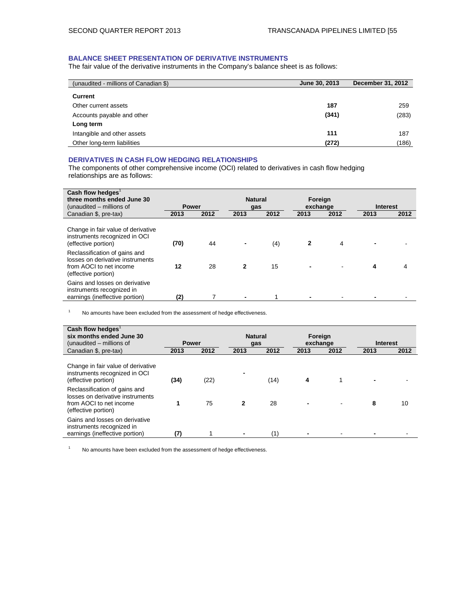## **BALANCE SHEET PRESENTATION OF DERIVATIVE INSTRUMENTS**

The fair value of the derivative instruments in the Company's balance sheet is as follows:

| (unaudited - millions of Canadian \$) | June 30, 2013 | December 31, 2012 |
|---------------------------------------|---------------|-------------------|
| <b>Current</b>                        |               |                   |
| Other current assets                  | 187           | 259               |
| Accounts payable and other            | (341)         | (283)             |
| Long term                             |               |                   |
| Intangible and other assets           | 111           | 187               |
| Other long-term liabilities           | (272)         | (186)             |

## **DERIVATIVES IN CASH FLOW HEDGING RELATIONSHIPS**

The components of other comprehensive income (OCI) related to derivatives in cash flow hedging relationships are as follows:

| Cash flow hedges <sup>1</sup>                                                                                       |              |      |                |      |          |      |                 |      |
|---------------------------------------------------------------------------------------------------------------------|--------------|------|----------------|------|----------|------|-----------------|------|
| three months ended June 30                                                                                          |              |      | <b>Natural</b> |      | Foreign  |      |                 |      |
| (unaudited – millions of                                                                                            | <b>Power</b> |      | gas            |      | exchange |      | <b>Interest</b> |      |
| Canadian \$, pre-tax)                                                                                               | 2013         | 2012 | 2013           | 2012 | 2013     | 2012 | 2013            | 2012 |
| Change in fair value of derivative<br>instruments recognized in OCI<br>(effective portion)                          | (70)         | 44   |                | (4)  | 2        | 4    |                 |      |
| Reclassification of gains and<br>losses on derivative instruments<br>from AOCI to net income<br>(effective portion) | 12           | 28   | 2              | 15   |          |      | 4               | 4    |
| Gains and losses on derivative<br>instruments recognized in<br>earnings (ineffective portion)                       | (2)          |      | -              |      |          |      |                 |      |

<sup>1</sup> No amounts have been excluded from the assessment of hedge effectiveness.

| Cash flow hedges <sup>1</sup><br>six months ended June 30                                                           |              |      | <b>Natural</b> |      | Foreign  |      |                 |      |
|---------------------------------------------------------------------------------------------------------------------|--------------|------|----------------|------|----------|------|-----------------|------|
| (unaudited – millions of                                                                                            | <b>Power</b> |      | gas            |      | exchange |      | <b>Interest</b> |      |
| Canadian \$, pre-tax)                                                                                               | 2013         | 2012 | 2013           | 2012 | 2013     | 2012 | 2013            | 2012 |
| Change in fair value of derivative<br>instruments recognized in OCI<br>(effective portion)                          | (34)         | (22) |                | (14) | 4        |      | -               |      |
| Reclassification of gains and<br>losses on derivative instruments<br>from AOCI to net income<br>(effective portion) |              | 75   | $\mathbf{2}$   | 28   |          |      | 8               | 10   |
| Gains and losses on derivative<br>instruments recognized in<br>earnings (ineffective portion)                       | (7)          |      |                | (1)  |          |      |                 |      |

 $1 -$ No amounts have been excluded from the assessment of hedge effectiveness.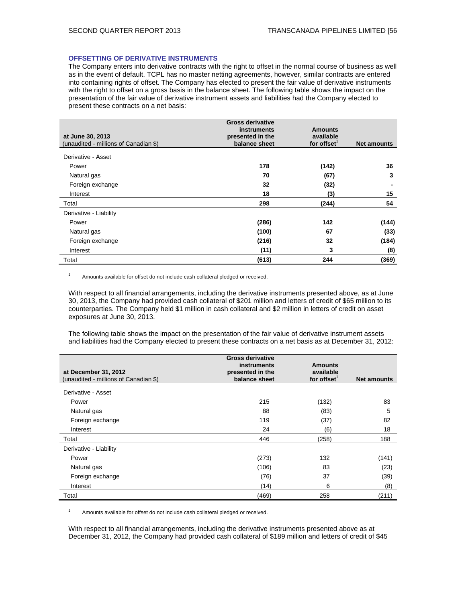## **OFFSETTING OF DERIVATIVE INSTRUMENTS**

The Company enters into derivative contracts with the right to offset in the normal course of business as well as in the event of default. TCPL has no master netting agreements, however, similar contracts are entered into containing rights of offset. The Company has elected to present the fair value of derivative instruments with the right to offset on a gross basis in the balance sheet. The following table shows the impact on the presentation of the fair value of derivative instrument assets and liabilities had the Company elected to present these contracts on a net basis:

| at June 30, 2013<br>(unaudited - millions of Canadian \$) | <b>Gross derivative</b><br>instruments<br>presented in the<br>balance sheet | <b>Amounts</b><br>available<br>for offset $1$ | <b>Net amounts</b> |
|-----------------------------------------------------------|-----------------------------------------------------------------------------|-----------------------------------------------|--------------------|
| Derivative - Asset                                        |                                                                             |                                               |                    |
| Power                                                     | 178                                                                         | (142)                                         | 36                 |
| Natural gas                                               | 70                                                                          | (67)                                          | 3                  |
| Foreign exchange                                          | 32                                                                          | (32)                                          |                    |
| Interest                                                  | 18                                                                          | (3)                                           | 15                 |
| Total                                                     | 298                                                                         | (244)                                         | 54                 |
| Derivative - Liability                                    |                                                                             |                                               |                    |
| Power                                                     | (286)                                                                       | 142                                           | (144)              |
| Natural gas                                               | (100)                                                                       | 67                                            | (33)               |
| Foreign exchange                                          | (216)                                                                       | 32                                            | (184)              |
| Interest                                                  | (11)                                                                        | 3                                             | (8)                |
| Total                                                     | (613)                                                                       | 244                                           | (369)              |

Amounts available for offset do not include cash collateral pledged or received.

With respect to all financial arrangements, including the derivative instruments presented above, as at June 30, 2013, the Company had provided cash collateral of \$201 million and letters of credit of \$65 million to its counterparties. The Company held \$1 million in cash collateral and \$2 million in letters of credit on asset exposures at June 30, 2013.

The following table shows the impact on the presentation of the fair value of derivative instrument assets and liabilities had the Company elected to present these contracts on a net basis as at December 31, 2012:

| at December 31, 2012<br>(unaudited - millions of Canadian \$) | <b>Gross derivative</b><br><b>instruments</b><br>presented in the<br>balance sheet | <b>Amounts</b><br>available<br>for offset $1$ | <b>Net amounts</b> |
|---------------------------------------------------------------|------------------------------------------------------------------------------------|-----------------------------------------------|--------------------|
| Derivative - Asset                                            |                                                                                    |                                               |                    |
| Power                                                         | 215                                                                                | (132)                                         | 83                 |
| Natural gas                                                   | 88                                                                                 | (83)                                          | 5                  |
| Foreign exchange                                              | 119                                                                                | (37)                                          | 82                 |
| Interest                                                      | 24                                                                                 | (6)                                           | 18                 |
| Total                                                         | 446                                                                                | (258)                                         | 188                |
| Derivative - Liability                                        |                                                                                    |                                               |                    |
| Power                                                         | (273)                                                                              | 132                                           | (141)              |
| Natural gas                                                   | (106)                                                                              | 83                                            | (23)               |
| Foreign exchange                                              | (76)                                                                               | 37                                            | (39)               |
| Interest                                                      | (14)                                                                               | 6                                             | (8)                |
| Total                                                         | (469)                                                                              | 258                                           | (211)              |

 $1$  Amounts available for offset do not include cash collateral pledged or received.

With respect to all financial arrangements, including the derivative instruments presented above as at December 31, 2012, the Company had provided cash collateral of \$189 million and letters of credit of \$45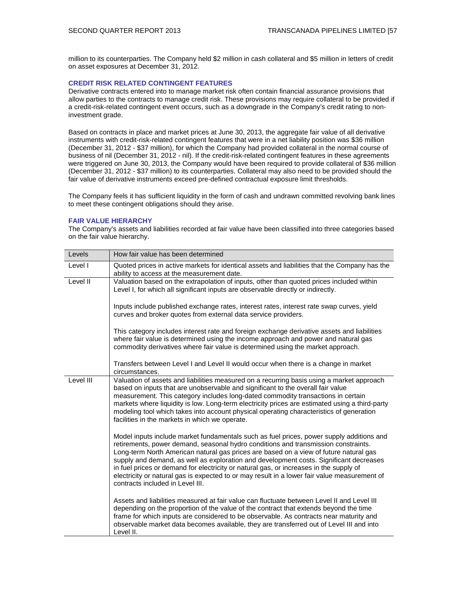million to its counterparties. The Company held \$2 million in cash collateral and \$5 million in letters of credit on asset exposures at December 31, 2012.

## **CREDIT RISK RELATED CONTINGENT FEATURES**

Derivative contracts entered into to manage market risk often contain financial assurance provisions that allow parties to the contracts to manage credit risk. These provisions may require collateral to be provided if a credit-risk-related contingent event occurs, such as a downgrade in the Company's credit rating to noninvestment grade.

Based on contracts in place and market prices at June 30, 2013, the aggregate fair value of all derivative instruments with credit-risk-related contingent features that were in a net liability position was \$36 million (December 31, 2012 - \$37 million), for which the Company had provided collateral in the normal course of business of nil (December 31, 2012 - nil). If the credit-risk-related contingent features in these agreements were triggered on June 30, 2013, the Company would have been required to provide collateral of \$36 million (December 31, 2012 - \$37 million) to its counterparties. Collateral may also need to be provided should the fair value of derivative instruments exceed pre-defined contractual exposure limit thresholds.

The Company feels it has sufficient liquidity in the form of cash and undrawn committed revolving bank lines to meet these contingent obligations should they arise.

### **FAIR VALUE HIERARCHY**

The Company's assets and liabilities recorded at fair value have been classified into three categories based on the fair value hierarchy.

| Levels    | How fair value has been determined                                                                                                                                                                                                                                                                                                                                                                                                                                                                                                                                                              |
|-----------|-------------------------------------------------------------------------------------------------------------------------------------------------------------------------------------------------------------------------------------------------------------------------------------------------------------------------------------------------------------------------------------------------------------------------------------------------------------------------------------------------------------------------------------------------------------------------------------------------|
| Level I   | Quoted prices in active markets for identical assets and liabilities that the Company has the<br>ability to access at the measurement date.                                                                                                                                                                                                                                                                                                                                                                                                                                                     |
| Level II  | Valuation based on the extrapolation of inputs, other than quoted prices included within<br>Level I, for which all significant inputs are observable directly or indirectly.                                                                                                                                                                                                                                                                                                                                                                                                                    |
|           | Inputs include published exchange rates, interest rates, interest rate swap curves, yield<br>curves and broker quotes from external data service providers.                                                                                                                                                                                                                                                                                                                                                                                                                                     |
|           | This category includes interest rate and foreign exchange derivative assets and liabilities<br>where fair value is determined using the income approach and power and natural gas<br>commodity derivatives where fair value is determined using the market approach.                                                                                                                                                                                                                                                                                                                            |
|           | Transfers between Level I and Level II would occur when there is a change in market<br>circumstances.                                                                                                                                                                                                                                                                                                                                                                                                                                                                                           |
| Level III | Valuation of assets and liabilities measured on a recurring basis using a market approach<br>based on inputs that are unobservable and significant to the overall fair value<br>measurement. This category includes long-dated commodity transactions in certain<br>markets where liquidity is low. Long-term electricity prices are estimated using a third-party<br>modeling tool which takes into account physical operating characteristics of generation<br>facilities in the markets in which we operate.                                                                                 |
|           | Model inputs include market fundamentals such as fuel prices, power supply additions and<br>retirements, power demand, seasonal hydro conditions and transmission constraints.<br>Long-term North American natural gas prices are based on a view of future natural gas<br>supply and demand, as well as exploration and development costs. Significant decreases<br>in fuel prices or demand for electricity or natural gas, or increases in the supply of<br>electricity or natural gas is expected to or may result in a lower fair value measurement of<br>contracts included in Level III. |
|           | Assets and liabilities measured at fair value can fluctuate between Level II and Level III<br>depending on the proportion of the value of the contract that extends beyond the time<br>frame for which inputs are considered to be observable. As contracts near maturity and<br>observable market data becomes available, they are transferred out of Level III and into<br>Level II.                                                                                                                                                                                                          |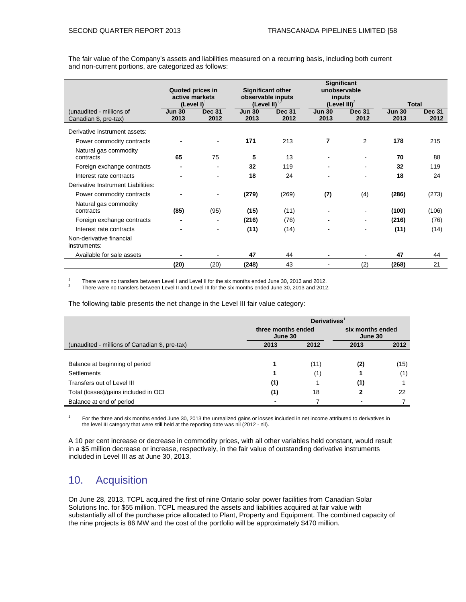The fair value of the Company's assets and liabilities measured on a recurring basis, including both current and non-current portions, are categorized as follows:

|                                                   | <b>Quoted prices in</b><br>active markets<br>(Level I) <sup>1</sup> |                       | <b>Significant other</b><br>observable inputs<br>(Level II) $^{1,2}$ |                       | Significant<br>unobservable<br>inputs<br>(Level $III)^2$ |                       | <b>Total</b>          |                       |
|---------------------------------------------------|---------------------------------------------------------------------|-----------------------|----------------------------------------------------------------------|-----------------------|----------------------------------------------------------|-----------------------|-----------------------|-----------------------|
| (unaudited - millions of<br>Canadian \$, pre-tax) | <b>Jun 30</b><br>2013                                               | <b>Dec 31</b><br>2012 | <b>Jun 30</b><br>2013                                                | <b>Dec 31</b><br>2012 | <b>Jun 30</b><br>2013                                    | <b>Dec 31</b><br>2012 | <b>Jun 30</b><br>2013 | <b>Dec 31</b><br>2012 |
| Derivative instrument assets:                     |                                                                     |                       |                                                                      |                       |                                                          |                       |                       |                       |
| Power commodity contracts                         | $\blacksquare$                                                      | $\blacksquare$        | 171                                                                  | 213                   | 7                                                        | $\overline{2}$        | 178                   | 215                   |
| Natural gas commodity<br>contracts                | 65                                                                  | 75                    | 5                                                                    | 13                    |                                                          |                       | 70                    | 88                    |
| Foreign exchange contracts                        |                                                                     | $\blacksquare$        | 32                                                                   | 119                   |                                                          | ۰                     | 32                    | 119                   |
| Interest rate contracts                           |                                                                     |                       | 18                                                                   | 24                    |                                                          |                       | 18                    | 24                    |
| Derivative Instrument Liabilities:                |                                                                     |                       |                                                                      |                       |                                                          |                       |                       |                       |
| Power commodity contracts                         |                                                                     |                       | (279)                                                                | (269)                 | (7)                                                      | (4)                   | (286)                 | (273)                 |
| Natural gas commodity<br>contracts                | (85)                                                                | (95)                  | (15)                                                                 | (11)                  |                                                          |                       | (100)                 | (106)                 |
| Foreign exchange contracts                        |                                                                     |                       | (216)                                                                | (76)                  |                                                          |                       | (216)                 | (76)                  |
| Interest rate contracts                           | $\blacksquare$                                                      | $\blacksquare$        | (11)                                                                 | (14)                  |                                                          | ۰                     | (11)                  | (14)                  |
| Non-derivative financial<br>instruments:          |                                                                     |                       |                                                                      |                       |                                                          |                       |                       |                       |
| Available for sale assets                         |                                                                     |                       | 47                                                                   | 44                    |                                                          |                       | 47                    | 44                    |
|                                                   | (20)                                                                | (20)                  | (248)                                                                | 43                    |                                                          | (2)                   | (268)                 | 21                    |

<sup>1</sup> There were no transfers between Level I and Level II for the six months ended June 30, 2013 and 2012.<br><sup>2</sup> There were no transfers between Level II and Level III for the six months ended June 30, 2013 and 2012.

The following table presents the net change in the Level III fair value category:

|                                                |                               | <b>Derivatives</b> |                             |      |
|------------------------------------------------|-------------------------------|--------------------|-----------------------------|------|
|                                                | three months ended<br>June 30 |                    | six months ended<br>June 30 |      |
| (unaudited - millions of Canadian \$, pre-tax) | 2013                          | 2012               | 2013                        | 2012 |
|                                                |                               |                    |                             |      |
| Balance at beginning of period                 |                               | (11)               | (2)                         | (15) |
| <b>Settlements</b>                             |                               | (1)                |                             | (1)  |
| Transfers out of Level III                     | (1)                           |                    | (1)                         |      |
| Total (losses)/gains included in OCI           |                               | 18                 |                             | 22   |
| Balance at end of period                       |                               |                    |                             |      |

<sup>1</sup> For the three and six months ended June 30, 2013 the unrealized gains or losses included in net income attributed to derivatives in the level III category that were still held at the reporting date was nil (2012 - nil).

A 10 per cent increase or decrease in commodity prices, with all other variables held constant, would result in a \$5 million decrease or increase, respectively, in the fair value of outstanding derivative instruments included in Level III as at June 30, 2013.

# 10. Acquisition

On June 28, 2013, TCPL acquired the first of nine Ontario solar power facilities from Canadian Solar Solutions Inc. for \$55 million. TCPL measured the assets and liabilities acquired at fair value with substantially all of the purchase price allocated to Plant, Property and Equipment. The combined capacity of the nine projects is 86 MW and the cost of the portfolio will be approximately \$470 million.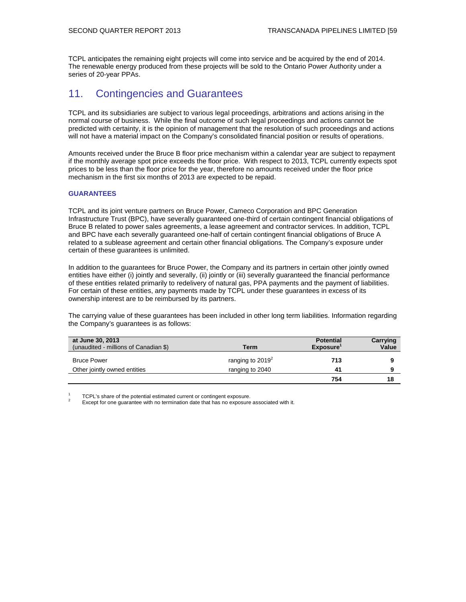TCPL anticipates the remaining eight projects will come into service and be acquired by the end of 2014. The renewable energy produced from these projects will be sold to the Ontario Power Authority under a series of 20-year PPAs.

# 11. Contingencies and Guarantees

TCPL and its subsidiaries are subject to various legal proceedings, arbitrations and actions arising in the normal course of business. While the final outcome of such legal proceedings and actions cannot be predicted with certainty, it is the opinion of management that the resolution of such proceedings and actions will not have a material impact on the Company's consolidated financial position or results of operations.

Amounts received under the Bruce B floor price mechanism within a calendar year are subject to repayment if the monthly average spot price exceeds the floor price. With respect to 2013, TCPL currently expects spot prices to be less than the floor price for the year, therefore no amounts received under the floor price mechanism in the first six months of 2013 are expected to be repaid.

### **GUARANTEES**

TCPL and its joint venture partners on Bruce Power, Cameco Corporation and BPC Generation Infrastructure Trust (BPC), have severally guaranteed one-third of certain contingent financial obligations of Bruce B related to power sales agreements, a lease agreement and contractor services. In addition, TCPL and BPC have each severally guaranteed one-half of certain contingent financial obligations of Bruce A related to a sublease agreement and certain other financial obligations. The Company's exposure under certain of these guarantees is unlimited.

In addition to the guarantees for Bruce Power, the Company and its partners in certain other jointly owned entities have either (i) jointly and severally, (ii) jointly or (iii) severally guaranteed the financial performance of these entities related primarily to redelivery of natural gas, PPA payments and the payment of liabilities. For certain of these entities, any payments made by TCPL under these guarantees in excess of its ownership interest are to be reimbursed by its partners.

The carrying value of these guarantees has been included in other long term liabilities. Information regarding the Company's guarantees is as follows:

| at June 30, 2013<br>(unaudited - millions of Canadian \$) | Term               | <b>Potential</b><br><b>Exposure</b> | Carrying<br>Value |
|-----------------------------------------------------------|--------------------|-------------------------------------|-------------------|
| <b>Bruce Power</b>                                        | ranging to $20192$ | 713                                 |                   |
| Other jointly owned entities                              | ranging to 2040    | 41                                  | 9                 |
|                                                           |                    | 754                                 | 18                |

<sup>1</sup> TCPL's share of the potential estimated current or contingent exposure. <sup>2</sup> Except for one guarantee with no termination date that has no exposure associated with it.